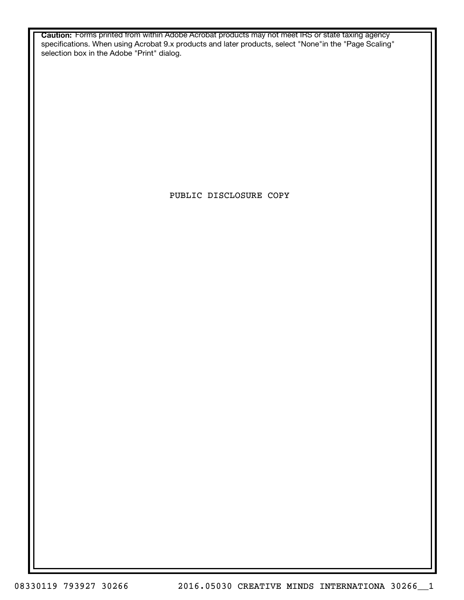**Caution:** Forms printed from within Adobe Acrobat products may not meet IRS or state taxing agency specifications. When using Acrobat 9.x products and later products, select "None"in the "Page Scaling" selection box in the Adobe "Print" dialog.

PUBLIC DISCLOSURE COPY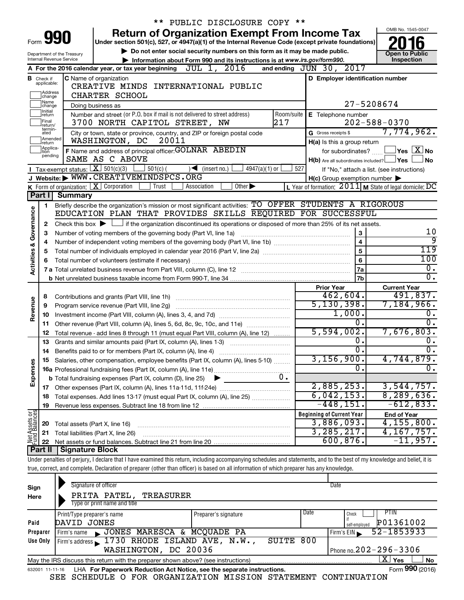|                                                |                               | ** PUBLIC DISCLOSURE COPY **                                                                                                                                               |                                                           |                                            |  |  |  |  |  |  |
|------------------------------------------------|-------------------------------|----------------------------------------------------------------------------------------------------------------------------------------------------------------------------|-----------------------------------------------------------|--------------------------------------------|--|--|--|--|--|--|
|                                                |                               | <b>Return of Organization Exempt From Income Tax</b>                                                                                                                       |                                                           | OMB No. 1545-0047                          |  |  |  |  |  |  |
| Form                                           |                               | Under section 501(c), 527, or 4947(a)(1) of the Internal Revenue Code (except private foundations)                                                                         |                                                           |                                            |  |  |  |  |  |  |
|                                                |                               | Do not enter social security numbers on this form as it may be made public.<br>Department of the Treasury                                                                  |                                                           | <b>Open to Public</b>                      |  |  |  |  |  |  |
|                                                |                               | Internal Revenue Service<br>Information about Form 990 and its instructions is at www.irs.gov/form990.                                                                     |                                                           | Inspection                                 |  |  |  |  |  |  |
|                                                |                               | A For the 2016 calendar year, or tax year beginning $JUL$ 1, $2016$                                                                                                        | and ending JUN 30, 2017                                   |                                            |  |  |  |  |  |  |
|                                                | <b>B</b> Check if applicable: | <b>C</b> Name of organization                                                                                                                                              | D Employer identification number                          |                                            |  |  |  |  |  |  |
|                                                | Address                       | CREATIVE MINDS INTERNATIONAL PUBLIC                                                                                                                                        |                                                           |                                            |  |  |  |  |  |  |
| CHARTER SCHOOL<br>change<br>Name<br>27-5208674 |                               |                                                                                                                                                                            |                                                           |                                            |  |  |  |  |  |  |
|                                                | change<br>Initial             | Doing business as<br>Number and street (or P.O. box if mail is not delivered to street address)<br>Room/suite                                                              | E Telephone number                                        |                                            |  |  |  |  |  |  |
|                                                | return<br>Final               | 217<br>3700 NORTH CAPITOL STREET, NW                                                                                                                                       |                                                           | $202 - 588 - 0370$                         |  |  |  |  |  |  |
|                                                | return/<br>termin-<br>ated    | City or town, state or province, country, and ZIP or foreign postal code                                                                                                   | G Gross receipts \$                                       | 7,774,962.                                 |  |  |  |  |  |  |
|                                                | Amended<br>return             | WASHINGTON, DC<br>20011                                                                                                                                                    | H(a) Is this a group return                               |                                            |  |  |  |  |  |  |
|                                                | Applica-<br>Ition             | F Name and address of principal officer: GOLNAR ABEDIN                                                                                                                     | for subordinates?                                         | $\exists$ Yes $\boxed{\text{X}}$ No        |  |  |  |  |  |  |
|                                                | pending                       | SAME AS C ABOVE                                                                                                                                                            | $H(b)$ Are all subordinates included? $\Box$ Yes          | <b>No</b>                                  |  |  |  |  |  |  |
|                                                |                               | Tax-exempt status: $X \overline{X}$ 501(c)(3)<br>$\vert$ 501(c) (<br>$\sqrt{\bullet}$ (insert no.)<br>$4947(a)(1)$ or                                                      | 527                                                       | If "No," attach a list. (see instructions) |  |  |  |  |  |  |
|                                                |                               | J Website: WWW.CREATIVEMINDSPCS.ORG                                                                                                                                        | $H(c)$ Group exemption number $\blacktriangleright$       |                                            |  |  |  |  |  |  |
|                                                |                               | K Form of organization: $X$ Corporation<br>Trust<br>Association<br>$\overline{Other}$                                                                                      | L Year of formation: $2011$ M State of legal domicile: DC |                                            |  |  |  |  |  |  |
|                                                | Part I                        | <b>Summary</b>                                                                                                                                                             |                                                           |                                            |  |  |  |  |  |  |
|                                                | 1.                            | Briefly describe the organization's mission or most significant activities: TO OFFER STUDENTS A RIGOROUS                                                                   |                                                           |                                            |  |  |  |  |  |  |
| Governance                                     |                               | EDUCATION PLAN THAT PROVIDES SKILLS REQUIRED FOR SUCCESSFUL                                                                                                                |                                                           |                                            |  |  |  |  |  |  |
|                                                | 2                             | Check this box $\blacktriangleright$ $\Box$ if the organization discontinued its operations or disposed of more than 25% of its net assets.                                |                                                           |                                            |  |  |  |  |  |  |
|                                                | з                             | Number of voting members of the governing body (Part VI, line 1a)                                                                                                          | 3                                                         | 10                                         |  |  |  |  |  |  |
|                                                | 4                             |                                                                                                                                                                            | $\overline{\mathbf{4}}$                                   | 9                                          |  |  |  |  |  |  |
|                                                | 5                             |                                                                                                                                                                            | 5                                                         | 119                                        |  |  |  |  |  |  |
| Activities &                                   |                               |                                                                                                                                                                            | 6                                                         | 100<br>$\overline{0}$ .                    |  |  |  |  |  |  |
|                                                |                               |                                                                                                                                                                            | 7a                                                        | $\overline{0}$ .                           |  |  |  |  |  |  |
|                                                |                               |                                                                                                                                                                            | 7b                                                        |                                            |  |  |  |  |  |  |
|                                                |                               |                                                                                                                                                                            | <b>Prior Year</b><br>462,604.                             | <b>Current Year</b><br>491,837.            |  |  |  |  |  |  |
| Revenue                                        | 8<br>9                        | Program service revenue (Part VIII, line 2g)                                                                                                                               | 5, 130, 398.                                              | 7,184,966.                                 |  |  |  |  |  |  |
|                                                | 10                            |                                                                                                                                                                            | 1,000.                                                    | 0.                                         |  |  |  |  |  |  |
|                                                | 11                            | Other revenue (Part VIII, column (A), lines 5, 6d, 8c, 9c, 10c, and 11e)                                                                                                   | 0.                                                        | $\overline{0}$ .                           |  |  |  |  |  |  |
|                                                | 12                            | Total revenue - add lines 8 through 11 (must equal Part VIII, column (A), line 12)                                                                                         | 5,594,002.                                                | 7,676,803.                                 |  |  |  |  |  |  |
|                                                | 13                            | Grants and similar amounts paid (Part IX, column (A), lines 1-3)                                                                                                           | Ο.                                                        | 0.                                         |  |  |  |  |  |  |
|                                                | 14                            | Benefits paid to or for members (Part IX, column (A), line 4)                                                                                                              | σ.                                                        | $\overline{0}$ .                           |  |  |  |  |  |  |
|                                                | 15                            | Salaries, other compensation, employee benefits (Part IX, column (A), lines 5-10)                                                                                          | 3,156,900.                                                | 4,744,879.                                 |  |  |  |  |  |  |
| Expenses                                       |                               |                                                                                                                                                                            | 0.                                                        | $\overline{0}$ .                           |  |  |  |  |  |  |
|                                                |                               | 0.<br><b>b</b> Total fundraising expenses (Part IX, column (D), line 25)                                                                                                   |                                                           |                                            |  |  |  |  |  |  |
|                                                |                               |                                                                                                                                                                            | 2,885,253.                                                | 3,544,757.                                 |  |  |  |  |  |  |
|                                                | 18                            | Total expenses. Add lines 13-17 (must equal Part IX, column (A), line 25)                                                                                                  | 6,042,153.                                                | 8, 289, 636.                               |  |  |  |  |  |  |
|                                                | 19                            |                                                                                                                                                                            | $-448,151.$                                               | $-612,833.$                                |  |  |  |  |  |  |
|                                                |                               |                                                                                                                                                                            | <b>Beginning of Current Year</b>                          | <b>End of Year</b>                         |  |  |  |  |  |  |
|                                                | 20                            | Total assets (Part X, line 16)                                                                                                                                             | 3,886,093.                                                | 4,155,800.                                 |  |  |  |  |  |  |
| Net Assets or<br>Fund Balances                 | 21                            | Total liabilities (Part X, line 26)                                                                                                                                        | 3, 285, 217.                                              | 4,167,757.                                 |  |  |  |  |  |  |
|                                                | 22                            |                                                                                                                                                                            | 600, 876.                                                 | $-11,957$ .                                |  |  |  |  |  |  |
|                                                | Part II                       | <b>Signature Block</b>                                                                                                                                                     |                                                           |                                            |  |  |  |  |  |  |
|                                                |                               | Under penalties of perjury, I declare that I have examined this return, including accompanying schedules and statements, and to the best of my knowledge and belief, it is |                                                           |                                            |  |  |  |  |  |  |
|                                                |                               | true, correct, and complete. Declaration of preparer (other than officer) is based on all information of which preparer has any knowledge.                                 |                                                           |                                            |  |  |  |  |  |  |
|                                                |                               |                                                                                                                                                                            |                                                           |                                            |  |  |  |  |  |  |

| Sign            | Signature of officer                                                              |                            |      | Date                          |  |  |  |  |  |  |
|-----------------|-----------------------------------------------------------------------------------|----------------------------|------|-------------------------------|--|--|--|--|--|--|
| Here            | PRITA PATEL, TREASURER                                                            |                            |      |                               |  |  |  |  |  |  |
|                 | Type or print name and title                                                      |                            |      |                               |  |  |  |  |  |  |
|                 | Print/Type preparer's name                                                        | Preparer's signature       | Date | PTIN<br>Check                 |  |  |  |  |  |  |
| Paid            | DAVID JONES                                                                       | P01361002<br>self-emploved |      |                               |  |  |  |  |  |  |
| Preparer        | JONES MARESCA & MCQUADE PA<br>Firm's name                                         |                            |      | 52-1853933<br>Firm's EIN      |  |  |  |  |  |  |
| Use Only        | Firm's address $\sim$ 1730 RHODE ISLAND AVE, N.W.,                                | SUITE 800                  |      |                               |  |  |  |  |  |  |
|                 | Phone no. $202 - 296 - 3306$<br>WASHINGTON, DC 20036                              |                            |      |                               |  |  |  |  |  |  |
|                 | May the IRS discuss this return with the preparer shown above? (see instructions) |                            |      | $\mathbf{X}$ Yes<br><b>No</b> |  |  |  |  |  |  |
| 632001 11-11-16 | LHA For Paperwork Reduction Act Notice, see the separate instructions.            |                            |      | Form 990 (2016)               |  |  |  |  |  |  |

SEE SCHEDULE O FOR ORGANIZATION MISSION STATEMENT CONTINUATION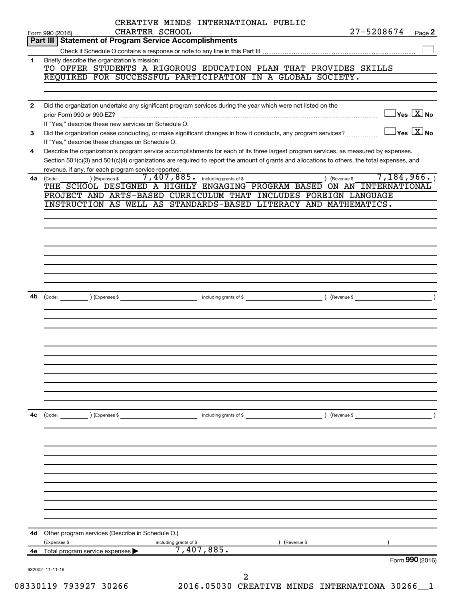|              | CREATIVE MINDS INTERNATIONAL PUBLIC                                                                                                          |                             |                                  |
|--------------|----------------------------------------------------------------------------------------------------------------------------------------------|-----------------------------|----------------------------------|
|              | CHARTER SCHOOL<br>Form 990 (2016)                                                                                                            | 27-5208674                  | Page 2                           |
|              | Part III   Statement of Program Service Accomplishments                                                                                      |                             |                                  |
|              |                                                                                                                                              |                             |                                  |
| 1            | Briefly describe the organization's mission:<br>TO OFFER STUDENTS A RIGOROUS EDUCATION PLAN THAT PROVIDES SKILLS                             |                             |                                  |
|              | REQUIRED FOR SUCCESSFUL PARTICIPATION IN A GLOBAL SOCIETY.                                                                                   |                             |                                  |
|              |                                                                                                                                              |                             |                                  |
|              |                                                                                                                                              |                             |                                  |
| $\mathbf{2}$ | Did the organization undertake any significant program services during the year which were not listed on the                                 |                             |                                  |
|              | prior Form 990 or 990-EZ?                                                                                                                    |                             | $\Box$ Yes $\boxed{\text{X}}$ No |
|              | If "Yes," describe these new services on Schedule O.                                                                                         |                             |                                  |
| 3            | Did the organization cease conducting, or make significant changes in how it conducts, any program services?                                 |                             | $\Box$ Yes $\boxed{\text{X}}$ No |
|              | If "Yes," describe these changes on Schedule O.                                                                                              |                             |                                  |
| 4            | Describe the organization's program service accomplishments for each of its three largest program services, as measured by expenses.         |                             |                                  |
|              | Section 501(c)(3) and 501(c)(4) organizations are required to report the amount of grants and allocations to others, the total expenses, and |                             |                                  |
|              | revenue, if any, for each program service reported.                                                                                          |                             |                                  |
| 4a           | 7, 407, 885. including grants of \$<br>) (Expenses \$<br>(Code:                                                                              | 7,184,966.<br>) (Revenue \$ |                                  |
|              | THE SCHOOL DESIGNED A HIGHLY ENGAGING PROGRAM BASED ON AN INTERNATIONAL                                                                      |                             |                                  |
|              | PROJECT AND ARTS-BASED CURRICULUM THAT INCLUDES FOREIGN LANGUAGE                                                                             |                             |                                  |
|              | INSTRUCTION AS WELL AS STANDARDS-BASED LITERACY AND MATHEMATICS.                                                                             |                             |                                  |
|              |                                                                                                                                              |                             |                                  |
|              |                                                                                                                                              |                             |                                  |
|              |                                                                                                                                              |                             |                                  |
|              |                                                                                                                                              |                             |                                  |
|              |                                                                                                                                              |                             |                                  |
|              |                                                                                                                                              |                             |                                  |
|              |                                                                                                                                              |                             |                                  |
|              |                                                                                                                                              |                             |                                  |
| 4b           | (Code: (Community ) (Expenses \$                                                                                                             |                             |                                  |
|              |                                                                                                                                              |                             |                                  |
|              |                                                                                                                                              |                             |                                  |
|              |                                                                                                                                              |                             |                                  |
|              |                                                                                                                                              |                             |                                  |
|              |                                                                                                                                              |                             |                                  |
|              |                                                                                                                                              |                             |                                  |
|              |                                                                                                                                              |                             |                                  |
|              |                                                                                                                                              |                             |                                  |
|              |                                                                                                                                              |                             |                                  |
|              |                                                                                                                                              |                             |                                  |
|              |                                                                                                                                              |                             |                                  |
|              |                                                                                                                                              |                             |                                  |
| 4c           | (Expenses \$<br>(Code:<br>including grants of \$                                                                                             | Revenue \$                  |                                  |
|              |                                                                                                                                              |                             |                                  |
|              |                                                                                                                                              |                             |                                  |
|              |                                                                                                                                              |                             |                                  |
|              |                                                                                                                                              |                             |                                  |
|              |                                                                                                                                              |                             |                                  |
|              |                                                                                                                                              |                             |                                  |
|              |                                                                                                                                              |                             |                                  |
|              |                                                                                                                                              |                             |                                  |
|              |                                                                                                                                              |                             |                                  |
|              |                                                                                                                                              |                             |                                  |
|              |                                                                                                                                              |                             |                                  |
| 4d           | Other program services (Describe in Schedule O.)                                                                                             |                             |                                  |
|              | (Expenses \$                                                                                                                                 | (Revenue \$                 |                                  |
| 4е           | including grants of \$<br>7,407,885.<br>Total program service expenses                                                                       |                             |                                  |
|              |                                                                                                                                              |                             | Form 990 (2016)                  |
|              | 632002 11-11-16                                                                                                                              |                             |                                  |
|              | 2                                                                                                                                            |                             |                                  |
|              | 330119 793927 30266 $\sim$ 2016 05030 CREATIVE MINING INTERNATIONA 30266                                                                     |                             |                                  |

08330119 793927 30266 2016.05030 CREATIVE MINDS INTERNATIONA 30266\_1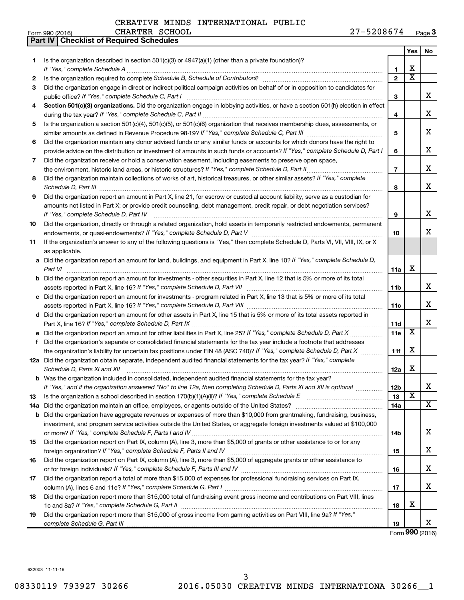208674 Page 3

|                 |                                                  |                | CREATIVE MINDS INTERNATIONAL LODDIC |            |      |
|-----------------|--------------------------------------------------|----------------|-------------------------------------|------------|------|
| Form 990 (2016) |                                                  | CHARTER SCHOOL |                                     | 27-5208674 | Page |
|                 | <b>Part IV   Checklist of Required Schedules</b> |                |                                     |            |      |

|     |                                                                                                                                                                 |                 | Yes                     | No |
|-----|-----------------------------------------------------------------------------------------------------------------------------------------------------------------|-----------------|-------------------------|----|
| 1   | Is the organization described in section 501(c)(3) or 4947(a)(1) (other than a private foundation)?                                                             |                 |                         |    |
|     |                                                                                                                                                                 | 1               | X                       |    |
| 2   | Is the organization required to complete Schedule B, Schedule of Contributors? [11] The organization required to complete Schedule B, Schedule of Contributors? | $\overline{2}$  | $\overline{\text{x}}$   |    |
| 3   | Did the organization engage in direct or indirect political campaign activities on behalf of or in opposition to candidates for                                 |                 |                         | x  |
|     |                                                                                                                                                                 | 3               |                         |    |
| 4   | Section 501(c)(3) organizations. Did the organization engage in lobbying activities, or have a section 501(h) election in effect                                |                 |                         | X  |
| 5   | Is the organization a section 501(c)(4), 501(c)(5), or 501(c)(6) organization that receives membership dues, assessments, or                                    | 4               |                         |    |
|     |                                                                                                                                                                 | 5               |                         | X  |
| 6   | Did the organization maintain any donor advised funds or any similar funds or accounts for which donors have the right to                                       |                 |                         |    |
|     | provide advice on the distribution or investment of amounts in such funds or accounts? If "Yes," complete Schedule D, Part I                                    | 6               |                         | X  |
| 7   | Did the organization receive or hold a conservation easement, including easements to preserve open space,                                                       |                 |                         |    |
|     |                                                                                                                                                                 | $\overline{7}$  |                         | X  |
| 8   | Did the organization maintain collections of works of art, historical treasures, or other similar assets? If "Yes," complete                                    |                 |                         |    |
|     |                                                                                                                                                                 | 8               |                         | x  |
| 9   | Did the organization report an amount in Part X, line 21, for escrow or custodial account liability, serve as a custodian for                                   |                 |                         |    |
|     | amounts not listed in Part X; or provide credit counseling, debt management, credit repair, or debt negotiation services?                                       |                 |                         |    |
|     |                                                                                                                                                                 | 9               |                         | X  |
| 10  | Did the organization, directly or through a related organization, hold assets in temporarily restricted endowments, permanent                                   |                 |                         |    |
|     |                                                                                                                                                                 | 10              |                         | х  |
| 11  | If the organization's answer to any of the following questions is "Yes," then complete Schedule D, Parts VI, VII, VIII, IX, or X                                |                 |                         |    |
|     | as applicable.                                                                                                                                                  |                 |                         |    |
|     | a Did the organization report an amount for land, buildings, and equipment in Part X, line 10? If "Yes," complete Schedule D,                                   |                 |                         |    |
|     | Part VI                                                                                                                                                         | 11a             | X                       |    |
|     | <b>b</b> Did the organization report an amount for investments - other securities in Part X, line 12 that is 5% or more of its total                            |                 |                         |    |
|     |                                                                                                                                                                 | 11b             |                         | x  |
|     | c Did the organization report an amount for investments - program related in Part X, line 13 that is 5% or more of its total                                    |                 |                         | X  |
|     |                                                                                                                                                                 | 11c             |                         |    |
|     | d Did the organization report an amount for other assets in Part X, line 15 that is 5% or more of its total assets reported in                                  |                 |                         | X  |
|     |                                                                                                                                                                 | 11d<br>11e      | $\overline{\mathbf{X}}$ |    |
|     | f Did the organization's separate or consolidated financial statements for the tax year include a footnote that addresses                                       |                 |                         |    |
|     | the organization's liability for uncertain tax positions under FIN 48 (ASC 740)? If "Yes," complete Schedule D, Part X                                          | 11f             | X                       |    |
|     | 12a Did the organization obtain separate, independent audited financial statements for the tax year? If "Yes," complete                                         |                 |                         |    |
|     | Schedule D, Parts XI and XII                                                                                                                                    | 12a             | X                       |    |
|     | <b>b</b> Was the organization included in consolidated, independent audited financial statements for the tax year?                                              |                 |                         |    |
|     | If "Yes," and if the organization answered "No" to line 12a, then completing Schedule D, Parts XI and XII is optional                                           | 12b             |                         | ᅀ  |
| 13  |                                                                                                                                                                 | 13              | X                       |    |
| 14a | Did the organization maintain an office, employees, or agents outside of the United States?                                                                     | 14a             |                         | X  |
| b   | Did the organization have aggregate revenues or expenses of more than \$10,000 from grantmaking, fundraising, business,                                         |                 |                         |    |
|     | investment, and program service activities outside the United States, or aggregate foreign investments valued at \$100,000                                      |                 |                         |    |
|     |                                                                                                                                                                 | 14 <sub>b</sub> |                         | x  |
| 15  | Did the organization report on Part IX, column (A), line 3, more than \$5,000 of grants or other assistance to or for any                                       |                 |                         |    |
|     |                                                                                                                                                                 | 15              |                         | x  |
| 16  | Did the organization report on Part IX, column (A), line 3, more than \$5,000 of aggregate grants or other assistance to                                        |                 |                         |    |
|     |                                                                                                                                                                 | 16              |                         | x  |
| 17  | Did the organization report a total of more than \$15,000 of expenses for professional fundraising services on Part IX,                                         |                 |                         | x  |
|     |                                                                                                                                                                 | 17              |                         |    |
| 18  | Did the organization report more than \$15,000 total of fundraising event gross income and contributions on Part VIII, lines                                    |                 | X                       |    |
| 19  | Did the organization report more than \$15,000 of gross income from gaming activities on Part VIII, line 9a? If "Yes,"                                          | 18              |                         |    |
|     |                                                                                                                                                                 | 19              |                         | x  |
|     |                                                                                                                                                                 |                 |                         |    |

Form (2016) **990**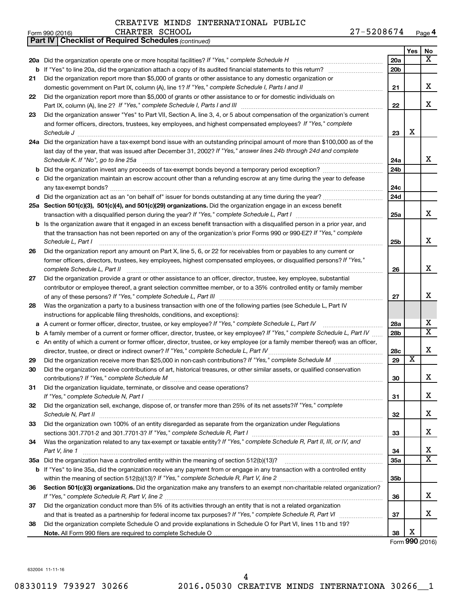|    | 27-5208674<br>CHARTER SCHOOL<br>Form 990 (2016)                                                                                                                                                                                   |                 |     | Page 4                  |
|----|-----------------------------------------------------------------------------------------------------------------------------------------------------------------------------------------------------------------------------------|-----------------|-----|-------------------------|
|    | Part IV   Checklist of Required Schedules (continued)                                                                                                                                                                             |                 |     |                         |
|    |                                                                                                                                                                                                                                   |                 | Yes | No                      |
|    | 20a Did the organization operate one or more hospital facilities? If "Yes," complete Schedule H                                                                                                                                   | 20a             |     | x                       |
|    |                                                                                                                                                                                                                                   | 20 <sub>b</sub> |     |                         |
| 21 | Did the organization report more than \$5,000 of grants or other assistance to any domestic organization or                                                                                                                       |                 |     |                         |
|    | domestic government on Part IX, column (A), line 1? If "Yes," complete Schedule I, Parts I and II                                                                                                                                 | 21              |     | x                       |
| 22 | Did the organization report more than \$5,000 of grants or other assistance to or for domestic individuals on                                                                                                                     |                 |     |                         |
|    | Part IX, column (A), line 2? If "Yes," complete Schedule I, Parts I and III [11]] [11]] [11] [11] [11] [11] [1                                                                                                                    | 22              |     | x                       |
| 23 | Did the organization answer "Yes" to Part VII, Section A, line 3, 4, or 5 about compensation of the organization's current                                                                                                        |                 |     |                         |
|    | and former officers, directors, trustees, key employees, and highest compensated employees? If "Yes," complete                                                                                                                    |                 |     |                         |
|    |                                                                                                                                                                                                                                   | 23              | X   |                         |
|    | 24a Did the organization have a tax-exempt bond issue with an outstanding principal amount of more than \$100,000 as of the                                                                                                       |                 |     |                         |
|    | last day of the year, that was issued after December 31, 2002? If "Yes," answer lines 24b through 24d and complete                                                                                                                |                 |     |                         |
|    | Schedule K. If "No", go to line 25a                                                                                                                                                                                               | 24a             |     | x                       |
|    |                                                                                                                                                                                                                                   | 24 <sub>b</sub> |     |                         |
|    | c Did the organization maintain an escrow account other than a refunding escrow at any time during the year to defease                                                                                                            |                 |     |                         |
|    |                                                                                                                                                                                                                                   | 24c             |     |                         |
|    |                                                                                                                                                                                                                                   | 24d             |     |                         |
|    | 25a Section 501(c)(3), 501(c)(4), and 501(c)(29) organizations. Did the organization engage in an excess benefit                                                                                                                  |                 |     |                         |
|    |                                                                                                                                                                                                                                   | 25a             |     | x                       |
|    | b Is the organization aware that it engaged in an excess benefit transaction with a disqualified person in a prior year, and                                                                                                      |                 |     |                         |
|    | that the transaction has not been reported on any of the organization's prior Forms 990 or 990-EZ? If "Yes," complete                                                                                                             |                 |     |                         |
|    | Schedule L, Part I                                                                                                                                                                                                                | 25b             |     | x                       |
| 26 | Did the organization report any amount on Part X, line 5, 6, or 22 for receivables from or payables to any current or                                                                                                             |                 |     |                         |
|    | former officers, directors, trustees, key employees, highest compensated employees, or disqualified persons? If "Yes,"                                                                                                            |                 |     |                         |
|    | complete Schedule L, Part II                                                                                                                                                                                                      | 26              |     | x                       |
| 27 | Did the organization provide a grant or other assistance to an officer, director, trustee, key employee, substantial                                                                                                              |                 |     |                         |
|    | contributor or employee thereof, a grant selection committee member, or to a 35% controlled entity or family member                                                                                                               |                 |     |                         |
|    |                                                                                                                                                                                                                                   | 27              |     | x                       |
| 28 | Was the organization a party to a business transaction with one of the following parties (see Schedule L, Part IV                                                                                                                 |                 |     |                         |
|    | instructions for applicable filing thresholds, conditions, and exceptions):                                                                                                                                                       |                 |     |                         |
|    | a A current or former officer, director, trustee, or key employee? If "Yes," complete Schedule L, Part IV                                                                                                                         | 28a             |     | x                       |
|    | <b>b</b> A family member of a current or former officer, director, trustee, or key employee? If "Yes," complete Schedule L, Part IV                                                                                               | 28b             |     | $\overline{\mathtt{x}}$ |
|    | c An entity of which a current or former officer, director, trustee, or key employee (or a family member thereof) was an officer,                                                                                                 |                 |     |                         |
|    |                                                                                                                                                                                                                                   | 28c             |     | x                       |
| 29 |                                                                                                                                                                                                                                   | 29              | X   |                         |
| 30 | Did the organization receive contributions of art, historical treasures, or other similar assets, or qualified conservation                                                                                                       |                 |     |                         |
|    |                                                                                                                                                                                                                                   | 30              |     | х                       |
| 31 | Did the organization liquidate, terminate, or dissolve and cease operations?                                                                                                                                                      |                 |     | х                       |
|    | If "Yes," complete Schedule N, Part I manufactured and all resources and the Ves," complete Schedule N, Part I<br>Did the organization sell, exchange, dispose of, or transfer more than 25% of its net assets?/f "Yes," complete | 31              |     |                         |
| 32 |                                                                                                                                                                                                                                   | 32              |     | x                       |
| 33 | Did the organization own 100% of an entity disregarded as separate from the organization under Regulations                                                                                                                        |                 |     |                         |
|    |                                                                                                                                                                                                                                   | 33              |     | x                       |
| 34 | Was the organization related to any tax-exempt or taxable entity? If "Yes," complete Schedule R, Part II, III, or IV, and                                                                                                         |                 |     |                         |
|    | Part V, line 1                                                                                                                                                                                                                    | 34              |     | x                       |
|    |                                                                                                                                                                                                                                   | <b>35a</b>      |     | $\overline{\mathtt{x}}$ |
|    | <b>b</b> If "Yes" to line 35a, did the organization receive any payment from or engage in any transaction with a controlled entity                                                                                                |                 |     |                         |
|    |                                                                                                                                                                                                                                   | 35b             |     |                         |
| 36 | Section 501(c)(3) organizations. Did the organization make any transfers to an exempt non-charitable related organization?                                                                                                        |                 |     |                         |
|    |                                                                                                                                                                                                                                   | 36              |     | x                       |
| 37 | Did the organization conduct more than 5% of its activities through an entity that is not a related organization                                                                                                                  |                 |     |                         |
|    |                                                                                                                                                                                                                                   | 37              |     | х                       |
| 38 | Did the organization complete Schedule O and provide explanations in Schedule O for Part VI, lines 11b and 19?                                                                                                                    |                 |     |                         |
|    |                                                                                                                                                                                                                                   | 38              | x   |                         |
|    |                                                                                                                                                                                                                                   |                 |     | Form 990 (2016)         |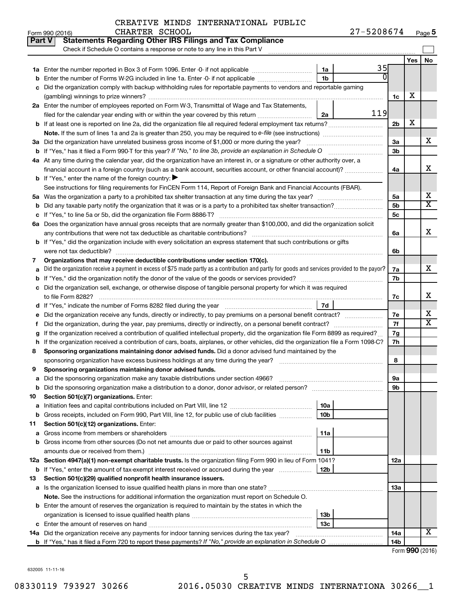#### CREATIVE MINDS INTERNATIONAL PUBLIC CHARTER SCHOOL

| <b>Part V</b> | <b>Statements Regarding Other IRS Filings and Tax Compliance</b><br>Check if Schedule O contains a response or note to any line in this Part V                                                                 |                 |     |    |  |  |  |
|---------------|----------------------------------------------------------------------------------------------------------------------------------------------------------------------------------------------------------------|-----------------|-----|----|--|--|--|
|               |                                                                                                                                                                                                                |                 | Yes | No |  |  |  |
|               | 1a                                                                                                                                                                                                             | 35              |     |    |  |  |  |
|               | 1 <sub>b</sub><br>Enter the number of Forms W-2G included in line 1a. Enter -0- if not applicable                                                                                                              |                 |     |    |  |  |  |
|               | Did the organization comply with backup withholding rules for reportable payments to vendors and reportable gaming                                                                                             |                 |     |    |  |  |  |
|               |                                                                                                                                                                                                                | 1c              | х   |    |  |  |  |
|               | 2a Enter the number of employees reported on Form W-3, Transmittal of Wage and Tax Statements,                                                                                                                 |                 |     |    |  |  |  |
|               | filed for the calendar year ending with or within the year covered by this return<br>2a                                                                                                                        | 119             |     |    |  |  |  |
|               |                                                                                                                                                                                                                | 2 <sub>b</sub>  | х   |    |  |  |  |
|               |                                                                                                                                                                                                                |                 |     |    |  |  |  |
|               | 3a Did the organization have unrelated business gross income of \$1,000 or more during the year?                                                                                                               | За              |     | x  |  |  |  |
|               |                                                                                                                                                                                                                | 3b              |     |    |  |  |  |
|               | 4a At any time during the calendar year, did the organization have an interest in, or a signature or other authority over, a                                                                                   |                 |     |    |  |  |  |
|               | financial account in a foreign country (such as a bank account, securities account, or other financial account)?                                                                                               | 4a              |     | x  |  |  |  |
|               | <b>b</b> If "Yes," enter the name of the foreign country: $\blacktriangleright$                                                                                                                                |                 |     |    |  |  |  |
|               | See instructions for filing requirements for FinCEN Form 114, Report of Foreign Bank and Financial Accounts (FBAR).                                                                                            |                 |     |    |  |  |  |
|               |                                                                                                                                                                                                                | 5a              |     | x  |  |  |  |
| b             |                                                                                                                                                                                                                | 5 <sub>b</sub>  |     | x  |  |  |  |
|               |                                                                                                                                                                                                                | 5 <sub>c</sub>  |     |    |  |  |  |
|               | 6a Does the organization have annual gross receipts that are normally greater than \$100,000, and did the organization solicit                                                                                 |                 |     |    |  |  |  |
|               | any contributions that were not tax deductible as charitable contributions?                                                                                                                                    | 6a              |     | x  |  |  |  |
|               | b If "Yes," did the organization include with every solicitation an express statement that such contributions or gifts                                                                                         |                 |     |    |  |  |  |
|               |                                                                                                                                                                                                                | 6b              |     |    |  |  |  |
| 7             | Organizations that may receive deductible contributions under section 170(c).                                                                                                                                  |                 |     | x  |  |  |  |
|               | Did the organization receive a payment in excess of \$75 made partly as a contribution and partly for goods and services provided to the payor?                                                                | 7а<br>7b        |     |    |  |  |  |
|               | Did the organization sell, exchange, or otherwise dispose of tangible personal property for which it was required                                                                                              |                 |     |    |  |  |  |
|               | to file Form 8282?                                                                                                                                                                                             | 7c              |     | x  |  |  |  |
|               | 7d                                                                                                                                                                                                             |                 |     |    |  |  |  |
|               |                                                                                                                                                                                                                | 7е              |     | х  |  |  |  |
| Ť             | Did the organization, during the year, pay premiums, directly or indirectly, on a personal benefit contract?                                                                                                   | 7f              |     | x  |  |  |  |
|               | If the organization received a contribution of qualified intellectual property, did the organization file Form 8899 as required?                                                                               | 7g              |     |    |  |  |  |
| h             | If the organization received a contribution of cars, boats, airplanes, or other vehicles, did the organization file a Form 1098-C?                                                                             | 7h              |     |    |  |  |  |
| 8             | Sponsoring organizations maintaining donor advised funds. Did a donor advised fund maintained by the                                                                                                           |                 |     |    |  |  |  |
|               |                                                                                                                                                                                                                | 8               |     |    |  |  |  |
| 9             | Sponsoring organizations maintaining donor advised funds.                                                                                                                                                      |                 |     |    |  |  |  |
|               |                                                                                                                                                                                                                | 9а              |     |    |  |  |  |
|               |                                                                                                                                                                                                                | 9b              |     |    |  |  |  |
| 10            | Section 501(c)(7) organizations. Enter:                                                                                                                                                                        |                 |     |    |  |  |  |
| a             | 10a                                                                                                                                                                                                            |                 |     |    |  |  |  |
|               | 10 <sub>b</sub><br><b>b</b> Gross receipts, included on Form 990, Part VIII, line 12, for public use of club facilities <i>manument</i>                                                                        |                 |     |    |  |  |  |
| 11            | Section 501(c)(12) organizations. Enter:                                                                                                                                                                       |                 |     |    |  |  |  |
| a             | 11a                                                                                                                                                                                                            |                 |     |    |  |  |  |
|               | b Gross income from other sources (Do not net amounts due or paid to other sources against                                                                                                                     |                 |     |    |  |  |  |
|               | 11 <sub>b</sub><br>amounts due or received from them.)                                                                                                                                                         |                 |     |    |  |  |  |
|               | 12a Section 4947(a)(1) non-exempt charitable trusts. Is the organization filing Form 990 in lieu of Form 1041?                                                                                                 | 12a             |     |    |  |  |  |
|               | <b>b</b> If "Yes," enter the amount of tax-exempt interest received or accrued during the year<br>12b                                                                                                          |                 |     |    |  |  |  |
| 13            | Section 501(c)(29) qualified nonprofit health insurance issuers.                                                                                                                                               |                 |     |    |  |  |  |
|               | a Is the organization licensed to issue qualified health plans in more than one state?                                                                                                                         | 13a             |     |    |  |  |  |
|               | Note. See the instructions for additional information the organization must report on Schedule O.<br><b>b</b> Enter the amount of reserves the organization is required to maintain by the states in which the |                 |     |    |  |  |  |
|               | 13 <sub>b</sub>                                                                                                                                                                                                |                 |     |    |  |  |  |
|               | 13 <sub>c</sub>                                                                                                                                                                                                |                 |     |    |  |  |  |
|               | 14a Did the organization receive any payments for indoor tanning services during the tax year?                                                                                                                 | 14a             |     | x  |  |  |  |
|               |                                                                                                                                                                                                                | 14 <sub>b</sub> |     |    |  |  |  |
|               |                                                                                                                                                                                                                |                 |     |    |  |  |  |

Form (2016) **990**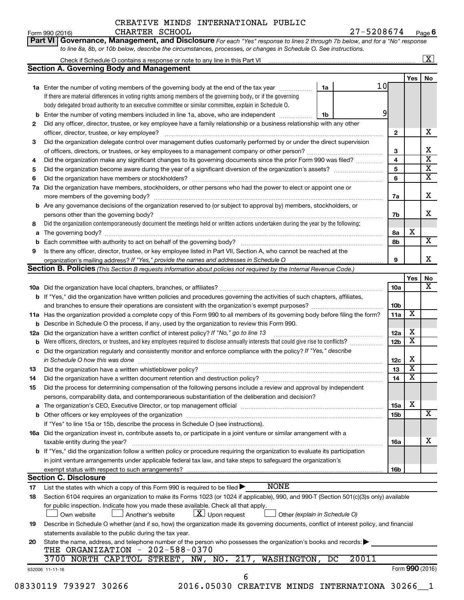### CREATIVE MINDS INTERNATIONAL PUBLIC CHARTER SCHOOL

**Part VI** Governance, Management, and Disclosure For each "Yes" response to lines 2 through 7b below, and for a "No" response

Form 990 (2016) CHARTER SCHOOL 2 7 – 5 2 0 8 6 7 4 <sub>Page</sub> **6** 

|     | <b>Section A. Governing Body and Management</b>                                                                                           |                 |                         |                         |
|-----|-------------------------------------------------------------------------------------------------------------------------------------------|-----------------|-------------------------|-------------------------|
|     |                                                                                                                                           |                 | Yes                     | No                      |
|     | 10 <sub>l</sub><br>1a Enter the number of voting members of the governing body at the end of the tax year<br>1a                           |                 |                         |                         |
|     | If there are material differences in voting rights among members of the governing body, or if the governing                               |                 |                         |                         |
|     | body delegated broad authority to an executive committee or similar committee, explain in Schedule O.                                     |                 |                         |                         |
|     | 9<br>Enter the number of voting members included in line 1a, above, who are independent <i>manumer</i><br>1b                              |                 |                         |                         |
| 2   | Did any officer, director, trustee, or key employee have a family relationship or a business relationship with any other                  |                 |                         |                         |
|     | officer, director, trustee, or key employee?                                                                                              | $\mathbf{2}$    |                         | х                       |
| 3   | Did the organization delegate control over management duties customarily performed by or under the direct supervision                     |                 |                         |                         |
|     |                                                                                                                                           | 3               |                         | x                       |
| 4   | Did the organization make any significant changes to its governing documents since the prior Form 990 was filed?                          | 4               |                         | $\overline{\textbf{x}}$ |
| 5   |                                                                                                                                           | 5               |                         | $\overline{\textbf{x}}$ |
| 6   |                                                                                                                                           | 6               |                         | $\overline{\textbf{X}}$ |
| 7a  | Did the organization have members, stockholders, or other persons who had the power to elect or appoint one or                            |                 |                         |                         |
|     |                                                                                                                                           | 7a              |                         | x                       |
|     | <b>b</b> Are any governance decisions of the organization reserved to (or subject to approval by) members, stockholders, or               |                 |                         |                         |
|     |                                                                                                                                           | 7b              |                         | x                       |
| 8   | Did the organization contemporaneously document the meetings held or written actions undertaken during the year by the following:         |                 |                         |                         |
|     |                                                                                                                                           |                 | X                       |                         |
| a   |                                                                                                                                           | 8а<br>8b        |                         | $\overline{\mathbf{X}}$ |
|     |                                                                                                                                           |                 |                         |                         |
| 9   | Is there any officer, director, trustee, or key employee listed in Part VII, Section A, who cannot be reached at the                      |                 |                         |                         |
|     |                                                                                                                                           | 9               |                         | x                       |
|     | Section B. Policies (This Section B requests information about policies not required by the Internal Revenue Code.)                       |                 |                         |                         |
|     |                                                                                                                                           |                 | Yes                     | No                      |
|     |                                                                                                                                           | 10a             |                         | x                       |
|     | b If "Yes," did the organization have written policies and procedures governing the activities of such chapters, affiliates,              |                 |                         |                         |
|     |                                                                                                                                           | 10b             |                         |                         |
|     | 11a Has the organization provided a complete copy of this Form 990 to all members of its governing body before filing the form?           | 11a             | X                       |                         |
|     | <b>b</b> Describe in Schedule O the process, if any, used by the organization to review this Form 990.                                    |                 |                         |                         |
| 12a | Did the organization have a written conflict of interest policy? If "No," go to line 13                                                   | 12a             | х                       |                         |
|     | Were officers, directors, or trustees, and key employees required to disclose annually interests that could give rise to conflicts?       | 12 <sub>b</sub> | $\overline{\mathbf{X}}$ |                         |
| с   | Did the organization regularly and consistently monitor and enforce compliance with the policy? If "Yes," describe                        |                 |                         |                         |
|     | in Schedule O how this was done manufactured and continuum and contact the was done manufactured and contact t                            | 12c             | х                       |                         |
| 13  |                                                                                                                                           | 13              | $\overline{\mathbf{X}}$ |                         |
| 14  |                                                                                                                                           | 14              | $\overline{\mathbf{X}}$ |                         |
| 15  | Did the process for determining compensation of the following persons include a review and approval by independent                        |                 |                         |                         |
|     | persons, comparability data, and contemporaneous substantiation of the deliberation and decision?                                         |                 |                         |                         |
|     |                                                                                                                                           | 15a             | X                       |                         |
|     |                                                                                                                                           | 15b             |                         | $\overline{\text{X}}$   |
|     | If "Yes" to line 15a or 15b, describe the process in Schedule O (see instructions).                                                       |                 |                         |                         |
|     | 16a Did the organization invest in, contribute assets to, or participate in a joint venture or similar arrangement with a                 |                 |                         |                         |
|     |                                                                                                                                           |                 |                         | х                       |
|     | taxable entity during the year?                                                                                                           | 16a             |                         |                         |
|     | b If "Yes," did the organization follow a written policy or procedure requiring the organization to evaluate its participation            |                 |                         |                         |
|     | in joint venture arrangements under applicable federal tax law, and take steps to safeguard the organization's                            |                 |                         |                         |
|     | exempt status with respect to such arrangements?                                                                                          | 16b             |                         |                         |
|     | <b>Section C. Disclosure</b>                                                                                                              |                 |                         |                         |
| 17  | <b>NONE</b><br>List the states with which a copy of this Form 990 is required to be filed $\blacktriangleright$                           |                 |                         |                         |
| 18  | Section 6104 requires an organization to make its Forms 1023 (or 1024 if applicable), 990, and 990-T (Section 501(c)(3)s only) available  |                 |                         |                         |
|     | for public inspection. Indicate how you made these available. Check all that apply.                                                       |                 |                         |                         |
|     | $\lfloor x \rfloor$ Upon request<br>Another's website<br>Other (explain in Schedule O)<br>Own website                                     |                 |                         |                         |
| 19  | Describe in Schedule O whether (and if so, how) the organization made its governing documents, conflict of interest policy, and financial |                 |                         |                         |
|     | statements available to the public during the tax year.                                                                                   |                 |                         |                         |
| 20  | State the name, address, and telephone number of the person who possesses the organization's books and records:                           |                 |                         |                         |
|     | THE ORGANIZATION - 202-588-0370                                                                                                           |                 |                         |                         |
|     | 3700 NORTH CAPITOL STREET, NW, NO. 217, WASHINGTON,<br>20011<br>DC                                                                        |                 |                         |                         |
|     | 632006 11-11-16                                                                                                                           |                 | Form 990 (2016)         |                         |
|     | 6                                                                                                                                         |                 |                         |                         |
|     | 08330119 793927 30266<br>2016.05030 CREATIVE MINDS INTERNATIONA 30266 1                                                                   |                 |                         |                         |
|     |                                                                                                                                           |                 |                         |                         |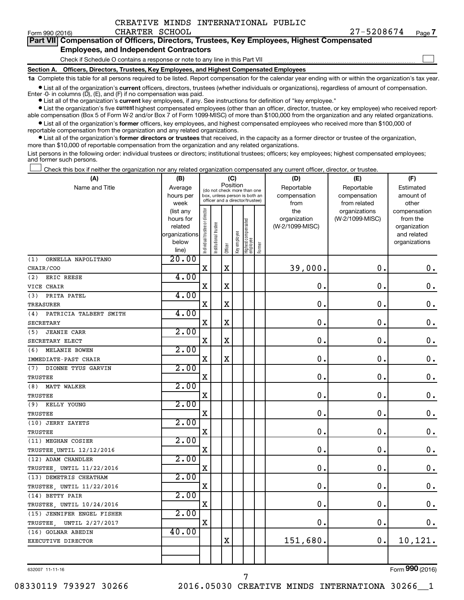Form 990 (2016)  $CHARTER$   $SCHOOL$   $27-5208674$   $Page$ **7**

 $\Box$ 

| Part VII Compensation of Officers, Directors, Trustees, Key Employees, Highest Compensated |
|--------------------------------------------------------------------------------------------|
| <b>Employees, and Independent Contractors</b>                                              |

#### Check if Schedule O contains a response or note to any line in this Part VII

**Section A. Officers, Directors, Trustees, Key Employees, and Highest Compensated Employees**

**1a**  Complete this table for all persons required to be listed. Report compensation for the calendar year ending with or within the organization's tax year.

**•** List all of the organization's current officers, directors, trustees (whether individuals or organizations), regardless of amount of compensation.

**•** List all of the organization's **current** key employees, if any. See instructions for definition of "key employee." Enter -0- in columns  $(D)$ ,  $(E)$ , and  $(F)$  if no compensation was paid.

**•** List the organization's five current highest compensated employees (other than an officer, director, trustee, or key employee) who received reportable compensation (Box 5 of Form W-2 and/or Box 7 of Form 1099-MISC) of more than \$100,000 from the organization and any related organizations.

**•** List all of the organization's former officers, key employees, and highest compensated employees who received more than \$100,000 of reportable compensation from the organization and any related organizations.

**•** List all of the organization's former directors or trustees that received, in the capacity as a former director or trustee of the organization, more than \$10,000 of reportable compensation from the organization and any related organizations.

List persons in the following order: individual trustees or directors; institutional trustees; officers; key employees; highest compensated employees; and former such persons.

Check this box if neither the organization nor any related organization compensated any current officer, director, or trustee.  $\Box$ 

| (A)                           | (B)            |                                |                                                                                                 | (C)         |              |                                 |        | (D)             | (E)             | (F)           |
|-------------------------------|----------------|--------------------------------|-------------------------------------------------------------------------------------------------|-------------|--------------|---------------------------------|--------|-----------------|-----------------|---------------|
| Name and Title                | Average        |                                |                                                                                                 | Position    |              |                                 |        | Reportable      | Reportable      | Estimated     |
|                               | hours per      |                                | (do not check more than one<br>box, unless person is both an<br>officer and a director/trustee) |             |              |                                 |        | compensation    | compensation    | amount of     |
|                               | week           |                                |                                                                                                 |             |              |                                 |        | from            | from related    | other         |
|                               | (list any      |                                |                                                                                                 |             |              |                                 |        | the             | organizations   | compensation  |
|                               | hours for      |                                |                                                                                                 |             |              |                                 |        | organization    | (W-2/1099-MISC) | from the      |
|                               | related        |                                |                                                                                                 |             |              |                                 |        | (W-2/1099-MISC) |                 | organization  |
|                               | organizations  |                                |                                                                                                 |             |              |                                 |        |                 |                 | and related   |
|                               | below          | Individual trustee or director | Institutional trustee                                                                           | Officer     | Key employee | Highest compensated<br>employee | Former |                 |                 | organizations |
| (1)<br>ORNELLA NAPOLITANO     | line)<br>20.00 |                                |                                                                                                 |             |              |                                 |        |                 |                 |               |
|                               |                | $\mathbf x$                    |                                                                                                 | $\mathbf X$ |              |                                 |        | 39,000.         | 0.              | $\mathbf 0$ . |
| CHAIR/COO                     | 4.00           |                                |                                                                                                 |             |              |                                 |        |                 |                 |               |
| ERIC REESE<br>(2)             |                |                                |                                                                                                 |             |              |                                 |        |                 |                 |               |
| VICE CHAIR                    |                | $\mathbf X$                    |                                                                                                 | $\mathbf X$ |              |                                 |        | 0.              | $\mathbf 0$ .   | $\mathbf 0$ . |
| PRITA PATEL<br>(3)            | 4.00           |                                |                                                                                                 |             |              |                                 |        |                 |                 |               |
| <b>TREASURER</b>              |                | $\mathbf X$                    |                                                                                                 | $\mathbf X$ |              |                                 |        | $\mathbf 0$ .   | $\mathbf 0$ .   | $\mathbf 0$ . |
| (4)<br>PATRICIA TALBERT SMITH | 4.00           |                                |                                                                                                 |             |              |                                 |        |                 |                 |               |
| <b>SECRETARY</b>              |                | $\mathbf X$                    |                                                                                                 | $\mathbf X$ |              |                                 |        | 0.              | $\mathbf 0$ .   | $\mathbf 0$ . |
| <b>JEANIE CARR</b><br>(5)     | 2.00           |                                |                                                                                                 |             |              |                                 |        |                 |                 |               |
| SECRETARY ELECT               |                | $\mathbf X$                    |                                                                                                 | $\mathbf X$ |              |                                 |        | 0.              | $\mathbf 0$ .   | $\mathbf 0$ . |
| (6)<br>MELANIE BOWEN          | 2.00           |                                |                                                                                                 |             |              |                                 |        |                 |                 |               |
| IMMEDIATE-PAST CHAIR          |                | X                              |                                                                                                 | $\mathbf X$ |              |                                 |        | 0               | $\mathbf 0$     | $\mathbf 0$ . |
| DIONNE TYUS GARVIN<br>(7)     | 2.00           |                                |                                                                                                 |             |              |                                 |        |                 |                 |               |
| <b>TRUSTEE</b>                |                | $\mathbf X$                    |                                                                                                 |             |              |                                 |        | $\mathbf 0$ .   | $\mathbf 0$ .   | $\mathbf 0$ . |
| <b>MATT WALKER</b><br>(8)     | 2.00           |                                |                                                                                                 |             |              |                                 |        |                 |                 |               |
| TRUSTEE                       |                | X                              |                                                                                                 |             |              |                                 |        | 0.              | 0.              | $\mathbf 0$ . |
| KELLY YOUNG<br>(9)            | 2.00           |                                |                                                                                                 |             |              |                                 |        |                 |                 |               |
| TRUSTEE                       |                | X                              |                                                                                                 |             |              |                                 |        | 0.              | 0.              | $\mathbf 0$ . |
| (10) JERRY ZAYETS             | 2.00           |                                |                                                                                                 |             |              |                                 |        |                 |                 |               |
| TRUSTEE                       |                | X                              |                                                                                                 |             |              |                                 |        | $\mathbf 0$ .   | $\mathbf 0$     | $\mathbf 0$ . |
| (11) MEGHAN COSIER            | 2.00           |                                |                                                                                                 |             |              |                                 |        |                 |                 |               |
| TRUSTEE UNTIL 12/12/2016      |                | X                              |                                                                                                 |             |              |                                 |        | $\mathbf 0$     | $\mathbf 0$     | 0.            |
| (12) ADAM CHANDLER            | 2.00           |                                |                                                                                                 |             |              |                                 |        |                 |                 |               |
| TRUSTEE UNTIL 11/22/2016      |                | X                              |                                                                                                 |             |              |                                 |        | $\mathbf 0$     | $\mathbf 0$     | $\mathbf 0$ . |
| (13) DEMETRIS CHEATHAM        | 2.00           |                                |                                                                                                 |             |              |                                 |        |                 |                 |               |
| TRUSTEE, UNTIL 11/22/2016     |                | X                              |                                                                                                 |             |              |                                 |        | $\mathbf 0$     | $\mathbf 0$     | $\mathbf 0$ . |
| (14) BETTY PAIR               | 2.00           |                                |                                                                                                 |             |              |                                 |        |                 |                 |               |
| TRUSTEE, UNTIL 10/24/2016     |                | X                              |                                                                                                 |             |              |                                 |        | $\mathbf 0$     | $\mathbf 0$     | $\mathbf 0$ . |
| (15) JENNIFER ENGEL FISHER    | 2.00           |                                |                                                                                                 |             |              |                                 |        |                 |                 |               |
| TRUSTEE.<br>UNTIL 2/27/2017   |                | $\mathbf X$                    |                                                                                                 |             |              |                                 |        | $\mathbf 0$ .   | $\mathbf 0$     | 0.            |
| (16) GOLNAR ABEDIN            | 40.00          |                                |                                                                                                 |             |              |                                 |        |                 |                 |               |
| EXECUTIVE DIRECTOR            |                |                                |                                                                                                 | $\mathbf X$ |              |                                 |        | 151,680.        | $\mathbf 0$ .   | 10,121.       |
|                               |                |                                |                                                                                                 |             |              |                                 |        |                 |                 |               |
|                               |                |                                |                                                                                                 |             |              |                                 |        |                 |                 |               |

632007 11-11-16

Form (2016) **990**

08330119 793927 30266 2016.05030 CREATIVE MINDS INTERNATIONA 30266\_\_1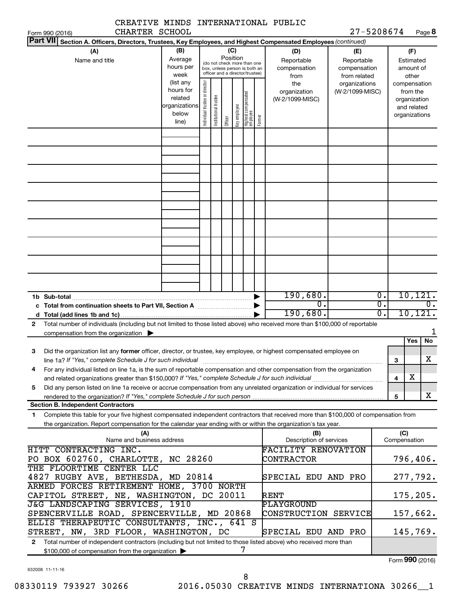|                                                                                                                                                                                                                                                                        |                                                                                                                                                                                                                                                                                       |  |  |                 |  |                                                                                                 |  | CREATIVE MINDS INTERNATIONAL PUBLIC       |                                                   |                                                          |                                        |     |                              |
|------------------------------------------------------------------------------------------------------------------------------------------------------------------------------------------------------------------------------------------------------------------------|---------------------------------------------------------------------------------------------------------------------------------------------------------------------------------------------------------------------------------------------------------------------------------------|--|--|-----------------|--|-------------------------------------------------------------------------------------------------|--|-------------------------------------------|---------------------------------------------------|----------------------------------------------------------|----------------------------------------|-----|------------------------------|
| CHARTER SCHOOL<br>Form 990 (2016)                                                                                                                                                                                                                                      |                                                                                                                                                                                                                                                                                       |  |  |                 |  |                                                                                                 |  |                                           | 27-5208674                                        |                                                          |                                        |     | Page 8                       |
| <b>Part VII</b><br>Section A. Officers, Directors, Trustees, Key Employees, and Highest Compensated Employees (continued)                                                                                                                                              |                                                                                                                                                                                                                                                                                       |  |  |                 |  |                                                                                                 |  |                                           |                                                   |                                                          |                                        |     |                              |
| (B)<br>(A)<br>Average<br>Name and title<br>hours per<br>week                                                                                                                                                                                                           |                                                                                                                                                                                                                                                                                       |  |  | (C)<br>Position |  | (do not check more than one<br>box, unless person is both an<br>officer and a director/trustee) |  | (D)<br>Reportable<br>compensation<br>from | (E)<br>Reportable<br>compensation<br>from related |                                                          | (F)<br>Estimated<br>amount of<br>other |     |                              |
|                                                                                                                                                                                                                                                                        | (list any<br>Individual trustee or director<br>the<br>organizations<br>hours for<br>organization<br>(W-2/1099-MISC)<br>Highest compensated<br>employee<br>Institutional trustee<br>related<br>(W-2/1099-MISC)<br>organizations<br>Key employee<br>below<br>Former<br>Officer<br>line) |  |  |                 |  |                                                                                                 |  |                                           | compensation                                      | from the<br>organization<br>and related<br>organizations |                                        |     |                              |
|                                                                                                                                                                                                                                                                        |                                                                                                                                                                                                                                                                                       |  |  |                 |  |                                                                                                 |  |                                           |                                                   |                                                          |                                        |     |                              |
|                                                                                                                                                                                                                                                                        |                                                                                                                                                                                                                                                                                       |  |  |                 |  |                                                                                                 |  |                                           |                                                   |                                                          |                                        |     |                              |
|                                                                                                                                                                                                                                                                        |                                                                                                                                                                                                                                                                                       |  |  |                 |  |                                                                                                 |  |                                           |                                                   |                                                          |                                        |     |                              |
|                                                                                                                                                                                                                                                                        |                                                                                                                                                                                                                                                                                       |  |  |                 |  |                                                                                                 |  |                                           |                                                   |                                                          |                                        |     |                              |
|                                                                                                                                                                                                                                                                        |                                                                                                                                                                                                                                                                                       |  |  |                 |  |                                                                                                 |  |                                           |                                                   |                                                          |                                        |     |                              |
| 1b Sub-total                                                                                                                                                                                                                                                           |                                                                                                                                                                                                                                                                                       |  |  |                 |  |                                                                                                 |  | 190,680.<br>$\overline{0}$ .              |                                                   | $\overline{0}$ .<br>σ.                                   |                                        |     | 10, 121.<br>$\overline{0}$ . |
| Total number of individuals (including but not limited to those listed above) who received more than \$100,000 of reportable<br>$\mathbf{2}$<br>compensation from the organization $\blacktriangleright$                                                               |                                                                                                                                                                                                                                                                                       |  |  |                 |  |                                                                                                 |  | 190,680.                                  |                                                   | σ.                                                       |                                        |     | 10, 121.<br>1                |
| Did the organization list any former officer, director, or trustee, key employee, or highest compensated employee on<br>З<br>line 1a? If "Yes," complete Schedule J for such individual manufactured content to the content of the content o                           |                                                                                                                                                                                                                                                                                       |  |  |                 |  |                                                                                                 |  |                                           |                                                   |                                                          | 3                                      | Yes | No<br>$\overline{\text{X}}$  |
| For any individual listed on line 1a, is the sum of reportable compensation and other compensation from the organization<br>4                                                                                                                                          |                                                                                                                                                                                                                                                                                       |  |  |                 |  |                                                                                                 |  |                                           |                                                   |                                                          | 4                                      | x   |                              |
| Did any person listed on line 1a receive or accrue compensation from any unrelated organization or individual for services<br>5                                                                                                                                        |                                                                                                                                                                                                                                                                                       |  |  |                 |  |                                                                                                 |  |                                           |                                                   |                                                          | 5                                      |     | x                            |
| <b>Section B. Independent Contractors</b>                                                                                                                                                                                                                              |                                                                                                                                                                                                                                                                                       |  |  |                 |  |                                                                                                 |  |                                           |                                                   |                                                          |                                        |     |                              |
| Complete this table for your five highest compensated independent contractors that received more than \$100,000 of compensation from<br>$\mathbf{1}$<br>the organization. Report compensation for the calendar year ending with or within the organization's tax year. |                                                                                                                                                                                                                                                                                       |  |  |                 |  |                                                                                                 |  |                                           |                                                   |                                                          |                                        |     |                              |
| (A)<br>Name and business address                                                                                                                                                                                                                                       |                                                                                                                                                                                                                                                                                       |  |  |                 |  |                                                                                                 |  | (B)<br>Description of services            |                                                   |                                                          | (C)<br>Compensation                    |     |                              |
| HITT CONTRACTING INC.<br>PO BOX 602760, CHARLOTTE, NC 28260<br>THE FLOORTIME CENTER LLC                                                                                                                                                                                |                                                                                                                                                                                                                                                                                       |  |  |                 |  |                                                                                                 |  | <b>FACILITY RENOVATION</b><br>CONTRACTOR  |                                                   |                                                          |                                        |     | 796,406.                     |
| 4827 RUGBY AVE, BETHESDA, MD 20814                                                                                                                                                                                                                                     |                                                                                                                                                                                                                                                                                       |  |  |                 |  |                                                                                                 |  | SPECIAL EDU AND PRO                       |                                                   |                                                          |                                        |     | 277,792.                     |
| ARMED FORCES RETIREMENT HOME, 3700 NORTH<br>CAPITOL STREET, NE, WASHINGTON, DC 20011<br>175,205.<br>RENT<br>J&G LANDSCAPING SERVICES, 1910<br>PLAYGROUND                                                                                                               |                                                                                                                                                                                                                                                                                       |  |  |                 |  |                                                                                                 |  |                                           |                                                   |                                                          |                                        |     |                              |
| SPENCERVILLE ROAD, SPENCERVILLE, MD 20868<br>ELLIS THERAPEUTIC CONSULTANTS, INC., 641 S                                                                                                                                                                                |                                                                                                                                                                                                                                                                                       |  |  |                 |  |                                                                                                 |  | CONSTRUCTION SERVICE                      |                                                   |                                                          |                                        |     | 157,662.                     |
| STREET, NW, 3RD FLOOR, WASHINGTON, DC<br>Total number of independent contractors (including but not limited to those listed above) who received more than<br>$\mathbf{2}$                                                                                              |                                                                                                                                                                                                                                                                                       |  |  |                 |  |                                                                                                 |  | SPECIAL EDU AND PRO                       |                                                   |                                                          |                                        |     | 145,769.                     |
| \$100,000 of compensation from the organization                                                                                                                                                                                                                        |                                                                                                                                                                                                                                                                                       |  |  |                 |  | 7                                                                                               |  |                                           |                                                   |                                                          |                                        |     |                              |

Form (2016) **990**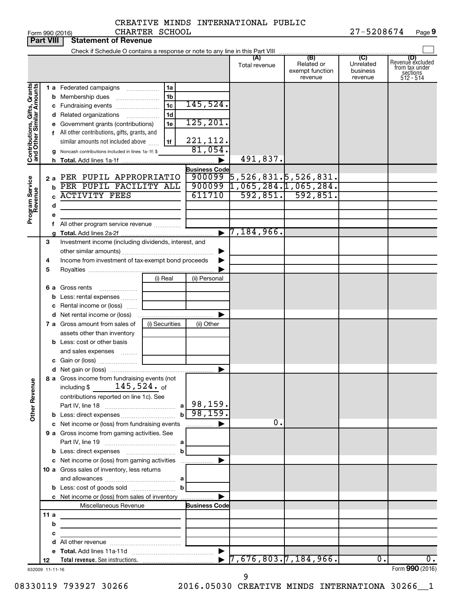|                                                                                         | <b>Part VIII</b> | <b>Statement of Revenue</b>                                                                                                                                                                                                                                                                                                                                                                                             |                                                               |                                                                                          |                                                                   |                                                 |                                         |                                                                    |
|-----------------------------------------------------------------------------------------|------------------|-------------------------------------------------------------------------------------------------------------------------------------------------------------------------------------------------------------------------------------------------------------------------------------------------------------------------------------------------------------------------------------------------------------------------|---------------------------------------------------------------|------------------------------------------------------------------------------------------|-------------------------------------------------------------------|-------------------------------------------------|-----------------------------------------|--------------------------------------------------------------------|
|                                                                                         |                  |                                                                                                                                                                                                                                                                                                                                                                                                                         |                                                               |                                                                                          |                                                                   |                                                 |                                         |                                                                    |
|                                                                                         |                  |                                                                                                                                                                                                                                                                                                                                                                                                                         |                                                               |                                                                                          | (A)<br>Total revenue                                              | (B)<br>Related or<br>exempt function<br>revenue | (C)<br>Unrelated<br>business<br>revenue | (D)<br>Revenue excluded<br>from tax under<br>sections<br>512 - 514 |
| Contributions, Gifts, Grants<br>and Other Similar Amounts<br>Program Service<br>Revenue | b<br>d           | 1 a Federated campaigns<br><b>b</b> Membership dues<br>c Fundraising events<br><b>d</b> Related organizations<br>e Government grants (contributions)<br>f All other contributions, gifts, grants, and<br>similar amounts not included above<br>g Noncash contributions included in lines 1a-1f: \$<br>2 a PER PUPIL APPROPRIATIO<br>PER PUPIL FACILITY ALL<br><b>ACTIVITY FEES</b><br>All other program service revenue | 1a<br>1b<br>1 <sub>c</sub><br>1 <sub>d</sub><br>.<br>1e<br>1f | 145,524.<br>125, 201.<br>221,112.<br>81,054.<br><b>Business Code</b><br>900099<br>611710 | 491,837.<br>5,526,831.5,526,831.<br>$900099$ 1,065,284.1,065,284. | $592, 851.$ 592,851.                            |                                         |                                                                    |
|                                                                                         | 3                | Investment income (including dividends, interest, and                                                                                                                                                                                                                                                                                                                                                                   |                                                               | $\blacktriangleright$                                                                    | $7,184,966$ .                                                     |                                                 |                                         |                                                                    |
|                                                                                         | 4                | Income from investment of tax-exempt bond proceeds                                                                                                                                                                                                                                                                                                                                                                      |                                                               |                                                                                          |                                                                   |                                                 |                                         |                                                                    |
|                                                                                         | 5                |                                                                                                                                                                                                                                                                                                                                                                                                                         |                                                               |                                                                                          |                                                                   |                                                 |                                         |                                                                    |
|                                                                                         |                  | 6 a Gross rents<br><b>b</b> Less: rental expenses                                                                                                                                                                                                                                                                                                                                                                       | (i) Real                                                      | (ii) Personal                                                                            |                                                                   |                                                 |                                         |                                                                    |
|                                                                                         |                  | c Rental income or (loss)                                                                                                                                                                                                                                                                                                                                                                                               |                                                               |                                                                                          |                                                                   |                                                 |                                         |                                                                    |
|                                                                                         |                  | 7 a Gross amount from sales of                                                                                                                                                                                                                                                                                                                                                                                          | (i) Securities                                                | (ii) Other                                                                               |                                                                   |                                                 |                                         |                                                                    |
|                                                                                         |                  | assets other than inventory<br><b>b</b> Less: cost or other basis<br>and sales expenses                                                                                                                                                                                                                                                                                                                                 |                                                               |                                                                                          |                                                                   |                                                 |                                         |                                                                    |
|                                                                                         |                  |                                                                                                                                                                                                                                                                                                                                                                                                                         |                                                               |                                                                                          |                                                                   |                                                 |                                         |                                                                    |
|                                                                                         |                  |                                                                                                                                                                                                                                                                                                                                                                                                                         |                                                               | ▶                                                                                        |                                                                   |                                                 |                                         |                                                                    |
| <b>Other Revenue</b>                                                                    |                  | 8 a Gross income from fundraising events (not<br>$145,524.$ of<br>including $$$<br>contributions reported on line 1c). See                                                                                                                                                                                                                                                                                              |                                                               | 98,159.<br>98, 159.                                                                      |                                                                   |                                                 |                                         |                                                                    |
|                                                                                         |                  |                                                                                                                                                                                                                                                                                                                                                                                                                         | $\mathbf{b}$                                                  |                                                                                          | 0.                                                                |                                                 |                                         |                                                                    |
|                                                                                         |                  | c Net income or (loss) from fundraising events<br>9 a Gross income from gaming activities. See                                                                                                                                                                                                                                                                                                                          |                                                               | .                                                                                        |                                                                   |                                                 |                                         |                                                                    |
|                                                                                         |                  |                                                                                                                                                                                                                                                                                                                                                                                                                         | b                                                             |                                                                                          |                                                                   |                                                 |                                         |                                                                    |
|                                                                                         |                  | c Net income or (loss) from gaming activities<br>10 a Gross sales of inventory, less returns                                                                                                                                                                                                                                                                                                                            |                                                               |                                                                                          |                                                                   |                                                 |                                         |                                                                    |
|                                                                                         |                  |                                                                                                                                                                                                                                                                                                                                                                                                                         |                                                               |                                                                                          |                                                                   |                                                 |                                         |                                                                    |
|                                                                                         |                  | c Net income or (loss) from sales of inventory                                                                                                                                                                                                                                                                                                                                                                          |                                                               |                                                                                          |                                                                   |                                                 |                                         |                                                                    |
|                                                                                         |                  | Miscellaneous Revenue                                                                                                                                                                                                                                                                                                                                                                                                   |                                                               | <b>Business Code</b>                                                                     |                                                                   |                                                 |                                         |                                                                    |
|                                                                                         | 11a              |                                                                                                                                                                                                                                                                                                                                                                                                                         |                                                               |                                                                                          |                                                                   |                                                 |                                         |                                                                    |
|                                                                                         | b                | <u> 1989 - Johann John Stein, mars an deus Amerikaansk kommunister (</u>                                                                                                                                                                                                                                                                                                                                                |                                                               |                                                                                          |                                                                   |                                                 |                                         |                                                                    |
|                                                                                         | с                | the control of the control of the control of the control of                                                                                                                                                                                                                                                                                                                                                             |                                                               |                                                                                          |                                                                   |                                                 |                                         |                                                                    |
|                                                                                         |                  |                                                                                                                                                                                                                                                                                                                                                                                                                         |                                                               | $\blacktriangleright$                                                                    |                                                                   |                                                 |                                         |                                                                    |
|                                                                                         | 12               |                                                                                                                                                                                                                                                                                                                                                                                                                         |                                                               |                                                                                          | $\triangleright$ 7,676,803.7,184,966.                             |                                                 | 0.                                      | 0.                                                                 |
|                                                                                         | 632009 11-11-16  |                                                                                                                                                                                                                                                                                                                                                                                                                         |                                                               |                                                                                          |                                                                   |                                                 |                                         | Form 990 (2016)                                                    |

632009 11-11-16

9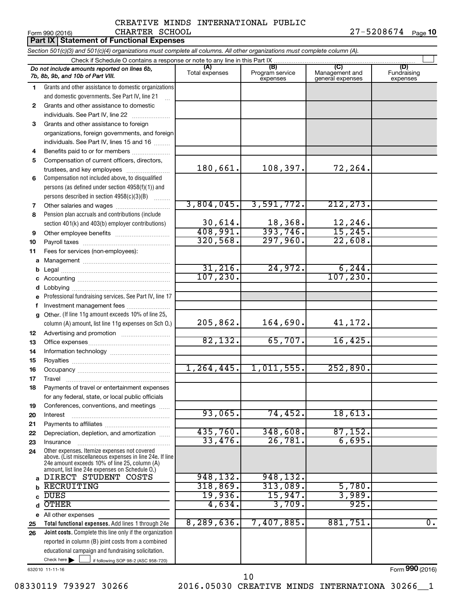#### Form 990 (2016) CHARTER SCHOOL 2 7 – 5 2 0 8 6 7 4 <sub>Page</sub> **10** CREATIVE MINDS INTERNATIONAL PUBLIC CHARTER SCHOOL

|          | Part IX   Statement of Functional Expenses                                                                                                                                                                  |                       |                                    |                                           |                                |
|----------|-------------------------------------------------------------------------------------------------------------------------------------------------------------------------------------------------------------|-----------------------|------------------------------------|-------------------------------------------|--------------------------------|
|          | Section 501(c)(3) and 501(c)(4) organizations must complete all columns. All other organizations must complete column (A).                                                                                  |                       |                                    |                                           |                                |
|          | Check if Schedule O contains a response or note to any line in this Part IX                                                                                                                                 |                       |                                    |                                           |                                |
|          | Do not include amounts reported on lines 6b,<br>7b, 8b, 9b, and 10b of Part VIII.                                                                                                                           | (A)<br>Total expenses | (B)<br>Program service<br>expenses | (C)<br>Management and<br>general expenses | (D)<br>Fundraising<br>expenses |
| 1.       | Grants and other assistance to domestic organizations                                                                                                                                                       |                       |                                    |                                           |                                |
|          | and domestic governments. See Part IV, line 21                                                                                                                                                              |                       |                                    |                                           |                                |
| 2        | Grants and other assistance to domestic                                                                                                                                                                     |                       |                                    |                                           |                                |
|          | individuals. See Part IV, line 22                                                                                                                                                                           |                       |                                    |                                           |                                |
| 3        | Grants and other assistance to foreign                                                                                                                                                                      |                       |                                    |                                           |                                |
|          | organizations, foreign governments, and foreign                                                                                                                                                             |                       |                                    |                                           |                                |
|          | individuals. See Part IV, lines 15 and 16                                                                                                                                                                   |                       |                                    |                                           |                                |
| 4        | Benefits paid to or for members                                                                                                                                                                             |                       |                                    |                                           |                                |
| 5        | Compensation of current officers, directors,                                                                                                                                                                |                       |                                    |                                           |                                |
|          | trustees, and key employees                                                                                                                                                                                 | 180,661.              | 108, 397.                          | 72,264.                                   |                                |
| 6        | Compensation not included above, to disqualified                                                                                                                                                            |                       |                                    |                                           |                                |
|          | persons (as defined under section 4958(f)(1)) and                                                                                                                                                           |                       |                                    |                                           |                                |
|          | persons described in section 4958(c)(3)(B)<br>$\sim$                                                                                                                                                        | 3,804,045.            | 3,591,772.                         | 212, 273.                                 |                                |
| 7<br>8   | Pension plan accruals and contributions (include                                                                                                                                                            |                       |                                    |                                           |                                |
|          | section 401(k) and 403(b) employer contributions)                                                                                                                                                           | 30,614.               |                                    |                                           |                                |
| 9        | Other employee benefits                                                                                                                                                                                     | 408,991.              | $\frac{18,368}{393,746}$           | $\frac{12,246}{15,245}$                   |                                |
| 10       |                                                                                                                                                                                                             | 320, 568.             | 297,960.                           | 22,608.                                   |                                |
| 11       | Fees for services (non-employees):                                                                                                                                                                          |                       |                                    |                                           |                                |
|          |                                                                                                                                                                                                             |                       |                                    |                                           |                                |
| b        |                                                                                                                                                                                                             | 31,216.               | 24,972.                            | 6, 244.                                   |                                |
| c        |                                                                                                                                                                                                             | 107, 230.             |                                    | 107, 230.                                 |                                |
| d        |                                                                                                                                                                                                             |                       |                                    |                                           |                                |
| e        | Professional fundraising services. See Part IV, line 17                                                                                                                                                     |                       |                                    |                                           |                                |
| f        | Investment management fees                                                                                                                                                                                  |                       |                                    |                                           |                                |
| g        | Other. (If line 11g amount exceeds 10% of line 25,                                                                                                                                                          |                       |                                    |                                           |                                |
|          | column (A) amount, list line 11g expenses on Sch O.)                                                                                                                                                        | 205,862.              | 164,690.                           | 41,172.                                   |                                |
| 12       |                                                                                                                                                                                                             |                       |                                    |                                           |                                |
| 13       |                                                                                                                                                                                                             | 82,132.               | 65,707.                            | 16,425.                                   |                                |
| 14       |                                                                                                                                                                                                             |                       |                                    |                                           |                                |
| 15       |                                                                                                                                                                                                             | 1, 264, 445.          | 1,011,555.                         | 252,890.                                  |                                |
| 16       |                                                                                                                                                                                                             |                       |                                    |                                           |                                |
| 17<br>18 | Travel<br>Payments of travel or entertainment expenses                                                                                                                                                      |                       |                                    |                                           |                                |
|          | for any federal, state, or local public officials                                                                                                                                                           |                       |                                    |                                           |                                |
| 19       | Conferences, conventions, and meetings                                                                                                                                                                      |                       |                                    |                                           |                                |
| 20       | Interest                                                                                                                                                                                                    | 93,065.               | 74,452.                            | 18,613.                                   |                                |
| 21       |                                                                                                                                                                                                             |                       |                                    |                                           |                                |
| 22       | Depreciation, depletion, and amortization                                                                                                                                                                   | 435,760.              | 348,608.                           | 87,152.                                   |                                |
| 23       | Insurance                                                                                                                                                                                                   | 33,476.               | 26,781.                            | 6,695.                                    |                                |
| 24       | Other expenses. Itemize expenses not covered<br>above. (List miscellaneous expenses in line 24e. If line<br>24e amount exceeds 10% of line 25, column (A)<br>amount, list line 24e expenses on Schedule O.) |                       |                                    |                                           |                                |
| a        | DIRECT STUDENT COSTS                                                                                                                                                                                        | 948,132.              | 948,132.                           |                                           |                                |
| b        | <b>RECRUITING</b>                                                                                                                                                                                           | 318,869.              | 313,089.                           | 5,780.                                    |                                |
| C        | <b>DUES</b>                                                                                                                                                                                                 | 19,936.               | 15,947.                            | 3,989.                                    |                                |
| d        | <b>OTHER</b>                                                                                                                                                                                                | 4,634.                | 3,709.                             | 925.                                      |                                |
|          | e All other expenses                                                                                                                                                                                        |                       |                                    |                                           |                                |
| 25       | Total functional expenses. Add lines 1 through 24e                                                                                                                                                          | 8,289,636.            | 7,407,885.                         | 881,751                                   | $\overline{0}$ .               |
| 26       | Joint costs. Complete this line only if the organization                                                                                                                                                    |                       |                                    |                                           |                                |
|          | reported in column (B) joint costs from a combined                                                                                                                                                          |                       |                                    |                                           |                                |
|          | educational campaign and fundraising solicitation.<br>Check here $\blacktriangleright$                                                                                                                      |                       |                                    |                                           |                                |
|          | if following SOP 98-2 (ASC 958-720)<br>632010 11-11-16                                                                                                                                                      |                       |                                    |                                           | Form 990 (2016)                |

08330119 793927 30266 2016.05030 CREATIVE MINDS INTERNATIONA 30266\_1 10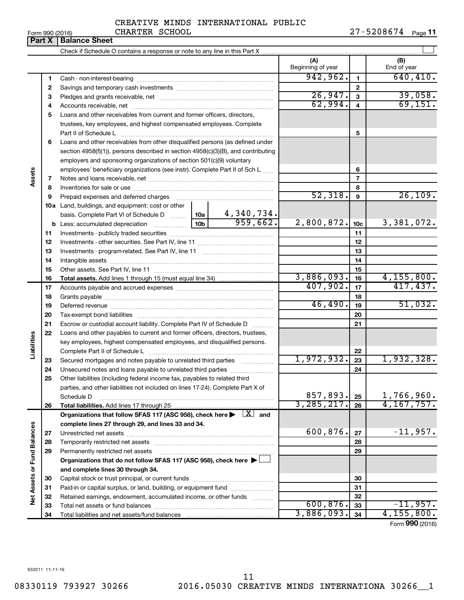|  | Form 990 (2016) |
|--|-----------------|
|  |                 |

#### CREATIVE MINDS INTERNATIONAL PUBLIC CHARTER SCHOOL

Form 990 (2016) CHARTER SCHOOL 2 7 – 5 2 0 8 6 7 4 <sub>Page</sub> **11** 

|                             | וטו טביט ובוויט<br><b>Part X</b> | <b>Balance Sheet</b>                                                                                                                                          |   |                          |                         | , auc <b>, ,</b>   |
|-----------------------------|----------------------------------|---------------------------------------------------------------------------------------------------------------------------------------------------------------|---|--------------------------|-------------------------|--------------------|
|                             |                                  |                                                                                                                                                               |   |                          |                         |                    |
|                             |                                  |                                                                                                                                                               |   | (A)<br>Beginning of year |                         | (B)<br>End of year |
|                             | 1                                |                                                                                                                                                               |   | 942,962.                 | $\mathbf{1}$            | 640, 410.          |
|                             | 2                                |                                                                                                                                                               |   |                          | $\mathbf{2}$            |                    |
|                             | 3                                |                                                                                                                                                               |   | 26,947.                  | 3                       | 39,058.            |
|                             | 4                                |                                                                                                                                                               |   | 62,994.                  | $\overline{\mathbf{4}}$ | 69,151.            |
|                             | 5                                | Loans and other receivables from current and former officers, directors,                                                                                      |   |                          |                         |                    |
|                             |                                  | trustees, key employees, and highest compensated employees. Complete<br>Part II of Schedule L                                                                 |   |                          | 5                       |                    |
|                             | 6                                | Loans and other receivables from other disqualified persons (as defined under                                                                                 |   |                          |                         |                    |
|                             |                                  | section 4958(f)(1)), persons described in section 4958(c)(3)(B), and contributing                                                                             |   |                          |                         |                    |
|                             |                                  | employers and sponsoring organizations of section 501(c)(9) voluntary                                                                                         |   |                          |                         |                    |
|                             |                                  | employees' beneficiary organizations (see instr). Complete Part II of Sch L                                                                                   |   |                          | 6                       |                    |
| Assets                      | 7                                |                                                                                                                                                               |   |                          | $\overline{7}$          |                    |
|                             | 8                                |                                                                                                                                                               |   |                          | 8                       |                    |
|                             | 9                                |                                                                                                                                                               |   | 52,318.                  | 9                       | 26,109.            |
|                             | 10a                              | Land, buildings, and equipment: cost or other                                                                                                                 |   |                          |                         |                    |
|                             |                                  |                                                                                                                                                               |   |                          |                         |                    |
|                             |                                  |                                                                                                                                                               |   | 2,800,872.               | 10 <sub>c</sub>         | 3,381,072.         |
|                             | 11                               |                                                                                                                                                               |   |                          | 11                      |                    |
|                             | 12                               |                                                                                                                                                               |   |                          | 12                      |                    |
|                             | 13                               |                                                                                                                                                               |   |                          | 13                      |                    |
|                             | 14                               |                                                                                                                                                               |   |                          | 14                      |                    |
|                             | 15                               |                                                                                                                                                               |   |                          | 15                      |                    |
|                             | 16                               |                                                                                                                                                               |   | 3,886,093.               | 16                      | 4,155,800.         |
|                             | 17                               |                                                                                                                                                               |   | 407,902.                 | 17                      | 417,437.           |
|                             | 18                               |                                                                                                                                                               |   |                          | 18                      |                    |
|                             | 19                               |                                                                                                                                                               |   | 46,490.                  | 19                      | 51,032.            |
|                             | 20                               |                                                                                                                                                               |   |                          | 20                      |                    |
|                             | 21                               | Escrow or custodial account liability. Complete Part IV of Schedule D                                                                                         |   |                          | 21                      |                    |
|                             | 22                               | Loans and other payables to current and former officers, directors, trustees,                                                                                 |   |                          |                         |                    |
|                             |                                  | key employees, highest compensated employees, and disqualified persons.                                                                                       |   |                          |                         |                    |
| Liabilities                 |                                  |                                                                                                                                                               |   | 1,972,932.               | 22                      | 1,932,328.         |
|                             | 23                               | Secured mortgages and notes payable to unrelated third parties                                                                                                | . |                          | 23                      |                    |
|                             | 24                               | Unsecured notes and loans payable to unrelated third parties                                                                                                  |   |                          | 24                      |                    |
|                             | 25                               | Other liabilities (including federal income tax, payables to related third<br>parties, and other liabilities not included on lines 17-24). Complete Part X of |   |                          |                         |                    |
|                             |                                  | Schedule D                                                                                                                                                    |   | 857,893.                 | 25                      | 1,766,960.         |
|                             | 26                               |                                                                                                                                                               |   | 3, 285, 217.             | 26                      | 4, 167, 757.       |
|                             |                                  | Organizations that follow SFAS 117 (ASC 958), check here $\blacktriangleright \begin{array}{c} \boxed{X} \\ \end{array}$ and                                  |   |                          |                         |                    |
|                             |                                  | complete lines 27 through 29, and lines 33 and 34.                                                                                                            |   |                          |                         |                    |
|                             | 27                               |                                                                                                                                                               |   | 600,876.                 | 27                      | $-11,957.$         |
|                             | 28                               |                                                                                                                                                               |   |                          | 28                      |                    |
| Net Assets or Fund Balances | 29                               | Permanently restricted net assets                                                                                                                             |   |                          | 29                      |                    |
|                             |                                  | Organizations that do not follow SFAS 117 (ASC 958), check here $\blacktriangleright$                                                                         |   |                          |                         |                    |
|                             |                                  | and complete lines 30 through 34.                                                                                                                             |   |                          |                         |                    |
|                             | 30                               |                                                                                                                                                               |   |                          | 30                      |                    |
|                             | 31                               | Paid-in or capital surplus, or land, building, or equipment fund                                                                                              |   |                          | 31                      |                    |
|                             | 32                               | Retained earnings, endowment, accumulated income, or other funds                                                                                              |   |                          | 32                      |                    |
|                             |                                  |                                                                                                                                                               |   | 600 876                  | $\sim$                  | 957                |

Form (2016) **990**  $3,886,093.$   $34$   $4,155,800.$ 

**32 33 34**

 $\overline{600, 876.}$  33  $\overline{11, 957.}$ 

632011 11-11-16

**33 34**

Total net assets or fund balances ............................ Total liabilities and net assets/fund balances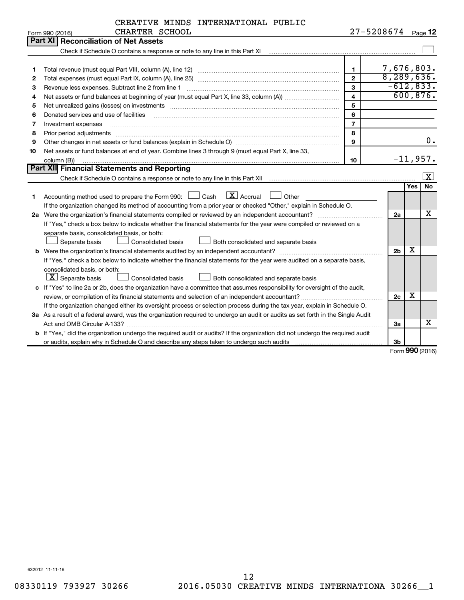| CREATIVE MINDS INTERNATIONAL PUBLIC |  |  |
|-------------------------------------|--|--|
|-------------------------------------|--|--|

|    | CHARTER SCHOOL<br>Form 990 (2016)                                                                                                                                                                                              |                         | 27-5208674     |            | Page 12                 |
|----|--------------------------------------------------------------------------------------------------------------------------------------------------------------------------------------------------------------------------------|-------------------------|----------------|------------|-------------------------|
|    | Part XI<br>Reconciliation of Net Assets                                                                                                                                                                                        |                         |                |            |                         |
|    | Check if Schedule O contains a response or note to any line in this Part XI [11] [11] Check if Schedule O contains a response or note to any line in this Part XI                                                              |                         |                |            |                         |
|    |                                                                                                                                                                                                                                |                         |                |            |                         |
| 1  |                                                                                                                                                                                                                                | $\blacksquare$          | 7,676,803.     |            |                         |
| 2  |                                                                                                                                                                                                                                | $\mathfrak{p}$          | 8,289,636.     |            |                         |
| З  | Revenue less expenses. Subtract line 2 from line 1                                                                                                                                                                             | $\mathbf{3}$            | $-612,833.$    |            |                         |
| 4  | Net assets or fund balances at beginning of year (must equal Part X, line 33, column (A)) <i>[[[[[[[[[[[[]]</i> ]                                                                                                              | $\overline{\mathbf{4}}$ |                |            | 600, 876.               |
| 5  | Net unrealized gains (losses) on investments [11] matter than the control of the state of the state of the state of the state of the state of the state of the state of the state of the state of the state of the state of th | 5                       |                |            |                         |
| 6  | Donated services and use of facilities                                                                                                                                                                                         | 6                       |                |            |                         |
| 7  | Investment expenses                                                                                                                                                                                                            | $\overline{7}$          |                |            |                         |
| 8  | Prior period adjustments                                                                                                                                                                                                       | 8                       |                |            |                         |
| 9  |                                                                                                                                                                                                                                | 9                       |                |            | $\overline{0}$ .        |
| 10 | Net assets or fund balances at end of year. Combine lines 3 through 9 (must equal Part X, line 33,                                                                                                                             |                         |                |            |                         |
|    | column (B))                                                                                                                                                                                                                    | 10                      |                |            | $-11,957.$              |
|    | Part XII Financial Statements and Reporting                                                                                                                                                                                    |                         |                |            |                         |
|    |                                                                                                                                                                                                                                |                         |                |            | $\overline{\mathbf{X}}$ |
|    |                                                                                                                                                                                                                                |                         |                | <b>Yes</b> | <b>No</b>               |
| 1  | $\overline{\mathbf{X}}$ Accrual<br>Accounting method used to prepare the Form 990: $\Box$ Cash<br>Other                                                                                                                        |                         |                |            |                         |
|    | If the organization changed its method of accounting from a prior year or checked "Other," explain in Schedule O.                                                                                                              |                         |                |            |                         |
|    | 2a Were the organization's financial statements compiled or reviewed by an independent accountant?                                                                                                                             |                         | 2a             |            | х                       |
|    | If "Yes," check a box below to indicate whether the financial statements for the year were compiled or reviewed on a                                                                                                           |                         |                |            |                         |
|    | separate basis, consolidated basis, or both:                                                                                                                                                                                   |                         |                |            |                         |
|    | Separate basis<br>Consolidated basis<br>Both consolidated and separate basis                                                                                                                                                   |                         |                |            |                         |
|    |                                                                                                                                                                                                                                |                         | 2 <sub>b</sub> | х          |                         |
|    | If "Yes," check a box below to indicate whether the financial statements for the year were audited on a separate basis,                                                                                                        |                         |                |            |                         |
|    | consolidated basis, or both:                                                                                                                                                                                                   |                         |                |            |                         |
|    | $ \mathbf{X} $ Separate basis<br>Consolidated basis<br>Both consolidated and separate basis                                                                                                                                    |                         |                |            |                         |
|    | c If "Yes" to line 2a or 2b, does the organization have a committee that assumes responsibility for oversight of the audit,                                                                                                    |                         |                |            |                         |
|    |                                                                                                                                                                                                                                |                         | 2c             | х          |                         |
|    | If the organization changed either its oversight process or selection process during the tax year, explain in Schedule O.                                                                                                      |                         |                |            |                         |
|    | 3a As a result of a federal award, was the organization required to undergo an audit or audits as set forth in the Single Audit                                                                                                |                         |                |            |                         |
|    |                                                                                                                                                                                                                                |                         | За             |            | x                       |
|    | b If "Yes," did the organization undergo the required audit or audits? If the organization did not undergo the required audit                                                                                                  |                         |                |            |                         |
|    |                                                                                                                                                                                                                                |                         | 3b             |            |                         |

Form (2016) **990**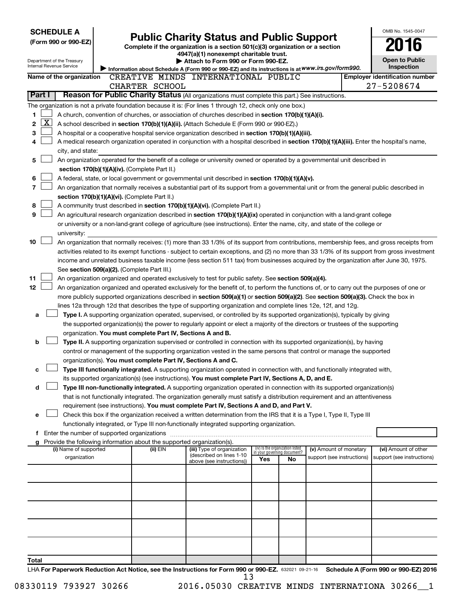| <b>SCHEDULE A</b>                                                                                         |                                               |                                                                        |                                                                                                                                                                                                                                               |     |                                                                |                            | OMB No. 1545-0047                     |
|-----------------------------------------------------------------------------------------------------------|-----------------------------------------------|------------------------------------------------------------------------|-----------------------------------------------------------------------------------------------------------------------------------------------------------------------------------------------------------------------------------------------|-----|----------------------------------------------------------------|----------------------------|---------------------------------------|
| (Form 990 or 990-EZ)                                                                                      |                                               |                                                                        | <b>Public Charity Status and Public Support</b>                                                                                                                                                                                               |     |                                                                |                            |                                       |
|                                                                                                           |                                               |                                                                        | Complete if the organization is a section 501(c)(3) organization or a section<br>4947(a)(1) nonexempt charitable trust.                                                                                                                       |     |                                                                |                            |                                       |
| Department of the Treasury                                                                                |                                               |                                                                        | Attach to Form 990 or Form 990-EZ.                                                                                                                                                                                                            |     |                                                                |                            | <b>Open to Public</b>                 |
| Internal Revenue Service                                                                                  |                                               |                                                                        | Information about Schedule A (Form 990 or 990-EZ) and its instructions is at WWW.irs.gov/form990.                                                                                                                                             |     |                                                                |                            | Inspection                            |
| Name of the organization                                                                                  |                                               |                                                                        | CREATIVE MINDS INTERNATIONAL PUBLIC                                                                                                                                                                                                           |     |                                                                |                            | <b>Employer identification number</b> |
|                                                                                                           |                                               | CHARTER SCHOOL                                                         |                                                                                                                                                                                                                                               |     |                                                                |                            | 27-5208674                            |
| Part I                                                                                                    |                                               |                                                                        | Reason for Public Charity Status (All organizations must complete this part.) See instructions.                                                                                                                                               |     |                                                                |                            |                                       |
| The organization is not a private foundation because it is: (For lines 1 through 12, check only one box.) |                                               |                                                                        |                                                                                                                                                                                                                                               |     |                                                                |                            |                                       |
| 1                                                                                                         |                                               |                                                                        | A church, convention of churches, or association of churches described in section 170(b)(1)(A)(i).                                                                                                                                            |     |                                                                |                            |                                       |
| $\mathbf{X}$<br>2                                                                                         |                                               |                                                                        | A school described in section 170(b)(1)(A)(ii). (Attach Schedule E (Form 990 or 990-EZ).)                                                                                                                                                     |     |                                                                |                            |                                       |
| 3                                                                                                         |                                               |                                                                        | A hospital or a cooperative hospital service organization described in section 170(b)(1)(A)(iii).                                                                                                                                             |     |                                                                |                            |                                       |
| 4                                                                                                         |                                               |                                                                        | A medical research organization operated in conjunction with a hospital described in section 170(b)(1)(A)(iii). Enter the hospital's name,                                                                                                    |     |                                                                |                            |                                       |
| city, and state:                                                                                          |                                               |                                                                        |                                                                                                                                                                                                                                               |     |                                                                |                            |                                       |
| 5                                                                                                         |                                               |                                                                        | An organization operated for the benefit of a college or university owned or operated by a governmental unit described in                                                                                                                     |     |                                                                |                            |                                       |
|                                                                                                           | section 170(b)(1)(A)(iv). (Complete Part II.) |                                                                        |                                                                                                                                                                                                                                               |     |                                                                |                            |                                       |
| 6                                                                                                         |                                               |                                                                        | A federal, state, or local government or governmental unit described in section 170(b)(1)(A)(v).                                                                                                                                              |     |                                                                |                            |                                       |
| 7                                                                                                         |                                               |                                                                        | An organization that normally receives a substantial part of its support from a governmental unit or from the general public described in                                                                                                     |     |                                                                |                            |                                       |
|                                                                                                           | section 170(b)(1)(A)(vi). (Complete Part II.) |                                                                        |                                                                                                                                                                                                                                               |     |                                                                |                            |                                       |
| 8                                                                                                         |                                               |                                                                        | A community trust described in section 170(b)(1)(A)(vi). (Complete Part II.)                                                                                                                                                                  |     |                                                                |                            |                                       |
| 9                                                                                                         |                                               |                                                                        | An agricultural research organization described in section 170(b)(1)(A)(ix) operated in conjunction with a land-grant college                                                                                                                 |     |                                                                |                            |                                       |
|                                                                                                           |                                               |                                                                        | or university or a non-land-grant college of agriculture (see instructions). Enter the name, city, and state of the college or                                                                                                                |     |                                                                |                            |                                       |
| university:                                                                                               |                                               |                                                                        |                                                                                                                                                                                                                                               |     |                                                                |                            |                                       |
| 10                                                                                                        |                                               |                                                                        | An organization that normally receives: (1) more than 33 1/3% of its support from contributions, membership fees, and gross receipts from                                                                                                     |     |                                                                |                            |                                       |
|                                                                                                           |                                               |                                                                        | activities related to its exempt functions - subject to certain exceptions, and (2) no more than 33 1/3% of its support from gross investment                                                                                                 |     |                                                                |                            |                                       |
|                                                                                                           |                                               |                                                                        | income and unrelated business taxable income (less section 511 tax) from businesses acquired by the organization after June 30, 1975.                                                                                                         |     |                                                                |                            |                                       |
|                                                                                                           | See section 509(a)(2). (Complete Part III.)   |                                                                        |                                                                                                                                                                                                                                               |     |                                                                |                            |                                       |
| 11<br>12 <sub>2</sub>                                                                                     |                                               |                                                                        | An organization organized and operated exclusively to test for public safety. See section 509(a)(4).                                                                                                                                          |     |                                                                |                            |                                       |
|                                                                                                           |                                               |                                                                        | An organization organized and operated exclusively for the benefit of, to perform the functions of, or to carry out the purposes of one or                                                                                                    |     |                                                                |                            |                                       |
|                                                                                                           |                                               |                                                                        | more publicly supported organizations described in section 509(a)(1) or section 509(a)(2). See section 509(a)(3). Check the box in                                                                                                            |     |                                                                |                            |                                       |
|                                                                                                           |                                               |                                                                        | lines 12a through 12d that describes the type of supporting organization and complete lines 12e, 12f, and 12g.<br>Type I. A supporting organization operated, supervised, or controlled by its supported organization(s), typically by giving |     |                                                                |                            |                                       |
| a                                                                                                         |                                               |                                                                        | the supported organization(s) the power to regularly appoint or elect a majority of the directors or trustees of the supporting                                                                                                               |     |                                                                |                            |                                       |
|                                                                                                           |                                               | organization. You must complete Part IV, Sections A and B.             |                                                                                                                                                                                                                                               |     |                                                                |                            |                                       |
| b                                                                                                         |                                               |                                                                        | Type II. A supporting organization supervised or controlled in connection with its supported organization(s), by having                                                                                                                       |     |                                                                |                            |                                       |
|                                                                                                           |                                               |                                                                        | control or management of the supporting organization vested in the same persons that control or manage the supported                                                                                                                          |     |                                                                |                            |                                       |
|                                                                                                           |                                               | organization(s). You must complete Part IV, Sections A and C.          |                                                                                                                                                                                                                                               |     |                                                                |                            |                                       |
| с                                                                                                         |                                               |                                                                        | Type III functionally integrated. A supporting organization operated in connection with, and functionally integrated with,                                                                                                                    |     |                                                                |                            |                                       |
|                                                                                                           |                                               |                                                                        | its supported organization(s) (see instructions). You must complete Part IV, Sections A, D, and E.                                                                                                                                            |     |                                                                |                            |                                       |
| d                                                                                                         |                                               |                                                                        | Type III non-functionally integrated. A supporting organization operated in connection with its supported organization(s)                                                                                                                     |     |                                                                |                            |                                       |
|                                                                                                           |                                               |                                                                        | that is not functionally integrated. The organization generally must satisfy a distribution requirement and an attentiveness                                                                                                                  |     |                                                                |                            |                                       |
|                                                                                                           |                                               |                                                                        | requirement (see instructions). You must complete Part IV, Sections A and D, and Part V.                                                                                                                                                      |     |                                                                |                            |                                       |
| е                                                                                                         |                                               |                                                                        | Check this box if the organization received a written determination from the IRS that it is a Type I, Type II, Type III                                                                                                                       |     |                                                                |                            |                                       |
|                                                                                                           |                                               |                                                                        | functionally integrated, or Type III non-functionally integrated supporting organization.                                                                                                                                                     |     |                                                                |                            |                                       |
|                                                                                                           |                                               |                                                                        |                                                                                                                                                                                                                                               |     |                                                                |                            |                                       |
|                                                                                                           |                                               | Provide the following information about the supported organization(s). |                                                                                                                                                                                                                                               |     |                                                                |                            |                                       |
| (i) Name of supported                                                                                     |                                               | (ii) EIN                                                               | (iii) Type of organization<br>(described on lines 1-10                                                                                                                                                                                        |     | (iv) Is the organization listed<br>in your governing document? | (v) Amount of monetary     | (vi) Amount of other                  |
| organization                                                                                              |                                               |                                                                        | above (see instructions))                                                                                                                                                                                                                     | Yes | No                                                             | support (see instructions) | support (see instructions)            |
|                                                                                                           |                                               |                                                                        |                                                                                                                                                                                                                                               |     |                                                                |                            |                                       |
|                                                                                                           |                                               |                                                                        |                                                                                                                                                                                                                                               |     |                                                                |                            |                                       |
|                                                                                                           |                                               |                                                                        |                                                                                                                                                                                                                                               |     |                                                                |                            |                                       |
|                                                                                                           |                                               |                                                                        |                                                                                                                                                                                                                                               |     |                                                                |                            |                                       |
|                                                                                                           |                                               |                                                                        |                                                                                                                                                                                                                                               |     |                                                                |                            |                                       |
|                                                                                                           |                                               |                                                                        |                                                                                                                                                                                                                                               |     |                                                                |                            |                                       |
|                                                                                                           |                                               |                                                                        |                                                                                                                                                                                                                                               |     |                                                                |                            |                                       |
|                                                                                                           |                                               |                                                                        |                                                                                                                                                                                                                                               |     |                                                                |                            |                                       |
|                                                                                                           |                                               |                                                                        |                                                                                                                                                                                                                                               |     |                                                                |                            |                                       |
|                                                                                                           |                                               |                                                                        |                                                                                                                                                                                                                                               |     |                                                                |                            |                                       |
| Total                                                                                                     |                                               |                                                                        | UA For Department Poduction Act Notice, see the Instructions for Form 000 or 000 FZ, seems as as a Cohodule A (Form 000 or 000 FZ) 2016                                                                                                       |     |                                                                |                            |                                       |

632021 09-21-16 **For Paperwork Reduction Act Notice, see the Instructions for Form 990 or 990-EZ. Schedule A (Form 990 or 990-EZ) 2016** LHA F 13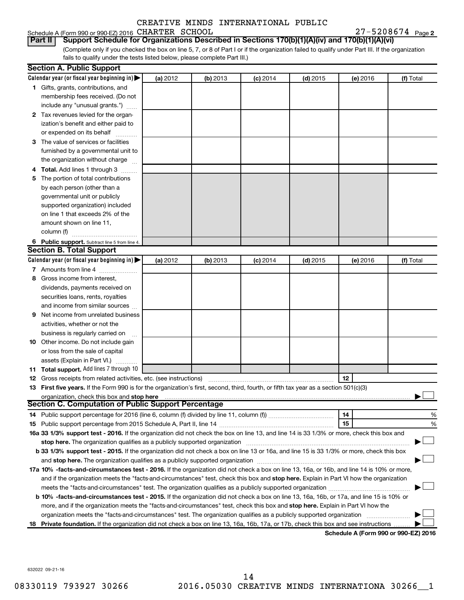| Schedule A (Form 990 or 990-EZ) 2016 CHARTER SCHOOL |  | $27 - 5208674$ Page 2 |  |
|-----------------------------------------------------|--|-----------------------|--|
|-----------------------------------------------------|--|-----------------------|--|

(Complete only if you checked the box on line 5, 7, or 8 of Part I or if the organization failed to qualify under Part III. If the organization **Part II Support Schedule for Organizations Described in Sections 170(b)(1)(A)(iv) and 170(b)(1)(A)(vi)**

fails to qualify under the tests listed below, please complete Part III.)

|     | <b>Section A. Public Support</b>                                                                                                                                                                                               |          |          |            |            |                                      |           |
|-----|--------------------------------------------------------------------------------------------------------------------------------------------------------------------------------------------------------------------------------|----------|----------|------------|------------|--------------------------------------|-----------|
|     | Calendar year (or fiscal year beginning in) $\blacktriangleright$                                                                                                                                                              | (a) 2012 | (b) 2013 | $(c)$ 2014 | $(d)$ 2015 | (e) 2016                             | (f) Total |
|     | 1 Gifts, grants, contributions, and                                                                                                                                                                                            |          |          |            |            |                                      |           |
|     | membership fees received. (Do not                                                                                                                                                                                              |          |          |            |            |                                      |           |
|     | include any "unusual grants.")                                                                                                                                                                                                 |          |          |            |            |                                      |           |
|     | 2 Tax revenues levied for the organ-                                                                                                                                                                                           |          |          |            |            |                                      |           |
|     | ization's benefit and either paid to                                                                                                                                                                                           |          |          |            |            |                                      |           |
|     | or expended on its behalf                                                                                                                                                                                                      |          |          |            |            |                                      |           |
|     | 3 The value of services or facilities                                                                                                                                                                                          |          |          |            |            |                                      |           |
|     | furnished by a governmental unit to                                                                                                                                                                                            |          |          |            |            |                                      |           |
|     | the organization without charge                                                                                                                                                                                                |          |          |            |            |                                      |           |
|     | Total. Add lines 1 through 3                                                                                                                                                                                                   |          |          |            |            |                                      |           |
|     | The portion of total contributions                                                                                                                                                                                             |          |          |            |            |                                      |           |
|     | by each person (other than a                                                                                                                                                                                                   |          |          |            |            |                                      |           |
|     | governmental unit or publicly                                                                                                                                                                                                  |          |          |            |            |                                      |           |
|     | supported organization) included                                                                                                                                                                                               |          |          |            |            |                                      |           |
|     | on line 1 that exceeds 2% of the                                                                                                                                                                                               |          |          |            |            |                                      |           |
|     | amount shown on line 11,                                                                                                                                                                                                       |          |          |            |            |                                      |           |
|     | column (f)                                                                                                                                                                                                                     |          |          |            |            |                                      |           |
|     | 6 Public support. Subtract line 5 from line 4.                                                                                                                                                                                 |          |          |            |            |                                      |           |
|     | <b>Section B. Total Support</b>                                                                                                                                                                                                |          |          |            |            |                                      |           |
|     | Calendar year (or fiscal year beginning in)                                                                                                                                                                                    | (a) 2012 | (b) 2013 | $(c)$ 2014 | $(d)$ 2015 | (e) 2016                             | (f) Total |
|     | 7 Amounts from line 4                                                                                                                                                                                                          |          |          |            |            |                                      |           |
| 8   | Gross income from interest,                                                                                                                                                                                                    |          |          |            |            |                                      |           |
|     | dividends, payments received on                                                                                                                                                                                                |          |          |            |            |                                      |           |
|     | securities loans, rents, royalties                                                                                                                                                                                             |          |          |            |            |                                      |           |
|     | and income from similar sources                                                                                                                                                                                                |          |          |            |            |                                      |           |
| 9   | Net income from unrelated business                                                                                                                                                                                             |          |          |            |            |                                      |           |
|     | activities, whether or not the                                                                                                                                                                                                 |          |          |            |            |                                      |           |
|     | business is regularly carried on                                                                                                                                                                                               |          |          |            |            |                                      |           |
|     | 10 Other income. Do not include gain                                                                                                                                                                                           |          |          |            |            |                                      |           |
|     | or loss from the sale of capital                                                                                                                                                                                               |          |          |            |            |                                      |           |
|     | assets (Explain in Part VI.)                                                                                                                                                                                                   |          |          |            |            |                                      |           |
|     | <b>11 Total support.</b> Add lines 7 through 10                                                                                                                                                                                |          |          |            |            |                                      |           |
| 12  | Gross receipts from related activities, etc. (see instructions)                                                                                                                                                                |          |          |            |            | 12                                   |           |
|     | 13 First five years. If the Form 990 is for the organization's first, second, third, fourth, or fifth tax year as a section 501(c)(3)<br>organization, check this box and stop here                                            |          |          |            |            |                                      |           |
|     | Section C. Computation of Public Support Percentage                                                                                                                                                                            |          |          |            |            |                                      |           |
|     |                                                                                                                                                                                                                                |          |          |            |            | 14                                   | %         |
|     |                                                                                                                                                                                                                                |          |          |            |            | 15                                   | %         |
|     | 16a 33 1/3% support test - 2016. If the organization did not check the box on line 13, and line 14 is 33 1/3% or more, check this box and                                                                                      |          |          |            |            |                                      |           |
|     | stop here. The organization qualifies as a publicly supported organization manufactured content and the organization of the state of the state of the state of the state of the state of the state of the state of the state o |          |          |            |            |                                      |           |
|     | b 33 1/3% support test - 2015. If the organization did not check a box on line 13 or 16a, and line 15 is 33 1/3% or more, check this box                                                                                       |          |          |            |            |                                      |           |
|     | and stop here. The organization qualifies as a publicly supported organization [11] manuscription manuscription manuscription manuscription manuscription manuscription and starting and starting and starting and starting an |          |          |            |            |                                      |           |
|     | 17a 10% -facts-and-circumstances test - 2016. If the organization did not check a box on line 13, 16a, or 16b, and line 14 is 10% or more,                                                                                     |          |          |            |            |                                      |           |
|     | and if the organization meets the "facts-and-circumstances" test, check this box and stop here. Explain in Part VI how the organization                                                                                        |          |          |            |            |                                      |           |
|     | meets the "facts-and-circumstances" test. The organization qualifies as a publicly supported organization <i></i>                                                                                                              |          |          |            |            |                                      |           |
|     | b 10% -facts-and-circumstances test - 2015. If the organization did not check a box on line 13, 16a, 16b, or 17a, and line 15 is 10% or                                                                                        |          |          |            |            |                                      |           |
|     | more, and if the organization meets the "facts-and-circumstances" test, check this box and stop here. Explain in Part VI how the                                                                                               |          |          |            |            |                                      |           |
|     | organization meets the "facts-and-circumstances" test. The organization qualifies as a publicly supported organization                                                                                                         |          |          |            |            |                                      |           |
| 18. | Private foundation. If the organization did not check a box on line 13, 16a, 16b, 17a, or 17b, check this box and see instructions                                                                                             |          |          |            |            |                                      |           |
|     |                                                                                                                                                                                                                                |          |          |            |            | Schedule A (Form 990 or 990-EZ) 2016 |           |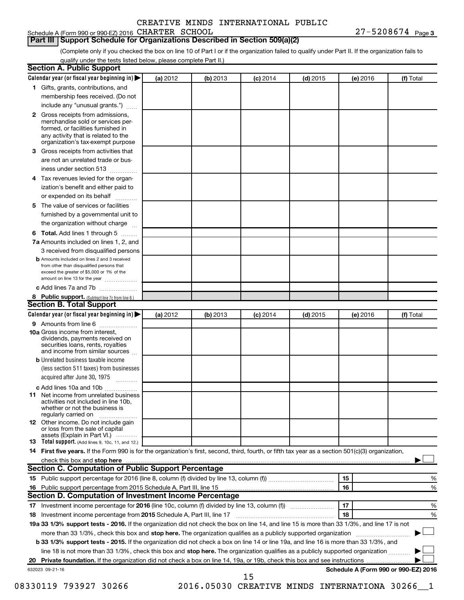# **Part III Support Schedule for Organizations Described in Section 509(a)(2)**

(Complete only if you checked the box on line 10 of Part I or if the organization failed to qualify under Part II. If the organization fails to qualify under the tests listed below, please complete Part II.)

| <b>Section A. Public Support</b>                                                                                                                                                                |          |          |            |            |          |                                      |
|-------------------------------------------------------------------------------------------------------------------------------------------------------------------------------------------------|----------|----------|------------|------------|----------|--------------------------------------|
| Calendar year (or fiscal year beginning in)                                                                                                                                                     | (a) 2012 | (b) 2013 | $(c)$ 2014 | $(d)$ 2015 | (e) 2016 | (f) Total                            |
| 1 Gifts, grants, contributions, and                                                                                                                                                             |          |          |            |            |          |                                      |
| membership fees received. (Do not                                                                                                                                                               |          |          |            |            |          |                                      |
| include any "unusual grants.")                                                                                                                                                                  |          |          |            |            |          |                                      |
| <b>2</b> Gross receipts from admissions,<br>merchandise sold or services per-<br>formed, or facilities furnished in<br>any activity that is related to the<br>organization's tax-exempt purpose |          |          |            |            |          |                                      |
| 3 Gross receipts from activities that                                                                                                                                                           |          |          |            |            |          |                                      |
| are not an unrelated trade or bus-                                                                                                                                                              |          |          |            |            |          |                                      |
| iness under section 513                                                                                                                                                                         |          |          |            |            |          |                                      |
| 4 Tax revenues levied for the organ-                                                                                                                                                            |          |          |            |            |          |                                      |
| ization's benefit and either paid to                                                                                                                                                            |          |          |            |            |          |                                      |
| or expended on its behalf                                                                                                                                                                       |          |          |            |            |          |                                      |
| 5 The value of services or facilities                                                                                                                                                           |          |          |            |            |          |                                      |
| furnished by a governmental unit to                                                                                                                                                             |          |          |            |            |          |                                      |
| the organization without charge                                                                                                                                                                 |          |          |            |            |          |                                      |
| <b>6 Total.</b> Add lines 1 through 5                                                                                                                                                           |          |          |            |            |          |                                      |
| 7a Amounts included on lines 1, 2, and                                                                                                                                                          |          |          |            |            |          |                                      |
| 3 received from disqualified persons                                                                                                                                                            |          |          |            |            |          |                                      |
| <b>b</b> Amounts included on lines 2 and 3 received<br>from other than disqualified persons that<br>exceed the greater of \$5,000 or 1% of the<br>amount on line 13 for the year                |          |          |            |            |          |                                      |
| c Add lines 7a and 7b                                                                                                                                                                           |          |          |            |            |          |                                      |
| 8 Public support. (Subtract line 7c from line 6.)                                                                                                                                               |          |          |            |            |          |                                      |
| <b>Section B. Total Support</b>                                                                                                                                                                 |          |          |            |            |          |                                      |
| Calendar year (or fiscal year beginning in)                                                                                                                                                     | (a) 2012 | (b) 2013 | $(c)$ 2014 | $(d)$ 2015 | (e) 2016 | (f) Total                            |
| 9 Amounts from line 6                                                                                                                                                                           |          |          |            |            |          |                                      |
| <b>10a</b> Gross income from interest,<br>dividends, payments received on<br>securities loans, rents, royalties<br>and income from similar sources                                              |          |          |            |            |          |                                      |
| <b>b</b> Unrelated business taxable income<br>(less section 511 taxes) from businesses<br>acquired after June 30, 1975                                                                          |          |          |            |            |          |                                      |
| c Add lines 10a and 10b                                                                                                                                                                         |          |          |            |            |          |                                      |
| <b>11</b> Net income from unrelated business<br>activities not included in line 10b.<br>whether or not the business is<br>regularly carried on                                                  |          |          |            |            |          |                                      |
| 12 Other income. Do not include gain<br>or loss from the sale of capital<br>assets (Explain in Part VI.)                                                                                        |          |          |            |            |          |                                      |
| <b>13</b> Total support. (Add lines 9, 10c, 11, and 12.)                                                                                                                                        |          |          |            |            |          |                                      |
| 14 First five years. If the Form 990 is for the organization's first, second, third, fourth, or fifth tax year as a section 501(c)(3) organization,                                             |          |          |            |            |          |                                      |
|                                                                                                                                                                                                 |          |          |            |            |          |                                      |
| Section C. Computation of Public Support Percentage                                                                                                                                             |          |          |            |            |          |                                      |
|                                                                                                                                                                                                 |          |          |            |            | 15       | %                                    |
|                                                                                                                                                                                                 |          |          |            |            | 16       | %                                    |
| Section D. Computation of Investment Income Percentage                                                                                                                                          |          |          |            |            |          |                                      |
| 17 Investment income percentage for 2016 (line 10c, column (f) divided by line 13, column (f))                                                                                                  |          |          |            |            | 17       | %                                    |
| 18 Investment income percentage from 2015 Schedule A, Part III, line 17                                                                                                                         |          |          |            |            | 18       | %                                    |
| 19a 33 1/3% support tests - 2016. If the organization did not check the box on line 14, and line 15 is more than 33 1/3%, and line 17 is not                                                    |          |          |            |            |          |                                      |
| more than 33 1/3%, check this box and stop here. The organization qualifies as a publicly supported organization                                                                                |          |          |            |            |          |                                      |
| b 33 1/3% support tests - 2015. If the organization did not check a box on line 14 or line 19a, and line 16 is more than 33 1/3%, and                                                           |          |          |            |            |          |                                      |
| line 18 is not more than 33 1/3%, check this box and stop here. The organization qualifies as a publicly supported organization                                                                 |          |          |            |            |          |                                      |
|                                                                                                                                                                                                 |          |          |            |            |          |                                      |
| 632023 09-21-16                                                                                                                                                                                 |          |          | 15         |            |          | Schedule A (Form 990 or 990-EZ) 2016 |

08330119 793927 30266 2016.05030 CREATIVE MINDS INTERNATIONA 30266\_1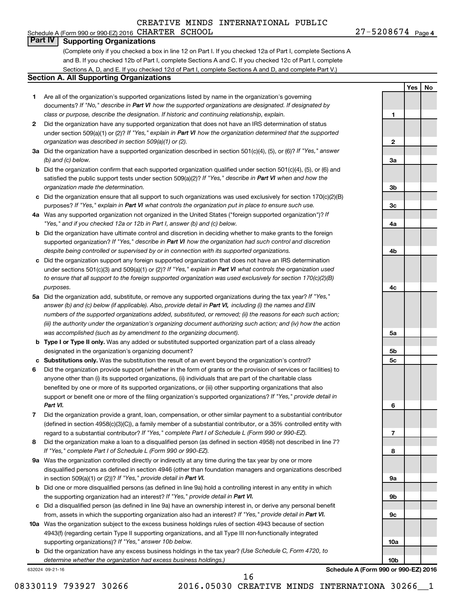#### Schedule A (Form 990 or 990-EZ) 2016 CHARTER SCHOOL  $27-5208674$  Page **Part IV Supporting Organizations**

(Complete only if you checked a box in line 12 on Part I. If you checked 12a of Part I, complete Sections A and B. If you checked 12b of Part I, complete Sections A and C. If you checked 12c of Part I, complete Sections A, D, and E. If you checked 12d of Part I, complete Sections A and D, and complete Part V.)

#### **Section A. All Supporting Organizations**

- **1** Are all of the organization's supported organizations listed by name in the organization's governing documents? If "No," describe in Part VI how the supported organizations are designated. If designated by *class or purpose, describe the designation. If historic and continuing relationship, explain.*
- **2** Did the organization have any supported organization that does not have an IRS determination of status under section 509(a)(1) or (2)? If "Yes," explain in Part VI how the organization determined that the supported *organization was described in section 509(a)(1) or (2).*
- **3a** Did the organization have a supported organization described in section 501(c)(4), (5), or (6)? If "Yes," answer *(b) and (c) below.*
- **b** Did the organization confirm that each supported organization qualified under section 501(c)(4), (5), or (6) and satisfied the public support tests under section 509(a)(2)? If "Yes," describe in Part VI when and how the *organization made the determination.*
- **c** Did the organization ensure that all support to such organizations was used exclusively for section 170(c)(2)(B) purposes? If "Yes," explain in Part VI what controls the organization put in place to ensure such use.
- **4 a** *If* Was any supported organization not organized in the United States ("foreign supported organization")? *"Yes," and if you checked 12a or 12b in Part I, answer (b) and (c) below.*
- **b** Did the organization have ultimate control and discretion in deciding whether to make grants to the foreign supported organization? If "Yes," describe in Part VI how the organization had such control and discretion *despite being controlled or supervised by or in connection with its supported organizations.*
- **c** Did the organization support any foreign supported organization that does not have an IRS determination under sections 501(c)(3) and 509(a)(1) or (2)? If "Yes," explain in Part VI what controls the organization used *to ensure that all support to the foreign supported organization was used exclusively for section 170(c)(2)(B) purposes.*
- **5a** Did the organization add, substitute, or remove any supported organizations during the tax year? If "Yes," answer (b) and (c) below (if applicable). Also, provide detail in Part VI, including (i) the names and EIN *numbers of the supported organizations added, substituted, or removed; (ii) the reasons for each such action; (iii) the authority under the organization's organizing document authorizing such action; and (iv) how the action was accomplished (such as by amendment to the organizing document).*
- **b Type I or Type II only.** Was any added or substituted supported organization part of a class already designated in the organization's organizing document?
- **c Substitutions only.**  Was the substitution the result of an event beyond the organization's control?
- **6** Did the organization provide support (whether in the form of grants or the provision of services or facilities) to support or benefit one or more of the filing organization's supported organizations? If "Yes," provide detail in anyone other than (i) its supported organizations, (ii) individuals that are part of the charitable class benefited by one or more of its supported organizations, or (iii) other supporting organizations that also *Part VI.*
- **7** Did the organization provide a grant, loan, compensation, or other similar payment to a substantial contributor regard to a substantial contributor? If "Yes," complete Part I of Schedule L (Form 990 or 990-EZ). (defined in section 4958(c)(3)(C)), a family member of a substantial contributor, or a 35% controlled entity with
- **8** Did the organization make a loan to a disqualified person (as defined in section 4958) not described in line 7? *If "Yes," complete Part I of Schedule L (Form 990 or 990-EZ).*
- **9 a** Was the organization controlled directly or indirectly at any time during the tax year by one or more in section 509(a)(1) or (2))? If "Yes," provide detail in Part VI. disqualified persons as defined in section 4946 (other than foundation managers and organizations described
- **b** Did one or more disqualified persons (as defined in line 9a) hold a controlling interest in any entity in which the supporting organization had an interest? If "Yes," provide detail in Part VI.
- **c** Did a disqualified person (as defined in line 9a) have an ownership interest in, or derive any personal benefit from, assets in which the supporting organization also had an interest? If "Yes," provide detail in Part VI.
- **10 a** Was the organization subject to the excess business holdings rules of section 4943 because of section supporting organizations)? If "Yes," answer 10b below. 4943(f) (regarding certain Type II supporting organizations, and all Type III non-functionally integrated
	- **b** Did the organization have any excess business holdings in the tax year? (Use Schedule C, Form 4720, to *determine whether the organization had excess business holdings.)*

632024 09-21-16

**Yes No 1 2 3a 3b 3c 4a 4b 4c 5a 5b 5c 6 7 8 9a 9b 9c**

 $27 - 5208674$  Page 4

**Schedule A (Form 990 or 990-EZ) 2016**

**10a**

**10b**

16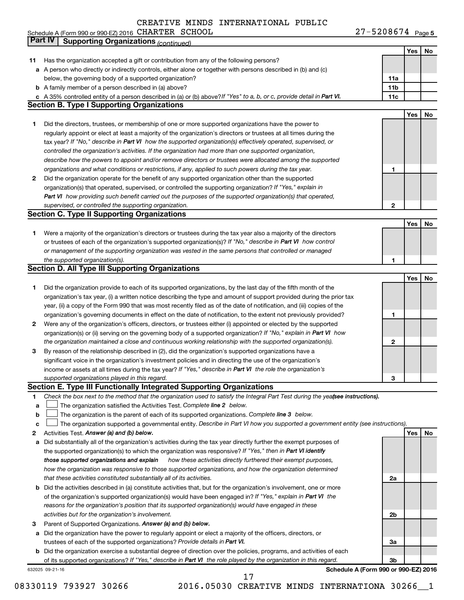Schedule A (Form 990 or 990-EZ) 2016 CHARTER SCHOOL New York Change of March 27 - 5 2 0 8 6 7 4 Page CHARTER SCHOOL 27-5208674

27-5208674 Page 5

| Part IV         | <b>Supporting Organizations (continued)</b>                                                                                     |                 |     |    |
|-----------------|---------------------------------------------------------------------------------------------------------------------------------|-----------------|-----|----|
|                 |                                                                                                                                 |                 | Yes | No |
| 11              | Has the organization accepted a gift or contribution from any of the following persons?                                         |                 |     |    |
|                 | a A person who directly or indirectly controls, either alone or together with persons described in (b) and (c)                  |                 |     |    |
|                 | below, the governing body of a supported organization?                                                                          | 11a             |     |    |
|                 | <b>b</b> A family member of a person described in (a) above?                                                                    | 11 <sub>b</sub> |     |    |
|                 | c A 35% controlled entity of a person described in (a) or (b) above? If "Yes" to a, b, or c, provide detail in Part VI.         | 11c             |     |    |
|                 | <b>Section B. Type I Supporting Organizations</b>                                                                               |                 |     |    |
|                 |                                                                                                                                 |                 | Yes | No |
|                 |                                                                                                                                 |                 |     |    |
| 1               | Did the directors, trustees, or membership of one or more supported organizations have the power to                             |                 |     |    |
|                 | regularly appoint or elect at least a majority of the organization's directors or trustees at all times during the              |                 |     |    |
|                 | tax year? If "No," describe in Part VI how the supported organization(s) effectively operated, supervised, or                   |                 |     |    |
|                 | controlled the organization's activities. If the organization had more than one supported organization,                         |                 |     |    |
|                 | describe how the powers to appoint and/or remove directors or trustees were allocated among the supported                       |                 |     |    |
|                 | organizations and what conditions or restrictions, if any, applied to such powers during the tax year.                          | 1               |     |    |
| 2               | Did the organization operate for the benefit of any supported organization other than the supported                             |                 |     |    |
|                 | organization(s) that operated, supervised, or controlled the supporting organization? If "Yes," explain in                      |                 |     |    |
|                 | Part VI how providing such benefit carried out the purposes of the supported organization(s) that operated,                     |                 |     |    |
|                 | supervised, or controlled the supporting organization.                                                                          | 2               |     |    |
|                 | <b>Section C. Type II Supporting Organizations</b>                                                                              |                 |     |    |
|                 |                                                                                                                                 |                 | Yes | No |
| 1.              | Were a majority of the organization's directors or trustees during the tax year also a majority of the directors                |                 |     |    |
|                 | or trustees of each of the organization's supported organization(s)? If "No," describe in Part VI how control                   |                 |     |    |
|                 | or management of the supporting organization was vested in the same persons that controlled or managed                          |                 |     |    |
|                 | the supported organization(s).                                                                                                  | 1               |     |    |
|                 | <b>Section D. All Type III Supporting Organizations</b>                                                                         |                 |     |    |
|                 |                                                                                                                                 |                 | Yes | No |
| 1               | Did the organization provide to each of its supported organizations, by the last day of the fifth month of the                  |                 |     |    |
|                 | organization's tax year, (i) a written notice describing the type and amount of support provided during the prior tax           |                 |     |    |
|                 | year, (ii) a copy of the Form 990 that was most recently filed as of the date of notification, and (iii) copies of the          |                 |     |    |
|                 | organization's governing documents in effect on the date of notification, to the extent not previously provided?                | 1               |     |    |
| 2               | Were any of the organization's officers, directors, or trustees either (i) appointed or elected by the supported                |                 |     |    |
|                 |                                                                                                                                 |                 |     |    |
|                 | organization(s) or (ii) serving on the governing body of a supported organization? If "No," explain in Part VI how              | 2               |     |    |
|                 | the organization maintained a close and continuous working relationship with the supported organization(s).                     |                 |     |    |
| 3               | By reason of the relationship described in (2), did the organization's supported organizations have a                           |                 |     |    |
|                 | significant voice in the organization's investment policies and in directing the use of the organization's                      |                 |     |    |
|                 | income or assets at all times during the tax year? If "Yes," describe in Part VI the role the organization's                    |                 |     |    |
|                 | supported organizations played in this regard.                                                                                  | з               |     |    |
|                 | Section E. Type III Functionally Integrated Supporting Organizations                                                            |                 |     |    |
| 1               | Check the box next to the method that the organization used to satisfy the Integral Part Test during the yealsee instructions). |                 |     |    |
| a               | The organization satisfied the Activities Test. Complete line 2 below.                                                          |                 |     |    |
| b               | The organization is the parent of each of its supported organizations. Complete line 3 below.                                   |                 |     |    |
| c               | The organization supported a governmental entity. Describe in Part VI how you supported a government entity (see instructions). |                 |     |    |
| 2               | Activities Test. Answer (a) and (b) below.                                                                                      |                 | Yes | No |
| а               | Did substantially all of the organization's activities during the tax year directly further the exempt purposes of              |                 |     |    |
|                 | the supported organization(s) to which the organization was responsive? If "Yes," then in Part VI identify                      |                 |     |    |
|                 | those supported organizations and explain<br>how these activities directly furthered their exempt purposes,                     |                 |     |    |
|                 | how the organization was responsive to those supported organizations, and how the organization determined                       |                 |     |    |
|                 | that these activities constituted substantially all of its activities.                                                          | 2a              |     |    |
|                 | <b>b</b> Did the activities described in (a) constitute activities that, but for the organization's involvement, one or more    |                 |     |    |
|                 | of the organization's supported organization(s) would have been engaged in? If "Yes," explain in Part VI the                    |                 |     |    |
|                 | reasons for the organization's position that its supported organization(s) would have engaged in these                          |                 |     |    |
|                 | activities but for the organization's involvement.                                                                              | 2b              |     |    |
| з               | Parent of Supported Organizations. Answer (a) and (b) below.                                                                    |                 |     |    |
| а               | Did the organization have the power to regularly appoint or elect a majority of the officers, directors, or                     |                 |     |    |
|                 | trustees of each of the supported organizations? Provide details in Part VI.                                                    | За              |     |    |
|                 | <b>b</b> Did the organization exercise a substantial degree of direction over the policies, programs, and activities of each    |                 |     |    |
|                 | of its supported organizations? If "Yes," describe in Part VI the role played by the organization in this regard.               | 3b              |     |    |
| 632025 09-21-16 | Schedule A (Form 990 or 990-EZ) 2016                                                                                            |                 |     |    |

08330119 793927 30266 2016.05030 CREATIVE MINDS INTERNATIONA 30266\_1 17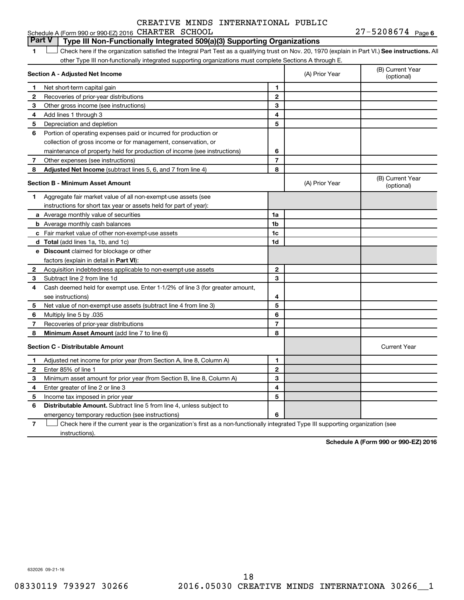#### **1 Letter or if the organization satisfied the Integral Part Test as a qualifying trust on Nov. 20, 1970 (explain in Part VI.) See instructions. All Section A - Adjusted Net Income 1 2 3 4 5 6 7 8 1 2 3 4 5 6 7 Adjusted Net Income** (subtract lines 5, 6, and 7 from line 4) **8 8 Section B - Minimum Asset Amount 1 2 3 4 5 6 7 8 a** Average monthly value of securities **b** Average monthly cash balances **c** Fair market value of other non-exempt-use assets **d Total**  (add lines 1a, 1b, and 1c) **e Discount** claimed for blockage or other **1a 1b 1c 1d 2 3 4 5 6 7 8** factors (explain in detail in Part VI): **Minimum Asset Amount**  (add line 7 to line 6) **Section C - Distributable Amount 1 2 3 4 5 6 1 2 3 4 5** Distributable Amount. Subtract line 5 from line 4, unless subject to other Type III non-functionally integrated supporting organizations must complete Sections A through E. (B) Current Year (A) Prior Year Net short-term capital gain Recoveries of prior-year distributions Other gross income (see instructions) Add lines 1 through 3 Depreciation and depletion Portion of operating expenses paid or incurred for production or collection of gross income or for management, conservation, or maintenance of property held for production of income (see instructions) Other expenses (see instructions) (B) Current Year  $(A)$  Prior Year  $\left\{\n\begin{array}{ccc}\n\end{array}\n\right\}$  (optional) Aggregate fair market value of all non-exempt-use assets (see instructions for short tax year or assets held for part of year): Acquisition indebtedness applicable to non-exempt-use assets Subtract line 2 from line 1d Cash deemed held for exempt use. Enter 1-1/2% of line 3 (for greater amount, see instructions) Net value of non-exempt-use assets (subtract line 4 from line 3) Multiply line 5 by .035 Recoveries of prior-year distributions Current Year Adjusted net income for prior year (from Section A, line 8, Column A) Enter 85% of line 1 Minimum asset amount for prior year (from Section B, line 8, Column A) Enter greater of line 2 or line 3 Income tax imposed in prior year **Part V Type III Non-Functionally Integrated 509(a)(3) Supporting Organizations**   $\Box$

emergency temporary reduction (see instructions)

**7** Check here if the current year is the organization's first as a non-functionally integrated Type III supporting organization (see † instructions).

**Schedule A (Form 990 or 990-EZ) 2016**

632026 09-21-16

**6**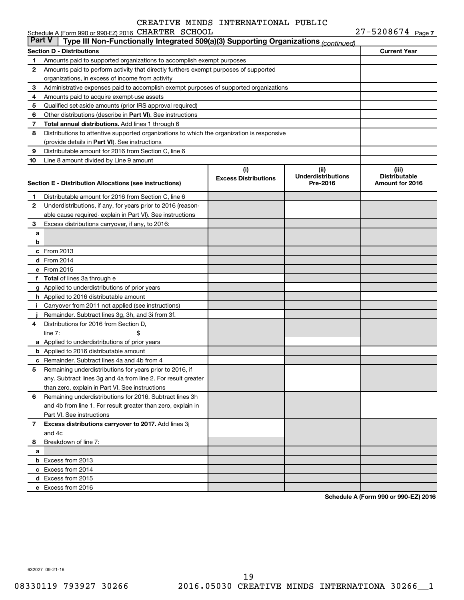|          | Schedule A (Form 990 or 990-EZ) 2016 CHARTER SCHOOL                                        |                                    |                                               | $27 - 5208674$ Page 7                            |
|----------|--------------------------------------------------------------------------------------------|------------------------------------|-----------------------------------------------|--------------------------------------------------|
| ∣ Part V | Type III Non-Functionally Integrated 509(a)(3) Supporting Organizations (continued)        |                                    |                                               |                                                  |
|          | <b>Section D - Distributions</b>                                                           |                                    |                                               | <b>Current Year</b>                              |
| 1        | Amounts paid to supported organizations to accomplish exempt purposes                      |                                    |                                               |                                                  |
| 2        | Amounts paid to perform activity that directly furthers exempt purposes of supported       |                                    |                                               |                                                  |
|          | organizations, in excess of income from activity                                           |                                    |                                               |                                                  |
| З        | Administrative expenses paid to accomplish exempt purposes of supported organizations      |                                    |                                               |                                                  |
| 4        | Amounts paid to acquire exempt-use assets                                                  |                                    |                                               |                                                  |
| 5        | Qualified set-aside amounts (prior IRS approval required)                                  |                                    |                                               |                                                  |
| 6        | Other distributions (describe in Part VI). See instructions                                |                                    |                                               |                                                  |
| 7        | Total annual distributions. Add lines 1 through 6                                          |                                    |                                               |                                                  |
| 8        | Distributions to attentive supported organizations to which the organization is responsive |                                    |                                               |                                                  |
|          | (provide details in Part VI). See instructions                                             |                                    |                                               |                                                  |
| 9        | Distributable amount for 2016 from Section C, line 6                                       |                                    |                                               |                                                  |
| 10       | Line 8 amount divided by Line 9 amount                                                     |                                    |                                               |                                                  |
|          | Section E - Distribution Allocations (see instructions)                                    | (i)<br><b>Excess Distributions</b> | (ii)<br><b>Underdistributions</b><br>Pre-2016 | (iii)<br><b>Distributable</b><br>Amount for 2016 |
| 1        | Distributable amount for 2016 from Section C, line 6                                       |                                    |                                               |                                                  |
| 2        | Underdistributions, if any, for years prior to 2016 (reason-                               |                                    |                                               |                                                  |
|          |                                                                                            |                                    |                                               |                                                  |
| З        | able cause required-explain in Part VI). See instructions                                  |                                    |                                               |                                                  |
|          | Excess distributions carryover, if any, to 2016:                                           |                                    |                                               |                                                  |
| a<br>b   |                                                                                            |                                    |                                               |                                                  |
|          | From 2013                                                                                  |                                    |                                               |                                                  |
| c        | <b>d</b> From 2014                                                                         |                                    |                                               |                                                  |
|          |                                                                                            |                                    |                                               |                                                  |
|          | e From 2015                                                                                |                                    |                                               |                                                  |
| f        | <b>Total</b> of lines 3a through e                                                         |                                    |                                               |                                                  |
|          | g Applied to underdistributions of prior years                                             |                                    |                                               |                                                  |
|          | h Applied to 2016 distributable amount                                                     |                                    |                                               |                                                  |
| Ť        | Carryover from 2011 not applied (see instructions)                                         |                                    |                                               |                                                  |
|          | Remainder. Subtract lines 3g, 3h, and 3i from 3f.                                          |                                    |                                               |                                                  |
| 4        | Distributions for 2016 from Section D,                                                     |                                    |                                               |                                                  |
|          | line $7:$                                                                                  |                                    |                                               |                                                  |
|          | a Applied to underdistributions of prior years                                             |                                    |                                               |                                                  |
|          | <b>b</b> Applied to 2016 distributable amount                                              |                                    |                                               |                                                  |
|          | <b>c</b> Remainder. Subtract lines 4a and 4b from 4                                        |                                    |                                               |                                                  |
|          | Remaining underdistributions for years prior to 2016, if                                   |                                    |                                               |                                                  |
|          | any. Subtract lines 3g and 4a from line 2. For result greater                              |                                    |                                               |                                                  |
|          | than zero, explain in Part VI. See instructions                                            |                                    |                                               |                                                  |
| 6        | Remaining underdistributions for 2016. Subtract lines 3h                                   |                                    |                                               |                                                  |
|          | and 4b from line 1. For result greater than zero, explain in                               |                                    |                                               |                                                  |
|          | Part VI. See instructions                                                                  |                                    |                                               |                                                  |
| 7        | Excess distributions carryover to 2017. Add lines 3j                                       |                                    |                                               |                                                  |
|          | and 4c                                                                                     |                                    |                                               |                                                  |
| 8        | Breakdown of line 7:                                                                       |                                    |                                               |                                                  |
| a        |                                                                                            |                                    |                                               |                                                  |
|          | <b>b</b> Excess from 2013                                                                  |                                    |                                               |                                                  |
|          | c Excess from 2014                                                                         |                                    |                                               |                                                  |
|          | d Excess from 2015                                                                         |                                    |                                               |                                                  |
|          | e Excess from 2016                                                                         |                                    |                                               |                                                  |

**Schedule A (Form 990 or 990-EZ) 2016**

632027 09-21-16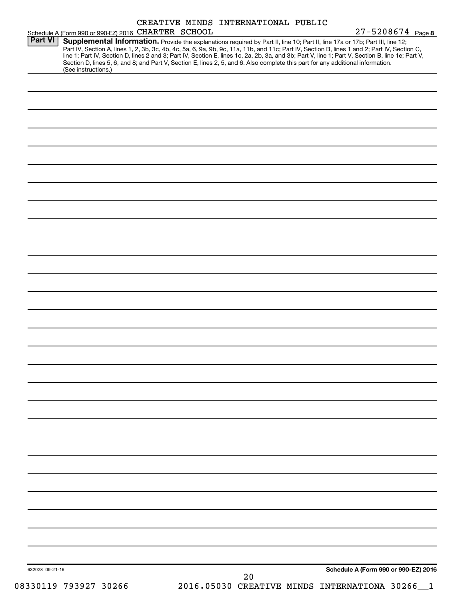| Schedule A (Form 990 or 990-EZ) 2016 CHARTER SCHOOL |  | CREATIVE MINDS INTERNATIONAL PUBLIC | $27 - 5208674$ Page 8                                                                                                                                                                                                                                                                                                                                                                                                                                                                                                                                                |
|-----------------------------------------------------|--|-------------------------------------|----------------------------------------------------------------------------------------------------------------------------------------------------------------------------------------------------------------------------------------------------------------------------------------------------------------------------------------------------------------------------------------------------------------------------------------------------------------------------------------------------------------------------------------------------------------------|
| Part VI                                             |  |                                     | Supplemental Information. Provide the explanations required by Part II, line 10; Part II, line 17a or 17b; Part III, line 12;<br>Part IV, Section A, lines 1, 2, 3b, 3c, 4b, 4c, 5a, 6, 9a, 9b, 9c, 11a, 11b, and 11c; Part IV, Section B, lines 1 and 2; Part IV, Section C,<br>line 1; Part IV, Section D, lines 2 and 3; Part IV, Section E, lines 1c, 2a, 2b, 3a, and 3b; Part V, line 1; Part V, Section B, line 1e; Part V,<br>Section D, lines 5, 6, and 8; and Part V, Section E, lines 2, 5, and 6. Also complete this part for any additional information. |
| (See instructions.)                                 |  |                                     |                                                                                                                                                                                                                                                                                                                                                                                                                                                                                                                                                                      |
|                                                     |  |                                     |                                                                                                                                                                                                                                                                                                                                                                                                                                                                                                                                                                      |
|                                                     |  |                                     |                                                                                                                                                                                                                                                                                                                                                                                                                                                                                                                                                                      |
|                                                     |  |                                     |                                                                                                                                                                                                                                                                                                                                                                                                                                                                                                                                                                      |
|                                                     |  |                                     |                                                                                                                                                                                                                                                                                                                                                                                                                                                                                                                                                                      |
|                                                     |  |                                     |                                                                                                                                                                                                                                                                                                                                                                                                                                                                                                                                                                      |
|                                                     |  |                                     |                                                                                                                                                                                                                                                                                                                                                                                                                                                                                                                                                                      |
|                                                     |  |                                     |                                                                                                                                                                                                                                                                                                                                                                                                                                                                                                                                                                      |
|                                                     |  |                                     |                                                                                                                                                                                                                                                                                                                                                                                                                                                                                                                                                                      |
|                                                     |  |                                     |                                                                                                                                                                                                                                                                                                                                                                                                                                                                                                                                                                      |
|                                                     |  |                                     |                                                                                                                                                                                                                                                                                                                                                                                                                                                                                                                                                                      |
|                                                     |  |                                     |                                                                                                                                                                                                                                                                                                                                                                                                                                                                                                                                                                      |
|                                                     |  |                                     |                                                                                                                                                                                                                                                                                                                                                                                                                                                                                                                                                                      |
|                                                     |  |                                     |                                                                                                                                                                                                                                                                                                                                                                                                                                                                                                                                                                      |
|                                                     |  |                                     |                                                                                                                                                                                                                                                                                                                                                                                                                                                                                                                                                                      |
|                                                     |  |                                     |                                                                                                                                                                                                                                                                                                                                                                                                                                                                                                                                                                      |
|                                                     |  |                                     |                                                                                                                                                                                                                                                                                                                                                                                                                                                                                                                                                                      |
|                                                     |  |                                     |                                                                                                                                                                                                                                                                                                                                                                                                                                                                                                                                                                      |
|                                                     |  |                                     |                                                                                                                                                                                                                                                                                                                                                                                                                                                                                                                                                                      |
|                                                     |  |                                     |                                                                                                                                                                                                                                                                                                                                                                                                                                                                                                                                                                      |
|                                                     |  |                                     |                                                                                                                                                                                                                                                                                                                                                                                                                                                                                                                                                                      |
|                                                     |  |                                     |                                                                                                                                                                                                                                                                                                                                                                                                                                                                                                                                                                      |
|                                                     |  |                                     |                                                                                                                                                                                                                                                                                                                                                                                                                                                                                                                                                                      |
|                                                     |  |                                     |                                                                                                                                                                                                                                                                                                                                                                                                                                                                                                                                                                      |
|                                                     |  |                                     |                                                                                                                                                                                                                                                                                                                                                                                                                                                                                                                                                                      |
|                                                     |  |                                     |                                                                                                                                                                                                                                                                                                                                                                                                                                                                                                                                                                      |
|                                                     |  |                                     |                                                                                                                                                                                                                                                                                                                                                                                                                                                                                                                                                                      |
|                                                     |  |                                     |                                                                                                                                                                                                                                                                                                                                                                                                                                                                                                                                                                      |
|                                                     |  |                                     |                                                                                                                                                                                                                                                                                                                                                                                                                                                                                                                                                                      |
|                                                     |  |                                     |                                                                                                                                                                                                                                                                                                                                                                                                                                                                                                                                                                      |
|                                                     |  |                                     |                                                                                                                                                                                                                                                                                                                                                                                                                                                                                                                                                                      |
|                                                     |  |                                     |                                                                                                                                                                                                                                                                                                                                                                                                                                                                                                                                                                      |
|                                                     |  |                                     |                                                                                                                                                                                                                                                                                                                                                                                                                                                                                                                                                                      |
|                                                     |  |                                     |                                                                                                                                                                                                                                                                                                                                                                                                                                                                                                                                                                      |
|                                                     |  |                                     |                                                                                                                                                                                                                                                                                                                                                                                                                                                                                                                                                                      |
|                                                     |  |                                     |                                                                                                                                                                                                                                                                                                                                                                                                                                                                                                                                                                      |
|                                                     |  |                                     |                                                                                                                                                                                                                                                                                                                                                                                                                                                                                                                                                                      |
| 632028 09-21-16                                     |  |                                     | Schedule A (Form 990 or 990-EZ) 2016                                                                                                                                                                                                                                                                                                                                                                                                                                                                                                                                 |
| 08330119 793927 30266                               |  | 20                                  | 2016.05030 CREATIVE MINDS INTERNATIONA 30266                                                                                                                                                                                                                                                                                                                                                                                                                                                                                                                         |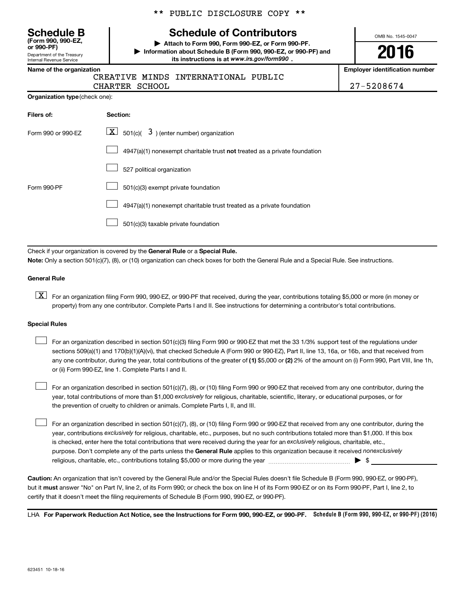Department of the Treasury **(Form 990, 990-EZ,**

Internal Revenue Service

### \*\* PUBLIC DISCLOSURE COPY \*\*

# **Schedule B Schedule of Contributors**

**or 990-PF) | Attach to Form 990, Form 990-EZ, or Form 990-PF. | Information about Schedule B (Form 990, 990-EZ, or 990-PF) and** its instructions is at www.irs.gov/form990.

OMB No. 1545-0047

# **2016**

**Name of the organization Employer identification number**

| -- |      |
|----|------|
|    | CRE. |

CREATIVE MINDS INTERNATIONAL PUBLIC CHARTER SCHOOL 27-5208674

| Organization type (check one): |
|--------------------------------|
|                                |

| Filers of:         | Section:                                                                           |
|--------------------|------------------------------------------------------------------------------------|
| Form 990 or 990-EZ | $\lfloor \mathbf{X} \rfloor$ 501(c)( 3) (enter number) organization                |
|                    | $4947(a)(1)$ nonexempt charitable trust <b>not</b> treated as a private foundation |
|                    | 527 political organization                                                         |
| Form 990-PF        | 501(c)(3) exempt private foundation                                                |
|                    | 4947(a)(1) nonexempt charitable trust treated as a private foundation              |
|                    | 501(c)(3) taxable private foundation                                               |

Check if your organization is covered by the General Rule or a Special Rule.

**Note:**  Only a section 501(c)(7), (8), or (10) organization can check boxes for both the General Rule and a Special Rule. See instructions.

#### **General Rule**

**K** For an organization filing Form 990, 990-EZ, or 990-PF that received, during the year, contributions totaling \$5,000 or more (in money or property) from any one contributor. Complete Parts I and II. See instructions for determining a contributor's total contributions.

#### **Special Rules**

 $\Box$ 

any one contributor, during the year, total contributions of the greater of **(1)** \$5,000 or **(2)** 2% of the amount on (i) Form 990, Part VIII, line 1h, For an organization described in section 501(c)(3) filing Form 990 or 990-EZ that met the 33 1/3% support test of the regulations under sections 509(a)(1) and 170(b)(1)(A)(vi), that checked Schedule A (Form 990 or 990-EZ), Part II, line 13, 16a, or 16b, and that received from or (ii) Form 990-EZ, line 1. Complete Parts I and II.  $\Box$ 

year, total contributions of more than \$1,000 *exclusively* for religious, charitable, scientific, literary, or educational purposes, or for For an organization described in section 501(c)(7), (8), or (10) filing Form 990 or 990-EZ that received from any one contributor, during the the prevention of cruelty to children or animals. Complete Parts I, II, and III.  $\Box$ 

purpose. Don't complete any of the parts unless the General Rule applies to this organization because it received nonexclusively year, contributions exclusively for religious, charitable, etc., purposes, but no such contributions totaled more than \$1,000. If this box is checked, enter here the total contributions that were received during the year for an exclusively religious, charitable, etc., For an organization described in section 501(c)(7), (8), or (10) filing Form 990 or 990-EZ that received from any one contributor, during the religious, charitable, etc., contributions totaling \$5,000 or more during the year  $\ldots$  $\ldots$  $\ldots$  $\ldots$  $\ldots$  $\ldots$ 

**Caution:**  An organization that isn't covered by the General Rule and/or the Special Rules doesn't file Schedule B (Form 990, 990-EZ, or 990-PF),  **must** but it answer "No" on Part IV, line 2, of its Form 990; or check the box on line H of its Form 990-EZ or on its Form 990-PF, Part I, line 2, to certify that it doesn't meet the filing requirements of Schedule B (Form 990, 990-EZ, or 990-PF).

LHA For Paperwork Reduction Act Notice, see the Instructions for Form 990, 990-EZ, or 990-PF. Schedule B (Form 990, 990-EZ, or 990-PF) (2016)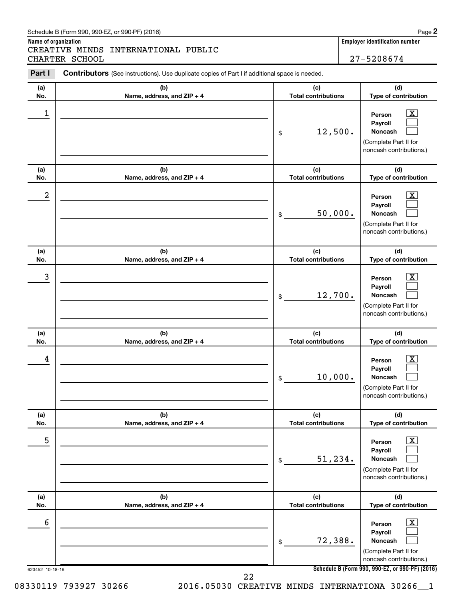#### Schedule B (Form 990, 990-EZ, or 990-PF) (2016)

**Name of organization Employer identification number** CREATIVE MINDS INTERNATIONAL PUBLIC CHARTER SCHOOL 27-5208674

| Part I           | Contributors (See instructions). Use duplicate copies of Part I if additional space is needed. |                                   |                                                                                                                  |
|------------------|------------------------------------------------------------------------------------------------|-----------------------------------|------------------------------------------------------------------------------------------------------------------|
| (a)<br>No.       | (b)<br>Name, address, and ZIP + 4                                                              | (c)<br><b>Total contributions</b> | (d)<br>Type of contribution                                                                                      |
| $\mathbf 1$      |                                                                                                | 12,500.<br>$\,$                   | $\overline{\textbf{X}}$<br>Person<br>Payroll<br>Noncash<br>(Complete Part II for<br>noncash contributions.)      |
| (a)<br>No.       | (b)<br>Name, address, and ZIP + 4                                                              | (c)<br><b>Total contributions</b> | (d)<br>Type of contribution                                                                                      |
| $\boldsymbol{2}$ |                                                                                                | 50,000.<br>\$                     | $\overline{\text{X}}$<br>Person<br>Payroll<br><b>Noncash</b><br>(Complete Part II for<br>noncash contributions.) |
| (a)<br>No.       | (b)<br>Name, address, and ZIP + 4                                                              | (c)<br><b>Total contributions</b> | (d)<br>Type of contribution                                                                                      |
| 3                |                                                                                                | 12,700.<br>\$                     | $\overline{\text{X}}$<br>Person<br>Payroll<br>Noncash<br>(Complete Part II for<br>noncash contributions.)        |
| (a)<br>No.       | (b)<br>Name, address, and ZIP + 4                                                              | (c)<br><b>Total contributions</b> | (d)<br>Type of contribution                                                                                      |
| 4                |                                                                                                | 10,000.<br>\$                     | $\overline{\text{X}}$<br>Person<br>Payroll<br>Noncash<br>(Complete Part II for<br>noncash contributions.)        |
| (a)<br>No.       | (b)<br>Name, address, and ZIP + 4                                                              | (c)<br><b>Total contributions</b> | (d)<br>Type of contribution                                                                                      |
| 5                |                                                                                                | 51,234.<br>$\,$                   | x<br>Person<br>Payroll<br>Noncash<br>(Complete Part II for<br>noncash contributions.)                            |
| (a)<br>No.       | (b)<br>Name, address, and ZIP + 4                                                              | (c)<br><b>Total contributions</b> | (d)<br>Type of contribution                                                                                      |
| 6                |                                                                                                | 72,388.<br>\$                     | x<br>Person<br>Payroll<br>Noncash<br>(Complete Part II for<br>noncash contributions.)                            |
| 623452 10-18-16  | 22                                                                                             |                                   | Schedule B (Form 990, 990-EZ, or 990-PF) (2016)                                                                  |

08330119 793927 30266 2016.05030 CREATIVE MINDS INTERNATIONA 30266\_1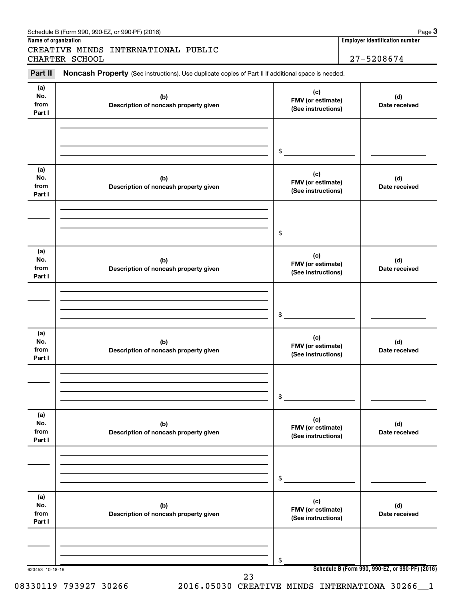| Part II                      | Noncash Property (See instructions). Use duplicate copies of Part II if additional space is needed. |                                                |                      |
|------------------------------|-----------------------------------------------------------------------------------------------------|------------------------------------------------|----------------------|
| (a)<br>No.<br>from<br>Part I | (b)<br>Description of noncash property given                                                        | (c)<br>FMV (or estimate)<br>(See instructions) | (d)<br>Date received |
|                              |                                                                                                     | \$                                             |                      |
| (a)<br>No.<br>from<br>Part I | (b)<br>Description of noncash property given                                                        | (c)<br>FMV (or estimate)<br>(See instructions) | (d)<br>Date received |
|                              |                                                                                                     | \$                                             |                      |
| (a)<br>No.<br>from<br>Part I | (b)<br>Description of noncash property given                                                        | (c)<br>FMV (or estimate)<br>(See instructions) | (d)<br>Date received |
|                              |                                                                                                     | \$                                             |                      |
| (a)<br>No.<br>from<br>Part I | (b)<br>Description of noncash property given                                                        | (c)<br>FMV (or estimate)<br>(See instructions) | (d)<br>Date received |
|                              |                                                                                                     | \$                                             |                      |
| (a)<br>No.<br>from<br>Part I | (b)<br>Description of noncash property given                                                        | (c)<br>FMV (or estimate)<br>(See instructions) | (d)<br>Date received |
|                              |                                                                                                     | \$                                             |                      |
| (a)<br>No.<br>from<br>Part I | (b)<br>Description of noncash property given                                                        | (c)<br>FMV (or estimate)<br>(See instructions) | (d)<br>Date received |
|                              |                                                                                                     | \$                                             |                      |

Schedule B (Form 990, 990-EZ, or 990-PF) (2016)

CREATIVE MINDS INTERNATIONAL PUBLIC

**Name of organization Employer identification number**

**3**

08330119 793927 30266 2016.05030 CREATIVE MINDS INTERNATIONA 30266\_1

$$
\mathbf{a} = 3026
$$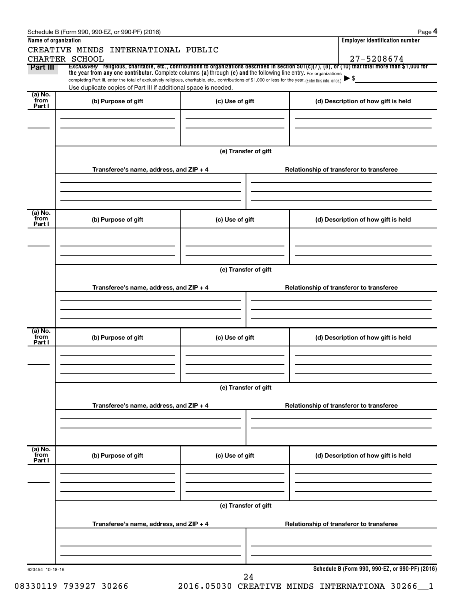|                      | Schedule B (Form 990, 990-EZ, or 990-PF) (2016)                                                                                                                                                                             |                      | Page 4                                                                                                                                                              |
|----------------------|-----------------------------------------------------------------------------------------------------------------------------------------------------------------------------------------------------------------------------|----------------------|---------------------------------------------------------------------------------------------------------------------------------------------------------------------|
| Name of organization |                                                                                                                                                                                                                             |                      | <b>Employer identification number</b>                                                                                                                               |
|                      | CREATIVE MINDS INTERNATIONAL PUBLIC                                                                                                                                                                                         |                      |                                                                                                                                                                     |
| Part III             | CHARTER SCHOOL                                                                                                                                                                                                              |                      | 27-5208674<br>Exclusively religious, charitable, etc., contributions to organizations described in section 501(c)(7), (8), or (10) that total more than \$1,000 for |
|                      | the year from any one contributor. Complete columns (a) through (e) and the following line entry. For organizations                                                                                                         |                      |                                                                                                                                                                     |
|                      | completing Part III, enter the total of exclusively religious, charitable, etc., contributions of \$1,000 or less for the year. (Enter this info. once.)<br>Use duplicate copies of Part III if additional space is needed. |                      | $\blacktriangleright$ \$                                                                                                                                            |
| (a) No.              |                                                                                                                                                                                                                             |                      |                                                                                                                                                                     |
| from<br>Part I       | (b) Purpose of gift                                                                                                                                                                                                         | (c) Use of gift      | (d) Description of how gift is held                                                                                                                                 |
|                      |                                                                                                                                                                                                                             |                      |                                                                                                                                                                     |
|                      |                                                                                                                                                                                                                             |                      |                                                                                                                                                                     |
|                      |                                                                                                                                                                                                                             |                      |                                                                                                                                                                     |
|                      |                                                                                                                                                                                                                             |                      |                                                                                                                                                                     |
|                      |                                                                                                                                                                                                                             | (e) Transfer of gift |                                                                                                                                                                     |
|                      | Transferee's name, address, and ZIP + 4                                                                                                                                                                                     |                      | Relationship of transferor to transferee                                                                                                                            |
|                      |                                                                                                                                                                                                                             |                      |                                                                                                                                                                     |
|                      |                                                                                                                                                                                                                             |                      |                                                                                                                                                                     |
|                      |                                                                                                                                                                                                                             |                      |                                                                                                                                                                     |
| (a) No.              |                                                                                                                                                                                                                             |                      |                                                                                                                                                                     |
| from                 | (b) Purpose of gift                                                                                                                                                                                                         | (c) Use of gift      | (d) Description of how gift is held                                                                                                                                 |
| Part I               |                                                                                                                                                                                                                             |                      |                                                                                                                                                                     |
|                      |                                                                                                                                                                                                                             |                      |                                                                                                                                                                     |
|                      |                                                                                                                                                                                                                             |                      |                                                                                                                                                                     |
|                      |                                                                                                                                                                                                                             |                      |                                                                                                                                                                     |
|                      |                                                                                                                                                                                                                             | (e) Transfer of gift |                                                                                                                                                                     |
|                      |                                                                                                                                                                                                                             |                      |                                                                                                                                                                     |
|                      | Transferee's name, address, and ZIP + 4                                                                                                                                                                                     |                      | Relationship of transferor to transferee                                                                                                                            |
|                      |                                                                                                                                                                                                                             |                      |                                                                                                                                                                     |
|                      |                                                                                                                                                                                                                             |                      |                                                                                                                                                                     |
|                      |                                                                                                                                                                                                                             |                      |                                                                                                                                                                     |
| (a) No.<br>from      | (b) Purpose of gift                                                                                                                                                                                                         | (c) Use of gift      | (d) Description of how gift is held                                                                                                                                 |
| Part I               |                                                                                                                                                                                                                             |                      |                                                                                                                                                                     |
|                      |                                                                                                                                                                                                                             |                      |                                                                                                                                                                     |
|                      |                                                                                                                                                                                                                             |                      |                                                                                                                                                                     |
|                      |                                                                                                                                                                                                                             |                      |                                                                                                                                                                     |
|                      |                                                                                                                                                                                                                             | (e) Transfer of gift |                                                                                                                                                                     |
|                      |                                                                                                                                                                                                                             |                      |                                                                                                                                                                     |
|                      | Transferee's name, address, and ZIP + 4                                                                                                                                                                                     |                      | Relationship of transferor to transferee                                                                                                                            |
|                      |                                                                                                                                                                                                                             |                      |                                                                                                                                                                     |
|                      |                                                                                                                                                                                                                             |                      |                                                                                                                                                                     |
|                      |                                                                                                                                                                                                                             |                      |                                                                                                                                                                     |
| (a) No.<br>from      | (b) Purpose of gift                                                                                                                                                                                                         | (c) Use of gift      | (d) Description of how gift is held                                                                                                                                 |
| Part I               |                                                                                                                                                                                                                             |                      |                                                                                                                                                                     |
|                      |                                                                                                                                                                                                                             |                      |                                                                                                                                                                     |
|                      |                                                                                                                                                                                                                             |                      |                                                                                                                                                                     |
|                      |                                                                                                                                                                                                                             |                      |                                                                                                                                                                     |
|                      |                                                                                                                                                                                                                             | (e) Transfer of gift |                                                                                                                                                                     |
|                      |                                                                                                                                                                                                                             |                      |                                                                                                                                                                     |
|                      | Transferee's name, address, and ZIP + 4                                                                                                                                                                                     |                      | Relationship of transferor to transferee                                                                                                                            |
|                      |                                                                                                                                                                                                                             |                      |                                                                                                                                                                     |
|                      |                                                                                                                                                                                                                             |                      |                                                                                                                                                                     |
|                      |                                                                                                                                                                                                                             |                      |                                                                                                                                                                     |
| 623454 10-18-16      |                                                                                                                                                                                                                             |                      | Schedule B (Form 990, 990-EZ, or 990-PF) (2016)                                                                                                                     |
|                      |                                                                                                                                                                                                                             | 24                   |                                                                                                                                                                     |

08330119 793927 30266 2016.05030 CREATIVE MINDS INTERNATIONA 30266 1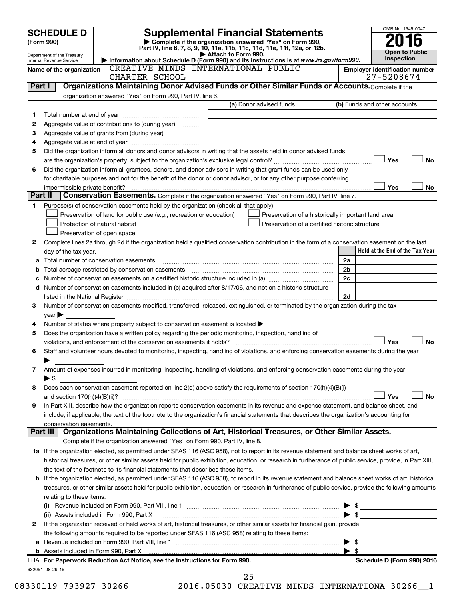|         | <b>SCHEDULE D</b>                                                                                                                                  |                                                                                                        | <b>Supplemental Financial Statements</b>                                                                                                                   | OMB No. 1545-0047                                   |  |  |
|---------|----------------------------------------------------------------------------------------------------------------------------------------------------|--------------------------------------------------------------------------------------------------------|------------------------------------------------------------------------------------------------------------------------------------------------------------|-----------------------------------------------------|--|--|
|         | Complete if the organization answered "Yes" on Form 990,<br>(Form 990)<br>Part IV, line 6, 7, 8, 9, 10, 11a, 11b, 11c, 11d, 11e, 11f, 12a, or 12b. |                                                                                                        |                                                                                                                                                            |                                                     |  |  |
|         | Department of the Treasury                                                                                                                         |                                                                                                        | Attach to Form 990.                                                                                                                                        | <b>Open to Public</b>                               |  |  |
|         | Internal Revenue Service                                                                                                                           | CREATIVE MINDS INTERNATIONAL PUBLIC                                                                    | Information about Schedule D (Form 990) and its instructions is at www.irs.gov/form990.                                                                    | <b>Inspection</b>                                   |  |  |
|         | Name of the organization                                                                                                                           | CHARTER SCHOOL                                                                                         |                                                                                                                                                            | <b>Employer identification number</b><br>27-5208674 |  |  |
| Part I  |                                                                                                                                                    |                                                                                                        | Organizations Maintaining Donor Advised Funds or Other Similar Funds or Accounts. Complete if the                                                          |                                                     |  |  |
|         |                                                                                                                                                    | organization answered "Yes" on Form 990, Part IV, line 6.                                              |                                                                                                                                                            |                                                     |  |  |
|         |                                                                                                                                                    |                                                                                                        | (a) Donor advised funds                                                                                                                                    | (b) Funds and other accounts                        |  |  |
| 1       |                                                                                                                                                    |                                                                                                        |                                                                                                                                                            |                                                     |  |  |
| 2       |                                                                                                                                                    | Aggregate value of contributions to (during year)                                                      |                                                                                                                                                            |                                                     |  |  |
| З       |                                                                                                                                                    |                                                                                                        |                                                                                                                                                            |                                                     |  |  |
| 4       |                                                                                                                                                    |                                                                                                        |                                                                                                                                                            |                                                     |  |  |
| 5       |                                                                                                                                                    |                                                                                                        | Did the organization inform all donors and donor advisors in writing that the assets held in donor advised funds                                           |                                                     |  |  |
|         |                                                                                                                                                    |                                                                                                        |                                                                                                                                                            | Yes<br><b>No</b>                                    |  |  |
| 6       |                                                                                                                                                    |                                                                                                        | Did the organization inform all grantees, donors, and donor advisors in writing that grant funds can be used only                                          |                                                     |  |  |
|         |                                                                                                                                                    |                                                                                                        | for charitable purposes and not for the benefit of the donor or donor advisor, or for any other purpose conferring                                         |                                                     |  |  |
|         | impermissible private benefit?                                                                                                                     |                                                                                                        |                                                                                                                                                            | Yes<br>No                                           |  |  |
| Part II |                                                                                                                                                    |                                                                                                        | Conservation Easements. Complete if the organization answered "Yes" on Form 990, Part IV, line 7.                                                          |                                                     |  |  |
| 1       |                                                                                                                                                    | Purpose(s) of conservation easements held by the organization (check all that apply).                  |                                                                                                                                                            |                                                     |  |  |
|         |                                                                                                                                                    | Preservation of land for public use (e.g., recreation or education)                                    |                                                                                                                                                            | Preservation of a historically important land area  |  |  |
|         |                                                                                                                                                    | Protection of natural habitat                                                                          | Preservation of a certified historic structure                                                                                                             |                                                     |  |  |
|         |                                                                                                                                                    | Preservation of open space                                                                             |                                                                                                                                                            |                                                     |  |  |
| 2       |                                                                                                                                                    |                                                                                                        | Complete lines 2a through 2d if the organization held a qualified conservation contribution in the form of a conservation easement on the last             |                                                     |  |  |
|         | day of the tax year.                                                                                                                               |                                                                                                        |                                                                                                                                                            | Held at the End of the Tax Year                     |  |  |
|         |                                                                                                                                                    |                                                                                                        |                                                                                                                                                            | 2a                                                  |  |  |
|         |                                                                                                                                                    |                                                                                                        |                                                                                                                                                            | 2b                                                  |  |  |
|         |                                                                                                                                                    |                                                                                                        |                                                                                                                                                            | 2c                                                  |  |  |
|         |                                                                                                                                                    |                                                                                                        | d Number of conservation easements included in (c) acquired after 8/17/06, and not on a historic structure                                                 |                                                     |  |  |
|         |                                                                                                                                                    |                                                                                                        |                                                                                                                                                            | 2d                                                  |  |  |
| З       |                                                                                                                                                    |                                                                                                        | Number of conservation easements modified, transferred, released, extinguished, or terminated by the organization during the tax                           |                                                     |  |  |
|         | $year \triangleright$                                                                                                                              |                                                                                                        |                                                                                                                                                            |                                                     |  |  |
| 4       |                                                                                                                                                    | Number of states where property subject to conservation easement is located                            |                                                                                                                                                            |                                                     |  |  |
| 5       |                                                                                                                                                    | Does the organization have a written policy regarding the periodic monitoring, inspection, handling of |                                                                                                                                                            | Yes<br><b>No</b>                                    |  |  |
| 6       |                                                                                                                                                    |                                                                                                        | Staff and volunteer hours devoted to monitoring, inspecting, handling of violations, and enforcing conservation easements during the year                  |                                                     |  |  |
|         |                                                                                                                                                    |                                                                                                        |                                                                                                                                                            |                                                     |  |  |
| 7       |                                                                                                                                                    |                                                                                                        | Amount of expenses incurred in monitoring, inspecting, handling of violations, and enforcing conservation easements during the year                        |                                                     |  |  |
|         | ▶ \$                                                                                                                                               |                                                                                                        |                                                                                                                                                            |                                                     |  |  |
| 8       |                                                                                                                                                    |                                                                                                        | Does each conservation easement reported on line 2(d) above satisfy the requirements of section 170(h)(4)(B)(i)                                            |                                                     |  |  |
|         |                                                                                                                                                    |                                                                                                        |                                                                                                                                                            | Yes<br>No                                           |  |  |
| 9       |                                                                                                                                                    |                                                                                                        | In Part XIII, describe how the organization reports conservation easements in its revenue and expense statement, and balance sheet, and                    |                                                     |  |  |
|         |                                                                                                                                                    |                                                                                                        | include, if applicable, the text of the footnote to the organization's financial statements that describes the organization's accounting for               |                                                     |  |  |
|         | conservation easements.                                                                                                                            |                                                                                                        |                                                                                                                                                            |                                                     |  |  |
|         | Part III                                                                                                                                           |                                                                                                        | Organizations Maintaining Collections of Art, Historical Treasures, or Other Similar Assets.                                                               |                                                     |  |  |
|         |                                                                                                                                                    | Complete if the organization answered "Yes" on Form 990, Part IV, line 8.                              |                                                                                                                                                            |                                                     |  |  |
|         |                                                                                                                                                    |                                                                                                        | 1a If the organization elected, as permitted under SFAS 116 (ASC 958), not to report in its revenue statement and balance sheet works of art,              |                                                     |  |  |
|         |                                                                                                                                                    |                                                                                                        | historical treasures, or other similar assets held for public exhibition, education, or research in furtherance of public service, provide, in Part XIII,  |                                                     |  |  |
|         |                                                                                                                                                    | the text of the footnote to its financial statements that describes these items.                       |                                                                                                                                                            |                                                     |  |  |
|         |                                                                                                                                                    |                                                                                                        | <b>b</b> If the organization elected, as permitted under SFAS 116 (ASC 958), to report in its revenue statement and balance sheet works of art, historical |                                                     |  |  |
|         |                                                                                                                                                    |                                                                                                        | treasures, or other similar assets held for public exhibition, education, or research in furtherance of public service, provide the following amounts      |                                                     |  |  |
|         | relating to these items:                                                                                                                           |                                                                                                        |                                                                                                                                                            |                                                     |  |  |
|         |                                                                                                                                                    |                                                                                                        |                                                                                                                                                            | \$                                                  |  |  |
|         |                                                                                                                                                    | (ii) Assets included in Form 990, Part X                                                               |                                                                                                                                                            | \$                                                  |  |  |
| 2       |                                                                                                                                                    |                                                                                                        | If the organization received or held works of art, historical treasures, or other similar assets for financial gain, provide                               |                                                     |  |  |
|         |                                                                                                                                                    | the following amounts required to be reported under SFAS 116 (ASC 958) relating to these items:        |                                                                                                                                                            |                                                     |  |  |
|         |                                                                                                                                                    |                                                                                                        |                                                                                                                                                            | \$                                                  |  |  |
|         |                                                                                                                                                    |                                                                                                        |                                                                                                                                                            | $\blacktriangleright$ s                             |  |  |
|         |                                                                                                                                                    | LHA For Paperwork Reduction Act Notice, see the Instructions for Form 990.                             |                                                                                                                                                            | Schedule D (Form 990) 2016                          |  |  |
|         | 632051 08-29-16                                                                                                                                    |                                                                                                        | 25                                                                                                                                                         |                                                     |  |  |
|         |                                                                                                                                                    |                                                                                                        |                                                                                                                                                            |                                                     |  |  |

08330119 793927 30266 2016.05030 CREATIVE MINDS INTERNATIONA 30266 1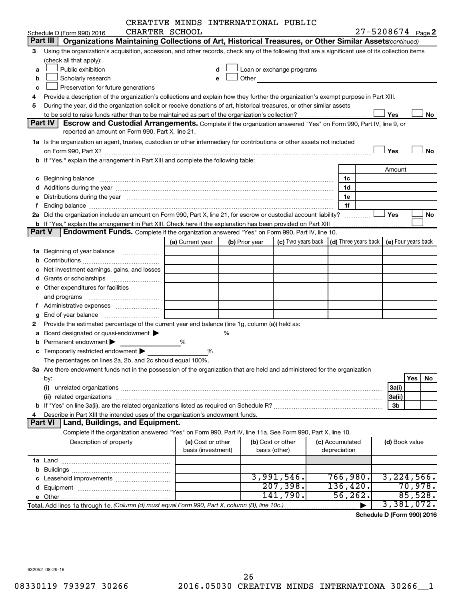|               |                                                                                                                                                                                                                                | CREATIVE MINDS INTERNATIONAL PUBLIC |                    |                |                                                                                                                                                                                                                               |                                                 |                       |                     |
|---------------|--------------------------------------------------------------------------------------------------------------------------------------------------------------------------------------------------------------------------------|-------------------------------------|--------------------|----------------|-------------------------------------------------------------------------------------------------------------------------------------------------------------------------------------------------------------------------------|-------------------------------------------------|-----------------------|---------------------|
|               | Schedule D (Form 990) 2016                                                                                                                                                                                                     | CHARTER SCHOOL                      |                    |                |                                                                                                                                                                                                                               |                                                 | $27 - 5208674$ Page 2 |                     |
|               | Part III<br>Organizations Maintaining Collections of Art, Historical Treasures, or Other Similar Assets (continued)                                                                                                            |                                     |                    |                |                                                                                                                                                                                                                               |                                                 |                       |                     |
| 3             | Using the organization's acquisition, accession, and other records, check any of the following that are a significant use of its collection items                                                                              |                                     |                    |                |                                                                                                                                                                                                                               |                                                 |                       |                     |
|               | (check all that apply):                                                                                                                                                                                                        |                                     |                    |                |                                                                                                                                                                                                                               |                                                 |                       |                     |
| a             | Public exhibition                                                                                                                                                                                                              |                                     | d                  |                | Loan or exchange programs                                                                                                                                                                                                     |                                                 |                       |                     |
| b             | Scholarly research                                                                                                                                                                                                             |                                     | e                  |                | Other and the contract of the contract of the contract of the contract of the contract of the contract of the contract of the contract of the contract of the contract of the contract of the contract of the contract of the |                                                 |                       |                     |
| c             | Preservation for future generations                                                                                                                                                                                            |                                     |                    |                |                                                                                                                                                                                                                               |                                                 |                       |                     |
| 4             | Provide a description of the organization's collections and explain how they further the organization's exempt purpose in Part XIII.                                                                                           |                                     |                    |                |                                                                                                                                                                                                                               |                                                 |                       |                     |
| 5             | During the year, did the organization solicit or receive donations of art, historical treasures, or other similar assets                                                                                                       |                                     |                    |                |                                                                                                                                                                                                                               |                                                 |                       |                     |
|               |                                                                                                                                                                                                                                |                                     |                    |                |                                                                                                                                                                                                                               |                                                 | Yes                   | No                  |
|               | Part IV<br><b>Escrow and Custodial Arrangements.</b> Complete if the organization answered "Yes" on Form 990, Part IV, line 9, or                                                                                              |                                     |                    |                |                                                                                                                                                                                                                               |                                                 |                       |                     |
|               | reported an amount on Form 990, Part X, line 21.                                                                                                                                                                               |                                     |                    |                |                                                                                                                                                                                                                               |                                                 |                       |                     |
|               | 1a Is the organization an agent, trustee, custodian or other intermediary for contributions or other assets not included                                                                                                       |                                     |                    |                |                                                                                                                                                                                                                               |                                                 |                       |                     |
|               |                                                                                                                                                                                                                                |                                     |                    |                |                                                                                                                                                                                                                               |                                                 | Yes                   | <b>No</b>           |
|               | b If "Yes," explain the arrangement in Part XIII and complete the following table:                                                                                                                                             |                                     |                    |                |                                                                                                                                                                                                                               |                                                 |                       |                     |
|               |                                                                                                                                                                                                                                |                                     |                    |                |                                                                                                                                                                                                                               |                                                 | Amount                |                     |
|               | c Beginning balance measurements and the contract of the contract of the contract of the contract of the contract of the contract of the contract of the contract of the contract of the contract of the contract of the contr |                                     |                    |                |                                                                                                                                                                                                                               | 1c                                              |                       |                     |
|               |                                                                                                                                                                                                                                |                                     |                    |                |                                                                                                                                                                                                                               | 1d                                              |                       |                     |
|               | e Distributions during the year manufactured and contained and contained and the year manufactured and contained and the year manufactured and contained and contained and contained and contained and contained and contained |                                     |                    |                |                                                                                                                                                                                                                               | 1e                                              |                       |                     |
| f             |                                                                                                                                                                                                                                |                                     |                    |                |                                                                                                                                                                                                                               | 1f                                              |                       |                     |
|               | 2a Did the organization include an amount on Form 990, Part X, line 21, for escrow or custodial account liability?                                                                                                             |                                     |                    |                |                                                                                                                                                                                                                               |                                                 | Yes                   | No                  |
| <b>Part V</b> | <b>Endowment Funds.</b> Complete if the organization answered "Yes" on Form 990, Part IV, line 10.                                                                                                                             |                                     |                    |                |                                                                                                                                                                                                                               |                                                 |                       |                     |
|               |                                                                                                                                                                                                                                |                                     |                    |                |                                                                                                                                                                                                                               | (c) Two years back $ $ (d) Three years back $ $ |                       | (e) Four years back |
|               |                                                                                                                                                                                                                                | (a) Current year                    |                    | (b) Prior year |                                                                                                                                                                                                                               |                                                 |                       |                     |
|               | 1a Beginning of year balance                                                                                                                                                                                                   |                                     |                    |                |                                                                                                                                                                                                                               |                                                 |                       |                     |
|               |                                                                                                                                                                                                                                |                                     |                    |                |                                                                                                                                                                                                                               |                                                 |                       |                     |
|               | c Net investment earnings, gains, and losses                                                                                                                                                                                   |                                     |                    |                |                                                                                                                                                                                                                               |                                                 |                       |                     |
|               | e Other expenditures for facilities                                                                                                                                                                                            |                                     |                    |                |                                                                                                                                                                                                                               |                                                 |                       |                     |
|               |                                                                                                                                                                                                                                |                                     |                    |                |                                                                                                                                                                                                                               |                                                 |                       |                     |
|               |                                                                                                                                                                                                                                |                                     |                    |                |                                                                                                                                                                                                                               |                                                 |                       |                     |
| g             |                                                                                                                                                                                                                                |                                     |                    |                |                                                                                                                                                                                                                               |                                                 |                       |                     |
| 2             | Provide the estimated percentage of the current year end balance (line 1g, column (a)) held as:                                                                                                                                |                                     |                    |                |                                                                                                                                                                                                                               |                                                 |                       |                     |
|               | a Board designated or quasi-endowment >                                                                                                                                                                                        |                                     | ℅                  |                |                                                                                                                                                                                                                               |                                                 |                       |                     |
|               | <b>b</b> Permanent endowment $\blacktriangleright$                                                                                                                                                                             | %                                   |                    |                |                                                                                                                                                                                                                               |                                                 |                       |                     |
|               | c Temporarily restricted endowment $\blacktriangleright$                                                                                                                                                                       |                                     | %                  |                |                                                                                                                                                                                                                               |                                                 |                       |                     |
|               | The percentages on lines 2a, 2b, and 2c should equal 100%.                                                                                                                                                                     |                                     |                    |                |                                                                                                                                                                                                                               |                                                 |                       |                     |
|               | 3a Are there endowment funds not in the possession of the organization that are held and administered for the organization                                                                                                     |                                     |                    |                |                                                                                                                                                                                                                               |                                                 |                       |                     |
|               | by:                                                                                                                                                                                                                            |                                     |                    |                |                                                                                                                                                                                                                               |                                                 |                       | Yes<br>No           |
|               | (i)                                                                                                                                                                                                                            |                                     |                    |                |                                                                                                                                                                                                                               |                                                 | 3a(i)                 |                     |
|               |                                                                                                                                                                                                                                |                                     |                    |                |                                                                                                                                                                                                                               |                                                 | 3a(ii)                |                     |
|               |                                                                                                                                                                                                                                |                                     |                    |                |                                                                                                                                                                                                                               |                                                 | 3b                    |                     |
| 4             | Describe in Part XIII the intended uses of the organization's endowment funds.                                                                                                                                                 |                                     |                    |                |                                                                                                                                                                                                                               |                                                 |                       |                     |
|               | Land, Buildings, and Equipment.<br>Part VI                                                                                                                                                                                     |                                     |                    |                |                                                                                                                                                                                                                               |                                                 |                       |                     |
|               | Complete if the organization answered "Yes" on Form 990, Part IV, line 11a. See Form 990, Part X, line 10.                                                                                                                     |                                     |                    |                |                                                                                                                                                                                                                               |                                                 |                       |                     |
|               | Description of property                                                                                                                                                                                                        |                                     | (a) Cost or other  |                | (b) Cost or other                                                                                                                                                                                                             | (c) Accumulated                                 | (d) Book value        |                     |
|               |                                                                                                                                                                                                                                |                                     | basis (investment) |                | basis (other)                                                                                                                                                                                                                 | depreciation                                    |                       |                     |
|               |                                                                                                                                                                                                                                |                                     |                    |                |                                                                                                                                                                                                                               |                                                 |                       |                     |
|               |                                                                                                                                                                                                                                |                                     |                    |                |                                                                                                                                                                                                                               |                                                 |                       |                     |
|               |                                                                                                                                                                                                                                |                                     |                    |                | 3,991,546.                                                                                                                                                                                                                    | 766,980.                                        |                       | 3, 224, 566.        |
|               |                                                                                                                                                                                                                                |                                     |                    |                | 207,398.                                                                                                                                                                                                                      | 136,420.                                        |                       | 70,978.             |
|               |                                                                                                                                                                                                                                |                                     |                    |                | 141,790.                                                                                                                                                                                                                      | 56, 262.                                        |                       | 85,528.             |
|               | Total. Add lines 1a through 1e. (Column (d) must equal Form 990, Part X, column (B), line 10c.)                                                                                                                                |                                     |                    |                |                                                                                                                                                                                                                               |                                                 |                       | 3,381,072.          |

**Schedule D (Form 990) 2016**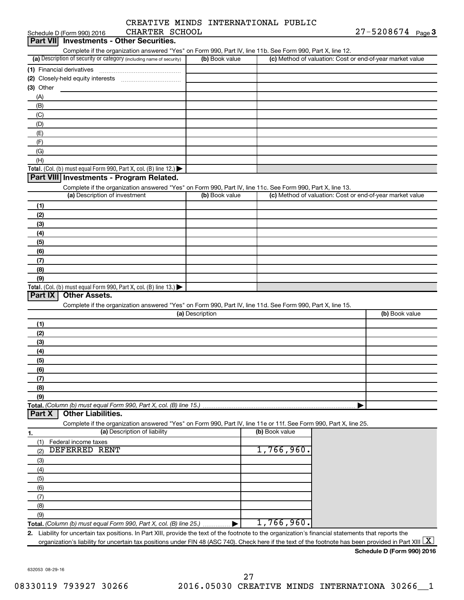|  | CREATIVE MINDS INTERNATIONAL PUBLIC |  |
|--|-------------------------------------|--|
|  |                                     |  |

| CHARTER SCHOOL<br>Schedule D (Form 990) 2016                                                                                                                                    |                 |                |                                                           | $27 - 5208674$ Page 3 |  |
|---------------------------------------------------------------------------------------------------------------------------------------------------------------------------------|-----------------|----------------|-----------------------------------------------------------|-----------------------|--|
| <b>Investments - Other Securities.</b><br>Part VIII                                                                                                                             |                 |                |                                                           |                       |  |
| Complete if the organization answered "Yes" on Form 990, Part IV, line 11b. See Form 990, Part X, line 12.                                                                      |                 |                |                                                           |                       |  |
| (a) Description of security or category (including name of security)                                                                                                            | (b) Book value  |                | (c) Method of valuation: Cost or end-of-year market value |                       |  |
| (1) Financial derivatives                                                                                                                                                       |                 |                |                                                           |                       |  |
|                                                                                                                                                                                 |                 |                |                                                           |                       |  |
| (3) Other                                                                                                                                                                       |                 |                |                                                           |                       |  |
| (A)                                                                                                                                                                             |                 |                |                                                           |                       |  |
| (B)                                                                                                                                                                             |                 |                |                                                           |                       |  |
| (C)                                                                                                                                                                             |                 |                |                                                           |                       |  |
| (D)                                                                                                                                                                             |                 |                |                                                           |                       |  |
| (E)                                                                                                                                                                             |                 |                |                                                           |                       |  |
|                                                                                                                                                                                 |                 |                |                                                           |                       |  |
| (F)                                                                                                                                                                             |                 |                |                                                           |                       |  |
| (G)                                                                                                                                                                             |                 |                |                                                           |                       |  |
| (H)                                                                                                                                                                             |                 |                |                                                           |                       |  |
| <b>Total.</b> (Col. (b) must equal Form 990, Part X, col. (B) line 12.) $\blacktriangleright$                                                                                   |                 |                |                                                           |                       |  |
| Part VIII Investments - Program Related.                                                                                                                                        |                 |                |                                                           |                       |  |
| Complete if the organization answered "Yes" on Form 990, Part IV, line 11c. See Form 990, Part X, line 13.                                                                      |                 |                |                                                           |                       |  |
| (a) Description of investment                                                                                                                                                   | (b) Book value  |                | (c) Method of valuation: Cost or end-of-year market value |                       |  |
| (1)                                                                                                                                                                             |                 |                |                                                           |                       |  |
| (2)                                                                                                                                                                             |                 |                |                                                           |                       |  |
| (3)                                                                                                                                                                             |                 |                |                                                           |                       |  |
| (4)                                                                                                                                                                             |                 |                |                                                           |                       |  |
| (5)                                                                                                                                                                             |                 |                |                                                           |                       |  |
| (6)                                                                                                                                                                             |                 |                |                                                           |                       |  |
| (7)                                                                                                                                                                             |                 |                |                                                           |                       |  |
| (8)                                                                                                                                                                             |                 |                |                                                           |                       |  |
| (9)                                                                                                                                                                             |                 |                |                                                           |                       |  |
| <b>Total.</b> (Col. (b) must equal Form 990, Part X, col. (B) line 13.)                                                                                                         |                 |                |                                                           |                       |  |
| Part IX<br><b>Other Assets.</b>                                                                                                                                                 |                 |                |                                                           |                       |  |
| Complete if the organization answered "Yes" on Form 990, Part IV, line 11d. See Form 990, Part X, line 15.                                                                      |                 |                |                                                           |                       |  |
|                                                                                                                                                                                 | (a) Description |                |                                                           | (b) Book value        |  |
| (1)                                                                                                                                                                             |                 |                |                                                           |                       |  |
| (2)                                                                                                                                                                             |                 |                |                                                           |                       |  |
| (3)                                                                                                                                                                             |                 |                |                                                           |                       |  |
| (4)                                                                                                                                                                             |                 |                |                                                           |                       |  |
| (5)                                                                                                                                                                             |                 |                |                                                           |                       |  |
| (6)                                                                                                                                                                             |                 |                |                                                           |                       |  |
| (7)                                                                                                                                                                             |                 |                |                                                           |                       |  |
|                                                                                                                                                                                 |                 |                |                                                           |                       |  |
| (8)                                                                                                                                                                             |                 |                |                                                           |                       |  |
| (9)                                                                                                                                                                             |                 |                |                                                           |                       |  |
| Total. (Column (b) must equal Form 990, Part X, col. (B) line 15.)<br><b>Other Liabilities.</b><br>Part X                                                                       |                 |                |                                                           |                       |  |
|                                                                                                                                                                                 |                 |                |                                                           |                       |  |
| Complete if the organization answered "Yes" on Form 990, Part IV, line 11e or 11f. See Form 990, Part X, line 25.                                                               |                 |                |                                                           |                       |  |
| (a) Description of liability<br>1.                                                                                                                                              |                 | (b) Book value |                                                           |                       |  |
| Federal income taxes<br>(1)                                                                                                                                                     |                 |                |                                                           |                       |  |
| <b>DEFERRED RENT</b><br>(2)                                                                                                                                                     |                 | 1,766,960.     |                                                           |                       |  |
| (3)                                                                                                                                                                             |                 |                |                                                           |                       |  |
| (4)                                                                                                                                                                             |                 |                |                                                           |                       |  |
| (5)                                                                                                                                                                             |                 |                |                                                           |                       |  |
| (6)                                                                                                                                                                             |                 |                |                                                           |                       |  |
| (7)                                                                                                                                                                             |                 |                |                                                           |                       |  |
| (8)                                                                                                                                                                             |                 |                |                                                           |                       |  |
| (9)                                                                                                                                                                             |                 |                |                                                           |                       |  |
| Total. (Column (b) must equal Form 990, Part X, col. (B) line 25.)                                                                                                              |                 | 1,766,960.     |                                                           |                       |  |
| Liability for uncertain tax positions. In Part XIII, provide the text of the footnote to the organization's financial statements that reports the<br>2.                         |                 |                |                                                           |                       |  |
| organization's liability for uncertain tax positions under FIN 48 (ASC 740). Check here if the text of the footnote has been provided in Part XIII $\lfloor \texttt{X} \rfloor$ |                 |                |                                                           |                       |  |
|                                                                                                                                                                                 |                 |                |                                                           |                       |  |

632053 08-29-16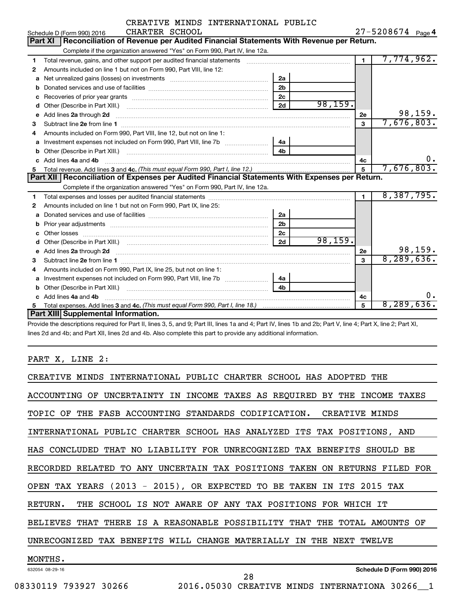|              | CREATIVE MINDS INTERNATIONAL PUBLIC                                                                                                                                                                                                |                |          |                |                   |         |
|--------------|------------------------------------------------------------------------------------------------------------------------------------------------------------------------------------------------------------------------------------|----------------|----------|----------------|-------------------|---------|
|              | CHARTER SCHOOL<br>Schedule D (Form 990) 2016                                                                                                                                                                                       |                |          |                | 27-5208674 Page 4 |         |
|              | Part XI   Reconciliation of Revenue per Audited Financial Statements With Revenue per Return.                                                                                                                                      |                |          |                |                   |         |
|              | Complete if the organization answered "Yes" on Form 990, Part IV, line 12a.                                                                                                                                                        |                |          |                |                   |         |
| 1            | Total revenue, gains, and other support per audited financial statements [[[[[[[[[[[[[[[[[[[[[[[[[]]]]]]]]]]]                                                                                                                      |                |          | $\blacksquare$ | 7,774,962.        |         |
| $\mathbf{2}$ | Amounts included on line 1 but not on Form 990, Part VIII, line 12:                                                                                                                                                                |                |          |                |                   |         |
| a            |                                                                                                                                                                                                                                    | 2a             |          |                |                   |         |
| b            |                                                                                                                                                                                                                                    | 2 <sub>b</sub> |          |                |                   |         |
| c            |                                                                                                                                                                                                                                    | 2 <sub>c</sub> |          |                |                   |         |
| d            |                                                                                                                                                                                                                                    | 2d             | 98, 159. |                |                   |         |
| е            | Add lines 2a through 2d                                                                                                                                                                                                            |                |          | 2е             |                   | 98,159. |
| З            |                                                                                                                                                                                                                                    |                |          | 3              | 7,676,803.        |         |
| 4            | Amounts included on Form 990, Part VIII, line 12, but not on line 1:                                                                                                                                                               |                |          |                |                   |         |
| a            |                                                                                                                                                                                                                                    | 4a             |          |                |                   |         |
|              |                                                                                                                                                                                                                                    |                |          |                |                   |         |
|              | Add lines 4a and 4b                                                                                                                                                                                                                |                |          | 4c             |                   | 0.      |
| 5            |                                                                                                                                                                                                                                    |                |          | 5              | 7,676,803.        |         |
|              | Part XII   Reconciliation of Expenses per Audited Financial Statements With Expenses per Return.                                                                                                                                   |                |          |                |                   |         |
|              | Complete if the organization answered "Yes" on Form 990, Part IV, line 12a.                                                                                                                                                        |                |          |                |                   |         |
| 1            |                                                                                                                                                                                                                                    |                |          | $\blacksquare$ | 8,387,795.        |         |
| $\mathbf{2}$ | Amounts included on line 1 but not on Form 990, Part IX, line 25:                                                                                                                                                                  |                |          |                |                   |         |
| a            |                                                                                                                                                                                                                                    | 2a             |          |                |                   |         |
| b            |                                                                                                                                                                                                                                    | 2 <sub>b</sub> |          |                |                   |         |
| C.           |                                                                                                                                                                                                                                    | 2c             |          |                |                   |         |
| d            |                                                                                                                                                                                                                                    | 2d             | 98, 159. |                |                   |         |
| e            | Add lines 2a through 2d <b>[10]</b> Communication and the state of the state of the state of the state of the state of the state of the state of the state of the state of the state of the state of the state of the state of the |                |          | 2е             |                   | 98,159. |
| 3            |                                                                                                                                                                                                                                    |                |          | 3              | 8, 289, 636.      |         |
| 4            | Amounts included on Form 990, Part IX, line 25, but not on line 1:                                                                                                                                                                 |                |          |                |                   |         |
| a            |                                                                                                                                                                                                                                    | 4a             |          |                |                   |         |
| b            |                                                                                                                                                                                                                                    |                |          |                |                   |         |
|              | Add lines 4a and 4b                                                                                                                                                                                                                |                |          | 4c             |                   | 0.      |
| 5            |                                                                                                                                                                                                                                    |                |          | 5              | 8,289,636.        |         |
|              | Part XIII Supplemental Information.                                                                                                                                                                                                |                |          |                |                   |         |

Provide the descriptions required for Part II, lines 3, 5, and 9; Part III, lines 1a and 4; Part IV, lines 1b and 2b; Part V, line 4; Part X, line 2; Part XI, lines 2d and 4b; and Part XII, lines 2d and 4b. Also complete this part to provide any additional information.

PART X, LINE 2:

| CREATIVE MINDS INTERNATIONAL PUBLIC CHARTER SCHOOL HAS ADOPTED THE                           |
|----------------------------------------------------------------------------------------------|
| ACCOUNTING OF UNCERTAINTY IN INCOME TAXES AS REQUIRED BY THE INCOME TAXES                    |
| TOPIC OF THE FASB ACCOUNTING STANDARDS CODIFICATION. CREATIVE MINDS                          |
| INTERNATIONAL PUBLIC CHARTER SCHOOL HAS ANALYZED ITS TAX POSITIONS, AND                      |
| HAS CONCLUDED THAT NO LIABILITY FOR UNRECOGNIZED TAX BENEFITS SHOULD BE                      |
| RECORDED RELATED TO ANY UNCERTAIN TAX POSITIONS TAKEN ON RETURNS FILED FOR                   |
| OPEN TAX YEARS (2013 - 2015), OR EXPECTED TO BE TAKEN IN ITS 2015 TAX                        |
| THE SCHOOL IS NOT AWARE OF ANY TAX POSITIONS FOR WHICH IT<br>RETURN.                         |
| THERE IS A REASONABLE POSSIBILITY<br>THAT<br>THE TOTAL AMOUNTS<br><b>BELIEVES THAT</b><br>OF |
| UNRECOGNIZED TAX BENEFITS WILL CHANGE MATERIALLY IN<br>THE NEXT TWELVE                       |
| MONTHS.                                                                                      |
| Schedule D (Form 990) 2016<br>632054 08-29-16<br>28                                          |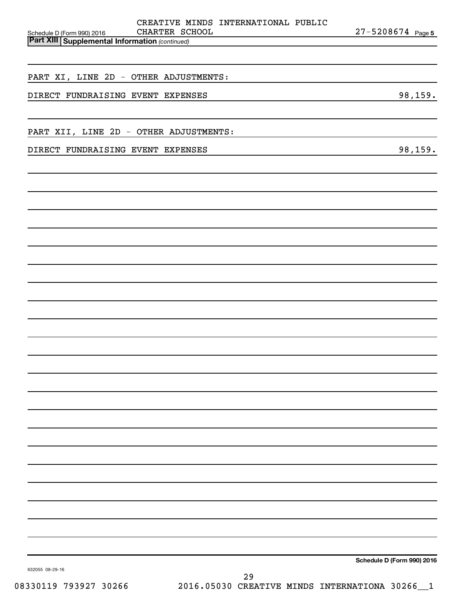| CREATIVE MINDS INTERNATIONAL PUBLIC<br>CHARTER SCHOOL<br>Schedule D (Form 990) 2016 | $27 - 5208674$ Page 5      |
|-------------------------------------------------------------------------------------|----------------------------|
| <b>Part XIII Supplemental Information (continued)</b>                               |                            |
|                                                                                     |                            |
| PART XI, LINE 2D - OTHER ADJUSTMENTS:                                               |                            |
| DIRECT FUNDRAISING EVENT EXPENSES                                                   | 98, 159.                   |
|                                                                                     |                            |
| PART XII, LINE 2D - OTHER ADJUSTMENTS:                                              |                            |
| DIRECT FUNDRAISING EVENT EXPENSES                                                   | 98,159.                    |
|                                                                                     |                            |
|                                                                                     |                            |
|                                                                                     |                            |
|                                                                                     |                            |
|                                                                                     |                            |
|                                                                                     |                            |
|                                                                                     |                            |
|                                                                                     |                            |
|                                                                                     |                            |
|                                                                                     |                            |
|                                                                                     |                            |
|                                                                                     |                            |
|                                                                                     |                            |
|                                                                                     |                            |
|                                                                                     |                            |
|                                                                                     |                            |
|                                                                                     |                            |
|                                                                                     |                            |
|                                                                                     |                            |
|                                                                                     |                            |
|                                                                                     |                            |
|                                                                                     |                            |
|                                                                                     |                            |
|                                                                                     |                            |
|                                                                                     | Schedule D (Form 990) 2016 |
| 632055 08-29-16<br>29                                                               |                            |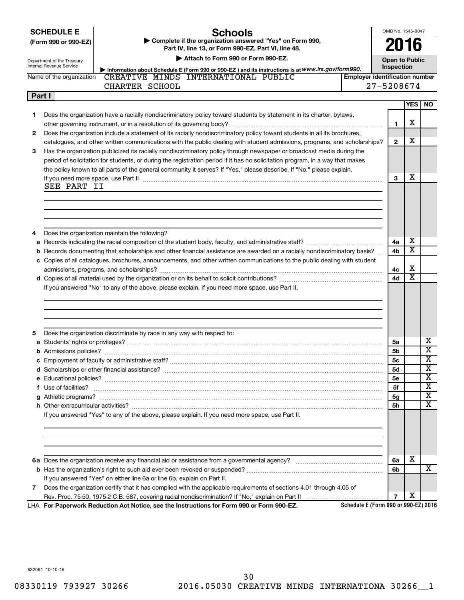**SCHEDULE E**

**(Form 990 or 990-EZ) | Complete if the organization answered "Yes" on Form 990,** 

# **Schools**

OMB No. 1545-0047 **2016**

| the contract of the contract of the con- |  | $\overline{\phantom{a}}$ |  |  |
|------------------------------------------|--|--------------------------|--|--|
|                                          |  |                          |  |  |
|                                          |  |                          |  |  |
|                                          |  |                          |  |  |

**Part IV, line 13, or Form 990-EZ, Part VI, line 48.**

| Attach to Form 990 or Form 990-EZ.<br><b>Open to Public</b><br>Department of the Treasury<br><b>Internal Revenue Service</b><br>Inspection |                          |                                                                                                                                                                                                                                    |  |                                       |            |                              |  |  |
|--------------------------------------------------------------------------------------------------------------------------------------------|--------------------------|------------------------------------------------------------------------------------------------------------------------------------------------------------------------------------------------------------------------------------|--|---------------------------------------|------------|------------------------------|--|--|
|                                                                                                                                            | Name of the organization | Information about Schedule E (Form 990 or 990-EZ) and its instructions is at WWW.irs.gov/form990.<br>CREATIVE MINDS INTERNATIONAL PUBLIC                                                                                           |  | <b>Employer identification number</b> |            |                              |  |  |
|                                                                                                                                            |                          | CHARTER SCHOOL                                                                                                                                                                                                                     |  | 27-5208674                            |            |                              |  |  |
|                                                                                                                                            | Part I                   |                                                                                                                                                                                                                                    |  |                                       |            |                              |  |  |
|                                                                                                                                            |                          |                                                                                                                                                                                                                                    |  |                                       | <b>YES</b> | NO.                          |  |  |
| 1                                                                                                                                          |                          | Does the organization have a racially nondiscriminatory policy toward students by statement in its charter, bylaws,                                                                                                                |  |                                       |            |                              |  |  |
|                                                                                                                                            |                          |                                                                                                                                                                                                                                    |  | 1                                     | х          |                              |  |  |
| 2                                                                                                                                          |                          | Does the organization include a statement of its racially nondiscriminatory policy toward students in all its brochures,                                                                                                           |  |                                       |            |                              |  |  |
|                                                                                                                                            |                          | catalogues, and other written communications with the public dealing with student admissions, programs, and scholarships?                                                                                                          |  | $\overline{2}$                        | х          |                              |  |  |
| 3                                                                                                                                          |                          | Has the organization publicized its racially nondiscriminatory policy through newspaper or broadcast media during the                                                                                                              |  |                                       |            |                              |  |  |
|                                                                                                                                            |                          | period of solicitation for students, or during the registration period if it has no solicitation program, in a way that makes                                                                                                      |  |                                       |            |                              |  |  |
|                                                                                                                                            |                          | the policy known to all parts of the general community it serves? If "Yes," please describe. If "No," please explain.                                                                                                              |  |                                       |            |                              |  |  |
|                                                                                                                                            |                          | If you need more space, use Part II manufactured and continuum contract to the Part II manufacture and the manufacture of the space with the manufacture of the space with the manufacture of the space of the manufacture of      |  | 3                                     | х          |                              |  |  |
|                                                                                                                                            | SEE PART II              |                                                                                                                                                                                                                                    |  |                                       |            |                              |  |  |
|                                                                                                                                            |                          |                                                                                                                                                                                                                                    |  |                                       |            |                              |  |  |
|                                                                                                                                            |                          |                                                                                                                                                                                                                                    |  |                                       |            |                              |  |  |
|                                                                                                                                            |                          |                                                                                                                                                                                                                                    |  |                                       |            |                              |  |  |
|                                                                                                                                            |                          |                                                                                                                                                                                                                                    |  |                                       |            |                              |  |  |
| 4                                                                                                                                          |                          | Does the organization maintain the following?                                                                                                                                                                                      |  |                                       |            |                              |  |  |
| а                                                                                                                                          |                          |                                                                                                                                                                                                                                    |  | 4a                                    | х          |                              |  |  |
|                                                                                                                                            |                          | <b>b</b> Records documenting that scholarships and other financial assistance are awarded on a racially nondiscriminatory basis?                                                                                                   |  | 4b                                    | X          |                              |  |  |
|                                                                                                                                            |                          | c Copies of all catalogues, brochures, announcements, and other written communications to the public dealing with student                                                                                                          |  |                                       |            |                              |  |  |
|                                                                                                                                            |                          |                                                                                                                                                                                                                                    |  | 4с                                    | х          |                              |  |  |
|                                                                                                                                            |                          |                                                                                                                                                                                                                                    |  | 4d                                    | X          |                              |  |  |
|                                                                                                                                            |                          | If you answered "No" to any of the above, please explain. If you need more space, use Part II.                                                                                                                                     |  |                                       |            |                              |  |  |
|                                                                                                                                            |                          |                                                                                                                                                                                                                                    |  |                                       |            |                              |  |  |
|                                                                                                                                            |                          |                                                                                                                                                                                                                                    |  |                                       |            |                              |  |  |
|                                                                                                                                            |                          |                                                                                                                                                                                                                                    |  |                                       |            |                              |  |  |
|                                                                                                                                            |                          |                                                                                                                                                                                                                                    |  |                                       |            |                              |  |  |
| 5                                                                                                                                          |                          | Does the organization discriminate by race in any way with respect to:                                                                                                                                                             |  |                                       |            |                              |  |  |
|                                                                                                                                            |                          |                                                                                                                                                                                                                                    |  | 5а                                    |            | х<br>$\overline{\mathbf{X}}$ |  |  |
|                                                                                                                                            |                          |                                                                                                                                                                                                                                    |  | 5b                                    |            | х                            |  |  |
|                                                                                                                                            |                          |                                                                                                                                                                                                                                    |  | 5с                                    |            | X                            |  |  |
|                                                                                                                                            |                          |                                                                                                                                                                                                                                    |  | <b>5d</b>                             |            | х                            |  |  |
|                                                                                                                                            |                          |                                                                                                                                                                                                                                    |  | <b>5e</b><br>5f                       |            | $\overline{\textbf{x}}$      |  |  |
|                                                                                                                                            |                          | f Use of facilities? <b>www.communities.</b> We can be a series of the contract of the contract of the contract of the contract of the contract of the contract of the contract of the contract of the contract of the contract of |  | 5g                                    |            | $\overline{\text{x}}$        |  |  |
|                                                                                                                                            |                          |                                                                                                                                                                                                                                    |  | 5h                                    |            | $\overline{\mathbf{X}}$      |  |  |
|                                                                                                                                            |                          | If you answered "Yes" to any of the above, please explain. If you need more space, use Part II.                                                                                                                                    |  |                                       |            |                              |  |  |
|                                                                                                                                            |                          |                                                                                                                                                                                                                                    |  |                                       |            |                              |  |  |
|                                                                                                                                            |                          |                                                                                                                                                                                                                                    |  |                                       |            |                              |  |  |
|                                                                                                                                            |                          |                                                                                                                                                                                                                                    |  |                                       |            |                              |  |  |
|                                                                                                                                            |                          |                                                                                                                                                                                                                                    |  |                                       |            |                              |  |  |
|                                                                                                                                            |                          |                                                                                                                                                                                                                                    |  | 6а                                    | х          |                              |  |  |
|                                                                                                                                            |                          |                                                                                                                                                                                                                                    |  | 6b                                    |            | x                            |  |  |
|                                                                                                                                            |                          | If you answered "Yes" on either line 6a or line 6b, explain on Part II.                                                                                                                                                            |  |                                       |            |                              |  |  |
| 7                                                                                                                                          |                          | Does the organization certify that it has complied with the applicable requirements of sections 4.01 through 4.05 of                                                                                                               |  |                                       |            |                              |  |  |
|                                                                                                                                            |                          |                                                                                                                                                                                                                                    |  | 7                                     | х          |                              |  |  |
|                                                                                                                                            |                          | LHA For Paperwork Reduction Act Notice, see the Instructions for Form 990 or Form 990-EZ.                                                                                                                                          |  | Schedule E (Form 990 or 990-EZ) 2016  |            |                              |  |  |

632061 10-10-16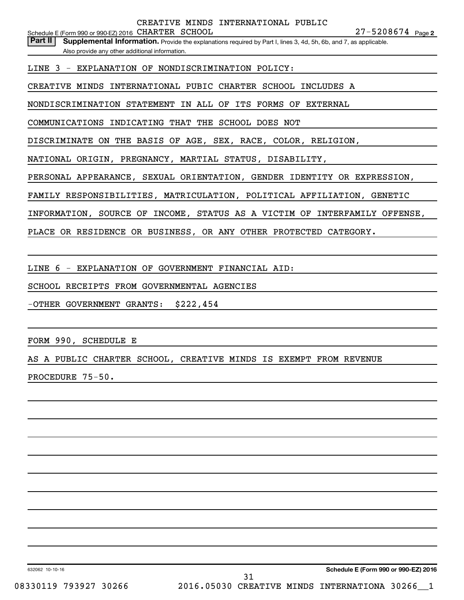Part II | Supplemental Information. Provide the explanations required by Part I, lines 3, 4d, 5h, 6b, and 7, as applicable. Also provide any other additional information.

LINE 3 - EXPLANATION OF NONDISCRIMINATION POLICY:

CREATIVE MINDS INTERNATIONAL PUBIC CHARTER SCHOOL INCLUDES A

NONDISCRIMINATION STATEMENT IN ALL OF ITS FORMS OF EXTERNAL

COMMUNICATIONS INDICATING THAT THE SCHOOL DOES NOT

DISCRIMINATE ON THE BASIS OF AGE, SEX, RACE, COLOR, RELIGION,

NATIONAL ORIGIN, PREGNANCY, MARTIAL STATUS, DISABILITY,

PERSONAL APPEARANCE, SEXUAL ORIENTATION, GENDER IDENTITY OR EXPRESSION,

FAMILY RESPONSIBILITIES, MATRICULATION, POLITICAL AFFILIATION, GENETIC

INFORMATION, SOURCE OF INCOME, STATUS AS A VICTIM OF INTERFAMILY OFFENSE,

PLACE OR RESIDENCE OR BUSINESS, OR ANY OTHER PROTECTED CATEGORY.

LINE 6 - EXPLANATION OF GOVERNMENT FINANCIAL AID:

SCHOOL RECEIPTS FROM GOVERNMENTAL AGENCIES

-OTHER GOVERNMENT GRANTS: \$222,454

FORM 990, SCHEDULE E

AS A PUBLIC CHARTER SCHOOL, CREATIVE MINDS IS EXEMPT FROM REVENUE

PROCEDURE 75-50.

632062 10-10-16

**Schedule E (Form 990 or 990-EZ) 2016**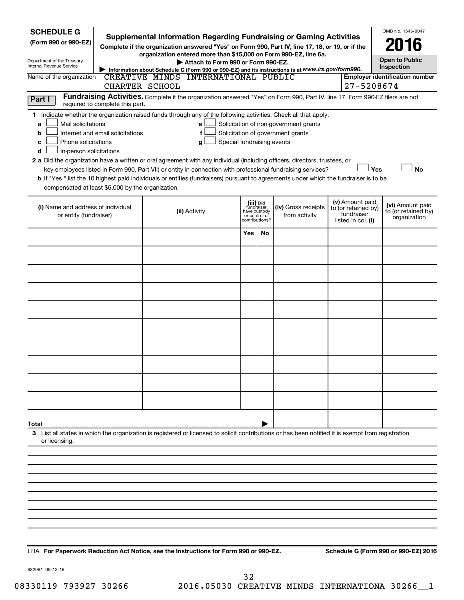| <b>SCHEDULE G</b><br>(Form 990 or 990-EZ)<br>Department of the Treasury<br>Internal Revenue Service                                                                                                                                                                                                                                                                                                                                                                                                                                                                                                                                                                                        | <b>Supplemental Information Regarding Fundraising or Gaming Activities</b><br>Complete if the organization answered "Yes" on Form 990, Part IV, line 17, 18, or 19, or if the<br>organization entered more than \$15,000 on Form 990-EZ, line 6a.<br>Attach to Form 990 or Form 990-EZ.<br>Information about Schedule G (Form 990 or 990-EZ) and its instructions is at WWW.irs.gov/form990. |                                         |                                 |                                                                            |  |                                                                            | OMB No. 1545-0047<br><b>Open to Public</b><br>Inspection |
|--------------------------------------------------------------------------------------------------------------------------------------------------------------------------------------------------------------------------------------------------------------------------------------------------------------------------------------------------------------------------------------------------------------------------------------------------------------------------------------------------------------------------------------------------------------------------------------------------------------------------------------------------------------------------------------------|----------------------------------------------------------------------------------------------------------------------------------------------------------------------------------------------------------------------------------------------------------------------------------------------------------------------------------------------------------------------------------------------|-----------------------------------------|---------------------------------|----------------------------------------------------------------------------|--|----------------------------------------------------------------------------|----------------------------------------------------------|
| Name of the organization<br>CREATIVE MINDS INTERNATIONAL PUBLIC<br><b>Employer identification number</b><br>27-5208674<br>CHARTER SCHOOL                                                                                                                                                                                                                                                                                                                                                                                                                                                                                                                                                   |                                                                                                                                                                                                                                                                                                                                                                                              |                                         |                                 |                                                                            |  |                                                                            |                                                          |
| Part I<br>required to complete this part.                                                                                                                                                                                                                                                                                                                                                                                                                                                                                                                                                                                                                                                  | Fundraising Activities. Complete if the organization answered "Yes" on Form 990, Part IV, line 17. Form 990-EZ filers are not                                                                                                                                                                                                                                                                |                                         |                                 |                                                                            |  |                                                                            |                                                          |
| 1 Indicate whether the organization raised funds through any of the following activities. Check all that apply.<br>Mail solicitations<br>a<br>Internet and email solicitations<br>b<br>Phone solicitations<br>с<br>In-person solicitations<br>d<br>2 a Did the organization have a written or oral agreement with any individual (including officers, directors, trustees, or<br>key employees listed in Form 990, Part VII) or entity in connection with professional fundraising services?<br>b If "Yes," list the 10 highest paid individuals or entities (fundraisers) pursuant to agreements under which the fundraiser is to be<br>compensated at least \$5,000 by the organization. | е<br>f<br>Special fundraising events<br>g                                                                                                                                                                                                                                                                                                                                                    |                                         |                                 | Solicitation of non-government grants<br>Solicitation of government grants |  | Yes                                                                        | <b>No</b>                                                |
| (i) Name and address of individual<br>or entity (fundraiser)                                                                                                                                                                                                                                                                                                                                                                                                                                                                                                                                                                                                                               | (ii) Activity                                                                                                                                                                                                                                                                                                                                                                                | (iii) Did<br>fundraiser<br>have custody | or control of<br>contributions? | (iv) Gross receipts<br>from activity                                       |  | (v) Amount paid<br>to (or retained by)<br>fundraiser<br>listed in col. (i) | (vi) Amount paid<br>to (or retained by)<br>organization  |
|                                                                                                                                                                                                                                                                                                                                                                                                                                                                                                                                                                                                                                                                                            |                                                                                                                                                                                                                                                                                                                                                                                              | Yes                                     | No                              |                                                                            |  |                                                                            |                                                          |
|                                                                                                                                                                                                                                                                                                                                                                                                                                                                                                                                                                                                                                                                                            |                                                                                                                                                                                                                                                                                                                                                                                              |                                         |                                 |                                                                            |  |                                                                            |                                                          |
|                                                                                                                                                                                                                                                                                                                                                                                                                                                                                                                                                                                                                                                                                            |                                                                                                                                                                                                                                                                                                                                                                                              |                                         |                                 |                                                                            |  |                                                                            |                                                          |
|                                                                                                                                                                                                                                                                                                                                                                                                                                                                                                                                                                                                                                                                                            |                                                                                                                                                                                                                                                                                                                                                                                              |                                         |                                 |                                                                            |  |                                                                            |                                                          |
|                                                                                                                                                                                                                                                                                                                                                                                                                                                                                                                                                                                                                                                                                            |                                                                                                                                                                                                                                                                                                                                                                                              |                                         |                                 |                                                                            |  |                                                                            |                                                          |
|                                                                                                                                                                                                                                                                                                                                                                                                                                                                                                                                                                                                                                                                                            |                                                                                                                                                                                                                                                                                                                                                                                              |                                         |                                 |                                                                            |  |                                                                            |                                                          |
|                                                                                                                                                                                                                                                                                                                                                                                                                                                                                                                                                                                                                                                                                            |                                                                                                                                                                                                                                                                                                                                                                                              |                                         |                                 |                                                                            |  |                                                                            |                                                          |
|                                                                                                                                                                                                                                                                                                                                                                                                                                                                                                                                                                                                                                                                                            |                                                                                                                                                                                                                                                                                                                                                                                              |                                         |                                 |                                                                            |  |                                                                            |                                                          |
|                                                                                                                                                                                                                                                                                                                                                                                                                                                                                                                                                                                                                                                                                            |                                                                                                                                                                                                                                                                                                                                                                                              |                                         |                                 |                                                                            |  |                                                                            |                                                          |
|                                                                                                                                                                                                                                                                                                                                                                                                                                                                                                                                                                                                                                                                                            |                                                                                                                                                                                                                                                                                                                                                                                              |                                         |                                 |                                                                            |  |                                                                            |                                                          |
| Total                                                                                                                                                                                                                                                                                                                                                                                                                                                                                                                                                                                                                                                                                      |                                                                                                                                                                                                                                                                                                                                                                                              |                                         |                                 |                                                                            |  |                                                                            |                                                          |
| 3 List all states in which the organization is registered or licensed to solicit contributions or has been notified it is exempt from registration<br>or licensing.                                                                                                                                                                                                                                                                                                                                                                                                                                                                                                                        |                                                                                                                                                                                                                                                                                                                                                                                              |                                         |                                 |                                                                            |  |                                                                            |                                                          |
|                                                                                                                                                                                                                                                                                                                                                                                                                                                                                                                                                                                                                                                                                            |                                                                                                                                                                                                                                                                                                                                                                                              |                                         |                                 |                                                                            |  |                                                                            |                                                          |
|                                                                                                                                                                                                                                                                                                                                                                                                                                                                                                                                                                                                                                                                                            |                                                                                                                                                                                                                                                                                                                                                                                              |                                         |                                 |                                                                            |  |                                                                            |                                                          |
|                                                                                                                                                                                                                                                                                                                                                                                                                                                                                                                                                                                                                                                                                            |                                                                                                                                                                                                                                                                                                                                                                                              |                                         |                                 |                                                                            |  |                                                                            |                                                          |
|                                                                                                                                                                                                                                                                                                                                                                                                                                                                                                                                                                                                                                                                                            |                                                                                                                                                                                                                                                                                                                                                                                              |                                         |                                 |                                                                            |  |                                                                            |                                                          |
|                                                                                                                                                                                                                                                                                                                                                                                                                                                                                                                                                                                                                                                                                            |                                                                                                                                                                                                                                                                                                                                                                                              |                                         |                                 |                                                                            |  |                                                                            |                                                          |
|                                                                                                                                                                                                                                                                                                                                                                                                                                                                                                                                                                                                                                                                                            |                                                                                                                                                                                                                                                                                                                                                                                              |                                         |                                 |                                                                            |  |                                                                            |                                                          |

**For Paperwork Reduction Act Notice, see the Instructions for Form 990 or 990-EZ. Schedule G (Form 990 or 990-EZ) 2016** LHA

632081 09-12-16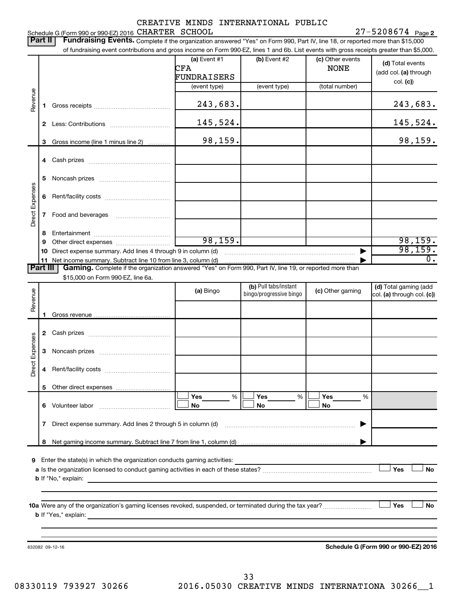|                 |          |                                                                                                                                                                                                                                | CREATIVE MINDS INTERNATIONAL PUBLIC |                         |                     | $27 - 5208674$ Page 2                |
|-----------------|----------|--------------------------------------------------------------------------------------------------------------------------------------------------------------------------------------------------------------------------------|-------------------------------------|-------------------------|---------------------|--------------------------------------|
|                 | Part II  | Schedule G (Form 990 or 990-EZ) 2016 CHARTER SCHOOL<br>Fundraising Events. Complete if the organization answered "Yes" on Form 990, Part IV, line 18, or reported more than \$15,000                                           |                                     |                         |                     |                                      |
|                 |          | of fundraising event contributions and gross income on Form 990-EZ, lines 1 and 6b. List events with gross receipts greater than \$5,000.                                                                                      |                                     |                         |                     |                                      |
|                 |          |                                                                                                                                                                                                                                | (a) Event #1                        | $(b)$ Event #2          | (c) Other events    | (d) Total events                     |
|                 |          |                                                                                                                                                                                                                                | CFA                                 |                         | <b>NONE</b>         | (add col. (a) through                |
|                 |          |                                                                                                                                                                                                                                | FUNDRAISERS                         |                         |                     | col. (c)                             |
|                 |          |                                                                                                                                                                                                                                | (event type)                        | (event type)            | (total number)      |                                      |
| Revenue         | 1.       |                                                                                                                                                                                                                                | 243,683.                            |                         |                     | 243,683.                             |
|                 |          |                                                                                                                                                                                                                                |                                     |                         |                     |                                      |
|                 |          |                                                                                                                                                                                                                                | 145,524.                            |                         |                     | 145,524.                             |
|                 | 3        | Gross income (line 1 minus line 2)                                                                                                                                                                                             | 98,159.                             |                         |                     | 98, 159.                             |
|                 |          |                                                                                                                                                                                                                                |                                     |                         |                     |                                      |
|                 |          |                                                                                                                                                                                                                                |                                     |                         |                     |                                      |
|                 | 5        |                                                                                                                                                                                                                                |                                     |                         |                     |                                      |
| Direct Expenses | 6        |                                                                                                                                                                                                                                |                                     |                         |                     |                                      |
|                 | 7        |                                                                                                                                                                                                                                |                                     |                         |                     |                                      |
|                 |          |                                                                                                                                                                                                                                |                                     |                         |                     |                                      |
|                 | 8        |                                                                                                                                                                                                                                | 98, 159.                            |                         |                     |                                      |
|                 | 9        |                                                                                                                                                                                                                                |                                     |                         |                     | 98,159.<br>98,159.                   |
|                 | 10       | 11 Net income summary. Subtract line 10 from line 3, column (d) material contracts and all networks and networks and the substantial metal of Networks and Networks and Networks and Networks and Networks and Networks and Ne |                                     |                         |                     | $\overline{0}$ .                     |
|                 | Part III | Gaming. Complete if the organization answered "Yes" on Form 990, Part IV, line 19, or reported more than                                                                                                                       |                                     |                         |                     |                                      |
|                 |          | \$15,000 on Form 990-EZ, line 6a.                                                                                                                                                                                              |                                     |                         |                     |                                      |
|                 |          |                                                                                                                                                                                                                                | (a) Bingo                           | (b) Pull tabs/instant   | (c) Other gaming    | (d) Total gaming (add                |
| Revenue         |          |                                                                                                                                                                                                                                |                                     | bingo/progressive bingo |                     | col. (a) through col. (c))           |
|                 |          |                                                                                                                                                                                                                                |                                     |                         |                     |                                      |
|                 | 1.       |                                                                                                                                                                                                                                |                                     |                         |                     |                                      |
|                 |          |                                                                                                                                                                                                                                |                                     |                         |                     |                                      |
| Expenses        |          |                                                                                                                                                                                                                                |                                     |                         |                     |                                      |
|                 |          |                                                                                                                                                                                                                                |                                     |                         |                     |                                      |
| Direct          | 4        |                                                                                                                                                                                                                                |                                     |                         |                     |                                      |
|                 | 5        |                                                                                                                                                                                                                                |                                     |                         |                     |                                      |
|                 |          | 6 Volunteer labor                                                                                                                                                                                                              | Yes<br>%<br>No                      | Yes<br>No               | %<br>Yes<br>%<br>No |                                      |
|                 |          |                                                                                                                                                                                                                                |                                     |                         |                     |                                      |
|                 | 7        | Direct expense summary. Add lines 2 through 5 in column (d)                                                                                                                                                                    |                                     |                         |                     |                                      |
|                 | 8        |                                                                                                                                                                                                                                |                                     |                         |                     |                                      |
|                 |          | 9 Enter the state(s) in which the organization conducts gaming activities:                                                                                                                                                     |                                     |                         |                     |                                      |
|                 |          |                                                                                                                                                                                                                                |                                     |                         |                     | Yes<br>No                            |
|                 |          | <b>b</b> If "No," explain:                                                                                                                                                                                                     |                                     |                         |                     |                                      |
|                 |          |                                                                                                                                                                                                                                |                                     |                         |                     |                                      |
|                 |          |                                                                                                                                                                                                                                |                                     |                         |                     | No                                   |
|                 |          | <b>b</b> If "Yes," explain:<br>and the control of the control of the control of the control of the control of the control of the control of the                                                                                |                                     |                         |                     | Yes                                  |
|                 |          |                                                                                                                                                                                                                                |                                     |                         |                     |                                      |
|                 |          |                                                                                                                                                                                                                                |                                     |                         |                     |                                      |
|                 |          | 632082 09-12-16                                                                                                                                                                                                                |                                     |                         |                     | Schedule G (Form 990 or 990-EZ) 2016 |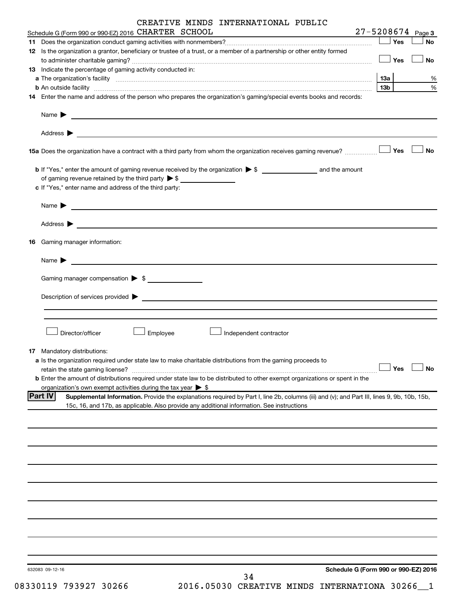|    | CREATIVE MINDS INTERNATIONAL PUBLIC                                                                                                                                                                                            |                 |     |                       |
|----|--------------------------------------------------------------------------------------------------------------------------------------------------------------------------------------------------------------------------------|-----------------|-----|-----------------------|
|    | Schedule G (Form 990 or 990-EZ) 2016 CHARTER SCHOOL                                                                                                                                                                            |                 |     | $27 - 5208674$ Page 3 |
|    |                                                                                                                                                                                                                                |                 | Yes | No                    |
|    | 12 Is the organization a grantor, beneficiary or trustee of a trust, or a member of a partnership or other entity formed                                                                                                       |                 | Yes | No                    |
|    | <b>13</b> Indicate the percentage of gaming activity conducted in:                                                                                                                                                             |                 |     |                       |
|    |                                                                                                                                                                                                                                | <b>13a</b>      |     | %                     |
|    |                                                                                                                                                                                                                                | 13 <sub>b</sub> |     | %                     |
|    | 14 Enter the name and address of the person who prepares the organization's gaming/special events books and records:                                                                                                           |                 |     |                       |
|    | Name $\blacktriangleright$<br><u> 1989 - Andrea Stadt Britain, amerikansk politiker (</u>                                                                                                                                      |                 |     |                       |
|    |                                                                                                                                                                                                                                |                 |     |                       |
|    |                                                                                                                                                                                                                                |                 |     | <b>No</b>             |
|    |                                                                                                                                                                                                                                |                 |     |                       |
|    | of gaming revenue retained by the third party $\triangleright$ \$ $\_\_\_\_\_\_\_\_\_\_\_\_\_\_\_\_\_\_\_\_\_\_$                                                                                                               |                 |     |                       |
|    | c If "Yes," enter name and address of the third party:                                                                                                                                                                         |                 |     |                       |
|    | Name $\blacktriangleright$<br><u> 1989 - Jan Alexandria de Alexandria de la contrada de la contrada de la contrada de la contrada de la contrad</u>                                                                            |                 |     |                       |
|    |                                                                                                                                                                                                                                |                 |     |                       |
| 16 | Gaming manager information:                                                                                                                                                                                                    |                 |     |                       |
|    | Name $\blacktriangleright$<br><u> 1989 - Johann Stein, marwolaethau a bhann an t-Amhainn an t-Amhainn an t-Amhainn an t-Amhainn an t-Amhainn an</u>                                                                            |                 |     |                       |
|    | Gaming manager compensation > \$                                                                                                                                                                                               |                 |     |                       |
|    | Description of services provided > example and the contract of the services provided > example and the contract of the contract of the contract of the contract of the contract of the contract of the contract of the contrac |                 |     |                       |
|    |                                                                                                                                                                                                                                |                 |     |                       |
|    | Director/officer<br>Employee<br>Independent contractor                                                                                                                                                                         |                 |     |                       |
|    | <b>17</b> Mandatory distributions:                                                                                                                                                                                             |                 |     |                       |
|    | a Is the organization required under state law to make charitable distributions from the gaming proceeds to                                                                                                                    |                 |     |                       |
|    | retain the state gaming license?                                                                                                                                                                                               |                 | Yes | No                    |
|    | b Enter the amount of distributions required under state law to be distributed to other exempt organizations or spent in the<br>organization's own exempt activities during the tax year $\triangleright$ \$                   |                 |     |                       |
|    | <b>Part IV</b><br>Supplemental Information. Provide the explanations required by Part I, line 2b, columns (iii) and (v); and Part III, lines 9, 9b, 10b, 15b,                                                                  |                 |     |                       |
|    | 15c, 16, and 17b, as applicable. Also provide any additional information. See instructions                                                                                                                                     |                 |     |                       |
|    |                                                                                                                                                                                                                                |                 |     |                       |
|    |                                                                                                                                                                                                                                |                 |     |                       |
|    |                                                                                                                                                                                                                                |                 |     |                       |
|    |                                                                                                                                                                                                                                |                 |     |                       |
|    |                                                                                                                                                                                                                                |                 |     |                       |
|    |                                                                                                                                                                                                                                |                 |     |                       |
|    |                                                                                                                                                                                                                                |                 |     |                       |
|    |                                                                                                                                                                                                                                |                 |     |                       |
|    | Schedule G (Form 990 or 990-EZ) 2016<br>632083 09-12-16<br>21                                                                                                                                                                  |                 |     |                       |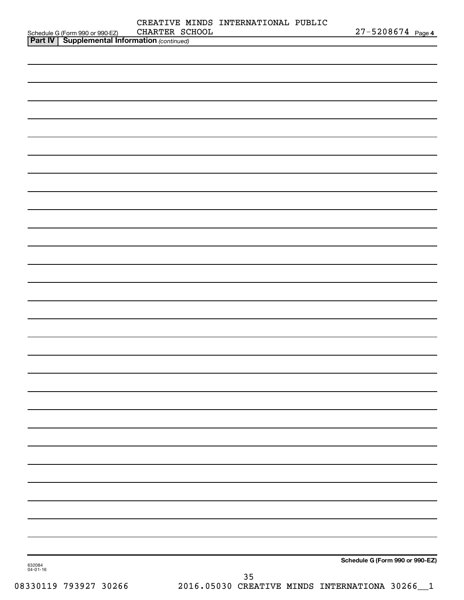|                                                                                                      |                | CREATIVE MINDS INTERNATIONAL PUBLIC |                                 |
|------------------------------------------------------------------------------------------------------|----------------|-------------------------------------|---------------------------------|
| Schedule G (Form 990 or 990-EZ) CHARTER SC.<br><b>Part IV   Supplemental Information</b> (continued) | CHARTER SCHOOL |                                     | $27 - 5208674$ Page 4           |
|                                                                                                      |                |                                     |                                 |
|                                                                                                      |                |                                     |                                 |
|                                                                                                      |                |                                     |                                 |
|                                                                                                      |                |                                     |                                 |
|                                                                                                      |                |                                     |                                 |
|                                                                                                      |                |                                     |                                 |
|                                                                                                      |                |                                     |                                 |
|                                                                                                      |                |                                     |                                 |
|                                                                                                      |                |                                     |                                 |
|                                                                                                      |                |                                     |                                 |
|                                                                                                      |                |                                     |                                 |
|                                                                                                      |                |                                     |                                 |
|                                                                                                      |                |                                     |                                 |
|                                                                                                      |                |                                     |                                 |
|                                                                                                      |                |                                     |                                 |
|                                                                                                      |                |                                     |                                 |
|                                                                                                      |                |                                     |                                 |
|                                                                                                      |                |                                     |                                 |
|                                                                                                      |                |                                     |                                 |
|                                                                                                      |                |                                     |                                 |
|                                                                                                      |                |                                     |                                 |
|                                                                                                      |                |                                     |                                 |
|                                                                                                      |                |                                     |                                 |
|                                                                                                      |                |                                     |                                 |
|                                                                                                      |                |                                     |                                 |
|                                                                                                      |                |                                     |                                 |
|                                                                                                      |                |                                     |                                 |
|                                                                                                      |                |                                     |                                 |
|                                                                                                      |                |                                     |                                 |
|                                                                                                      |                |                                     |                                 |
|                                                                                                      |                |                                     |                                 |
|                                                                                                      |                |                                     |                                 |
|                                                                                                      |                |                                     |                                 |
|                                                                                                      |                |                                     |                                 |
|                                                                                                      |                |                                     |                                 |
|                                                                                                      |                |                                     |                                 |
|                                                                                                      |                |                                     |                                 |
|                                                                                                      |                |                                     |                                 |
|                                                                                                      |                |                                     |                                 |
|                                                                                                      |                |                                     |                                 |
|                                                                                                      |                |                                     |                                 |
|                                                                                                      |                |                                     |                                 |
|                                                                                                      |                |                                     |                                 |
|                                                                                                      |                |                                     |                                 |
|                                                                                                      |                |                                     |                                 |
|                                                                                                      |                |                                     |                                 |
|                                                                                                      |                |                                     |                                 |
|                                                                                                      |                |                                     |                                 |
|                                                                                                      |                |                                     |                                 |
|                                                                                                      |                |                                     | Schedule G (Form 990 or 990-EZ) |
| 632084<br>04-01-16                                                                                   |                |                                     |                                 |
|                                                                                                      |                | 35                                  |                                 |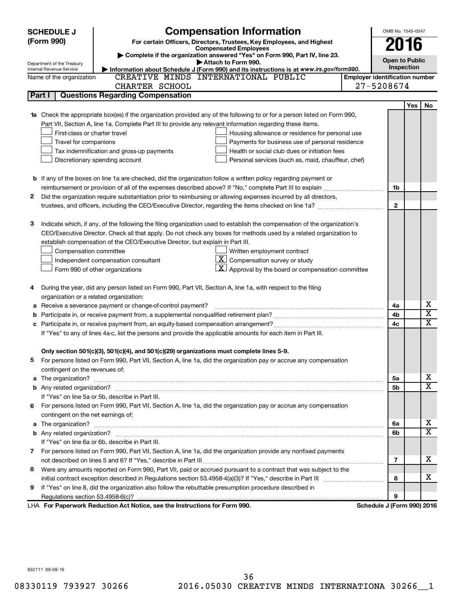|   | <b>SCHEDULE J</b>                       | <b>Compensation Information</b>                                                                                                                                                                                                     |                                       | OMB No. 1545-0047          |     |             |
|---|-----------------------------------------|-------------------------------------------------------------------------------------------------------------------------------------------------------------------------------------------------------------------------------------|---------------------------------------|----------------------------|-----|-------------|
|   | (Form 990)                              | For certain Officers, Directors, Trustees, Key Employees, and Highest                                                                                                                                                               |                                       | 2016                       |     |             |
|   |                                         | <b>Compensated Employees</b><br>Complete if the organization answered "Yes" on Form 990, Part IV, line 23.                                                                                                                          |                                       |                            |     |             |
|   | Department of the Treasury              | Attach to Form 990.                                                                                                                                                                                                                 |                                       | <b>Open to Public</b>      |     |             |
|   | Internal Revenue Service                | Information about Schedule J (Form 990) and its instructions is at www.irs.gov/form990.                                                                                                                                             |                                       | Inspection                 |     |             |
|   | Name of the organization                | CREATIVE MINDS INTERNATIONAL PUBLIC                                                                                                                                                                                                 | <b>Employer identification number</b> |                            |     |             |
|   |                                         | CHARTER SCHOOL                                                                                                                                                                                                                      |                                       | 27-5208674                 |     |             |
|   | Part I                                  | <b>Questions Regarding Compensation</b>                                                                                                                                                                                             |                                       |                            |     |             |
|   |                                         |                                                                                                                                                                                                                                     |                                       |                            | Yes | No          |
|   |                                         | 1a Check the appropriate box(es) if the organization provided any of the following to or for a person listed on Form 990,                                                                                                           |                                       |                            |     |             |
|   |                                         | Part VII, Section A, line 1a. Complete Part III to provide any relevant information regarding these items.                                                                                                                          |                                       |                            |     |             |
|   | First-class or charter travel           | Housing allowance or residence for personal use                                                                                                                                                                                     |                                       |                            |     |             |
|   | Travel for companions                   | Payments for business use of personal residence                                                                                                                                                                                     |                                       |                            |     |             |
|   |                                         | Tax indemnification and gross-up payments<br>Health or social club dues or initiation fees                                                                                                                                          |                                       |                            |     |             |
|   |                                         | Discretionary spending account<br>Personal services (such as, maid, chauffeur, chef)                                                                                                                                                |                                       |                            |     |             |
|   |                                         |                                                                                                                                                                                                                                     |                                       |                            |     |             |
|   |                                         | <b>b</b> If any of the boxes on line 1a are checked, did the organization follow a written policy regarding payment or                                                                                                              |                                       |                            |     |             |
|   |                                         |                                                                                                                                                                                                                                     |                                       | 1b                         |     |             |
| 2 |                                         | Did the organization require substantiation prior to reimbursing or allowing expenses incurred by all directors,                                                                                                                    |                                       |                            |     |             |
|   |                                         | trustees, and officers, including the CEO/Executive Director, regarding the items checked on line 1a?                                                                                                                               |                                       | $\mathbf{2}$               |     |             |
|   |                                         |                                                                                                                                                                                                                                     |                                       |                            |     |             |
| з |                                         | Indicate which, if any, of the following the filing organization used to establish the compensation of the organization's                                                                                                           |                                       |                            |     |             |
|   |                                         | CEO/Executive Director. Check all that apply. Do not check any boxes for methods used by a related organization to                                                                                                                  |                                       |                            |     |             |
|   |                                         | establish compensation of the CEO/Executive Director, but explain in Part III.                                                                                                                                                      |                                       |                            |     |             |
|   | Compensation committee                  | Written employment contract                                                                                                                                                                                                         |                                       |                            |     |             |
|   |                                         | $ \mathbf{X} $ Compensation survey or study<br>Independent compensation consultant                                                                                                                                                  |                                       |                            |     |             |
|   |                                         | $ \mathbf{X} $ Approval by the board or compensation committee<br>Form 990 of other organizations                                                                                                                                   |                                       |                            |     |             |
| 4 |                                         | During the year, did any person listed on Form 990, Part VII, Section A, line 1a, with respect to the filing                                                                                                                        |                                       |                            |     |             |
|   | organization or a related organization: |                                                                                                                                                                                                                                     |                                       |                            |     |             |
| а |                                         | Receive a severance payment or change-of-control payment?                                                                                                                                                                           |                                       | 4a                         |     | х           |
| b |                                         |                                                                                                                                                                                                                                     |                                       | 4b                         |     | х           |
|   |                                         |                                                                                                                                                                                                                                     |                                       | 4c                         |     | $\mathbf x$ |
|   |                                         | If "Yes" to any of lines 4a-c, list the persons and provide the applicable amounts for each item in Part III.                                                                                                                       |                                       |                            |     |             |
|   |                                         |                                                                                                                                                                                                                                     |                                       |                            |     |             |
|   |                                         | Only section 501(c)(3), 501(c)(4), and 501(c)(29) organizations must complete lines 5-9.                                                                                                                                            |                                       |                            |     |             |
|   |                                         | For persons listed on Form 990, Part VII, Section A, line 1a, did the organization pay or accrue any compensation                                                                                                                   |                                       |                            |     |             |
|   | contingent on the revenues of:          |                                                                                                                                                                                                                                     |                                       |                            |     |             |
|   |                                         | a The organization? <b>contracts</b> and contracts are contracted and contract and contract and contract and contract and contract and contract and contract and contract and contract and contract and contract and contract and c |                                       | 5а                         |     | х           |
|   |                                         |                                                                                                                                                                                                                                     |                                       | 5b                         |     | x           |
|   |                                         | If "Yes" on line 5a or 5b, describe in Part III.                                                                                                                                                                                    |                                       |                            |     |             |
|   |                                         | 6 For persons listed on Form 990, Part VII, Section A, line 1a, did the organization pay or accrue any compensation                                                                                                                 |                                       |                            |     |             |
|   | contingent on the net earnings of:      |                                                                                                                                                                                                                                     |                                       |                            |     |             |
|   |                                         |                                                                                                                                                                                                                                     |                                       | 6a                         |     | х           |
|   |                                         |                                                                                                                                                                                                                                     |                                       | 6b                         |     | x           |
|   |                                         | If "Yes" on line 6a or 6b, describe in Part III.                                                                                                                                                                                    |                                       |                            |     |             |
|   |                                         | 7 For persons listed on Form 990, Part VII, Section A, line 1a, did the organization provide any nonfixed payments                                                                                                                  |                                       |                            |     |             |
|   |                                         |                                                                                                                                                                                                                                     |                                       | 7                          |     | х           |
| 8 |                                         | Were any amounts reported on Form 990, Part VII, paid or accrued pursuant to a contract that was subject to the                                                                                                                     |                                       |                            |     |             |
|   |                                         |                                                                                                                                                                                                                                     |                                       | 8                          |     | х           |
| 9 |                                         | If "Yes" on line 8, did the organization also follow the rebuttable presumption procedure described in                                                                                                                              |                                       |                            |     |             |
|   |                                         |                                                                                                                                                                                                                                     |                                       | 9                          |     |             |
|   |                                         | LHA For Paperwork Reduction Act Notice, see the Instructions for Form 990.                                                                                                                                                          |                                       | Schedule J (Form 990) 2016 |     |             |

632111 09-09-16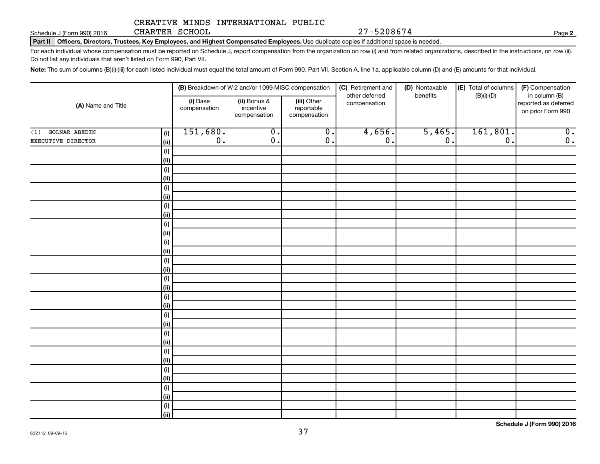Schedule J (Form 990) 2016 CHARTER SCHOOL 27-5208674 CHARTER SCHOOL

**2**

Part II | Officers, Directors, Trustees, Key Employees, and Highest Compensated Employees. Use duplicate copies if additional space is needed.

For each individual whose compensation must be reported on Schedule J, report compensation from the organization on row (i) and from related organizations, described in the instructions, on row (ii). Do not list any individuals that aren't listed on Form 990, Part VII.

Note: The sum of columns (B)(i)-(iii) for each listed individual must equal the total amount of Form 990, Part VII, Section A, line 1a, applicable column (D) and (E) amounts for that individual.

|                             |              |                          | (B) Breakdown of W-2 and/or 1099-MISC compensation |                                           | (C) Retirement and             | (D) Nontaxable   | (E) Total of columns | (F) Compensation                                           |
|-----------------------------|--------------|--------------------------|----------------------------------------------------|-------------------------------------------|--------------------------------|------------------|----------------------|------------------------------------------------------------|
| (A) Name and Title          |              | (i) Base<br>compensation | (ii) Bonus &<br>incentive<br>compensation          | (iii) Other<br>reportable<br>compensation | other deferred<br>compensation | benefits         | $(B)(i)-(D)$         | in column (B)<br>reported as deferred<br>on prior Form 990 |
| <b>GOLNAR ABEDIN</b><br>(1) | (i)          | 151,680.                 | $\overline{0}$ .                                   | $\overline{\mathfrak{o}}$ .               | 4,656.                         | 5,465.           | 161,801.             | $\overline{\mathfrak{o}}$ .                                |
| EXECUTIVE DIRECTOR          | (ii)         | $\overline{0}$ .         | $\overline{0}$ .                                   | $\overline{0}$ .                          | $\overline{0}$ .               | $\overline{0}$ . | $\overline{0}$ .     | $\overline{0}$ .                                           |
|                             | (i)          |                          |                                                    |                                           |                                |                  |                      |                                                            |
|                             | (ii)         |                          |                                                    |                                           |                                |                  |                      |                                                            |
|                             | (i)          |                          |                                                    |                                           |                                |                  |                      |                                                            |
|                             | (ii)         |                          |                                                    |                                           |                                |                  |                      |                                                            |
|                             | (i)          |                          |                                                    |                                           |                                |                  |                      |                                                            |
|                             | (ii)         |                          |                                                    |                                           |                                |                  |                      |                                                            |
|                             | (i)          |                          |                                                    |                                           |                                |                  |                      |                                                            |
|                             | $\vert$ (ii) |                          |                                                    |                                           |                                |                  |                      |                                                            |
|                             | (i)          |                          |                                                    |                                           |                                |                  |                      |                                                            |
|                             | $\vert$ (ii) |                          |                                                    |                                           |                                |                  |                      |                                                            |
|                             | (i)          |                          |                                                    |                                           |                                |                  |                      |                                                            |
|                             | (ii)         |                          |                                                    |                                           |                                |                  |                      |                                                            |
|                             | (i)<br>(ii)  |                          |                                                    |                                           |                                |                  |                      |                                                            |
|                             | (i)          |                          |                                                    |                                           |                                |                  |                      |                                                            |
|                             | (ii)         |                          |                                                    |                                           |                                |                  |                      |                                                            |
|                             | (i)          |                          |                                                    |                                           |                                |                  |                      |                                                            |
|                             | (ii)         |                          |                                                    |                                           |                                |                  |                      |                                                            |
|                             | (i)          |                          |                                                    |                                           |                                |                  |                      |                                                            |
|                             | (ii)         |                          |                                                    |                                           |                                |                  |                      |                                                            |
|                             | (i)          |                          |                                                    |                                           |                                |                  |                      |                                                            |
|                             | (ii)         |                          |                                                    |                                           |                                |                  |                      |                                                            |
|                             | (i)          |                          |                                                    |                                           |                                |                  |                      |                                                            |
|                             | $\vert$ (ii) |                          |                                                    |                                           |                                |                  |                      |                                                            |
|                             | (i)          |                          |                                                    |                                           |                                |                  |                      |                                                            |
|                             | $\vert$ (ii) |                          |                                                    |                                           |                                |                  |                      |                                                            |
|                             | (i)          |                          |                                                    |                                           |                                |                  |                      |                                                            |
|                             | $\vert$ (ii) |                          |                                                    |                                           |                                |                  |                      |                                                            |
|                             | (i)          |                          |                                                    |                                           |                                |                  |                      |                                                            |
|                             | (iii)        |                          |                                                    |                                           |                                |                  |                      |                                                            |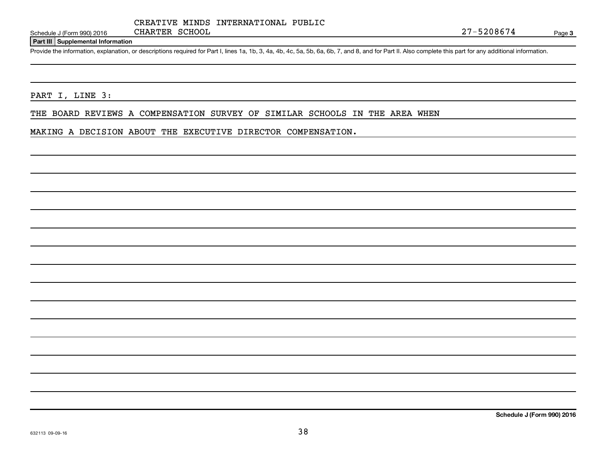Schedule J (Form 990) 2016 Page

#### **Part III Supplemental Information**

Provide the information, explanation, or descriptions required for Part I, lines 1a, 1b, 3, 4a, 4b, 4c, 5a, 5b, 6a, 6b, 7, and 8, and for Part II. Also complete this part for any additional information.

#### PART I, LINE 3:

THE BOARD REVIEWS A COMPENSATION SURVEY OF SIMILAR SCHOOLS IN THE AREA WHEN

#### MAKING A DECISION ABOUT THE EXECUTIVE DIRECTOR COMPENSATION.

**Schedule J (Form 990) 2016**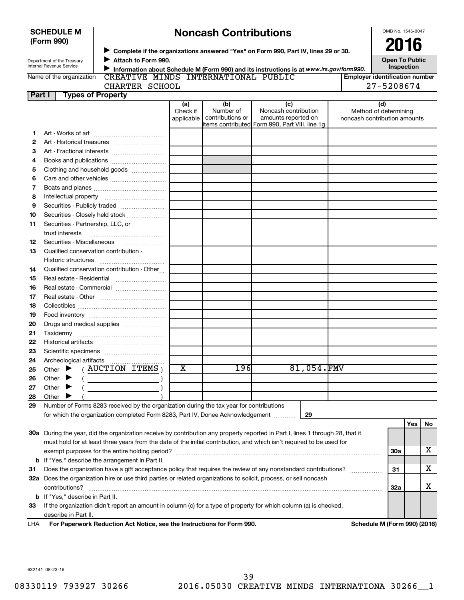|          | (Form 990)                              |                                                                                         |                               |                                      |                                                                                                                                |                                                              | 2016                  |     |    |
|----------|-----------------------------------------|-----------------------------------------------------------------------------------------|-------------------------------|--------------------------------------|--------------------------------------------------------------------------------------------------------------------------------|--------------------------------------------------------------|-----------------------|-----|----|
|          | Department of the Treasury              | Attach to Form 990.                                                                     |                               |                                      | Complete if the organizations answered "Yes" on Form 990, Part IV, lines 29 or 30.                                             |                                                              | <b>Open To Public</b> |     |    |
|          | Internal Revenue Service                |                                                                                         |                               |                                      | Information about Schedule M (Form 990) and its instructions is at www.irs.gov/form990.                                        |                                                              | Inspection            |     |    |
|          | Name of the organization                | CREATIVE MINDS INTERNATIONAL PUBLIC                                                     |                               |                                      |                                                                                                                                | <b>Employer identification number</b>                        |                       |     |    |
|          |                                         | CHARTER SCHOOL                                                                          |                               |                                      |                                                                                                                                | 27-5208674                                                   |                       |     |    |
| Part I   |                                         | <b>Types of Property</b>                                                                |                               |                                      |                                                                                                                                |                                                              |                       |     |    |
|          |                                         |                                                                                         | (a)<br>Check if<br>applicable | (b)<br>Number of<br>contributions or | (c)<br>Noncash contribution<br>amounts reported on<br>items contributed Form 990, Part VIII, line 1q                           | (d)<br>Method of determining<br>noncash contribution amounts |                       |     |    |
| 1        |                                         |                                                                                         |                               |                                      |                                                                                                                                |                                                              |                       |     |    |
| 2        |                                         |                                                                                         |                               |                                      |                                                                                                                                |                                                              |                       |     |    |
| 3        |                                         |                                                                                         |                               |                                      |                                                                                                                                |                                                              |                       |     |    |
| 4        |                                         |                                                                                         |                               |                                      |                                                                                                                                |                                                              |                       |     |    |
| 5        |                                         | Clothing and household goods                                                            |                               |                                      |                                                                                                                                |                                                              |                       |     |    |
| 6        |                                         |                                                                                         |                               |                                      |                                                                                                                                |                                                              |                       |     |    |
| 7        |                                         |                                                                                         |                               |                                      |                                                                                                                                |                                                              |                       |     |    |
| 8        |                                         |                                                                                         |                               |                                      |                                                                                                                                |                                                              |                       |     |    |
| 9        |                                         |                                                                                         |                               |                                      |                                                                                                                                |                                                              |                       |     |    |
| 10       |                                         | Securities - Closely held stock                                                         |                               |                                      |                                                                                                                                |                                                              |                       |     |    |
| 11       | Securities - Partnership, LLC, or       |                                                                                         |                               |                                      |                                                                                                                                |                                                              |                       |     |    |
|          | trust interests                         |                                                                                         |                               |                                      |                                                                                                                                |                                                              |                       |     |    |
| 12       |                                         |                                                                                         |                               |                                      |                                                                                                                                |                                                              |                       |     |    |
| 13       |                                         | Qualified conservation contribution -                                                   |                               |                                      |                                                                                                                                |                                                              |                       |     |    |
|          |                                         |                                                                                         |                               |                                      |                                                                                                                                |                                                              |                       |     |    |
| 14       |                                         | Qualified conservation contribution - Other                                             |                               |                                      |                                                                                                                                |                                                              |                       |     |    |
| 15       |                                         |                                                                                         |                               |                                      |                                                                                                                                |                                                              |                       |     |    |
| 16       |                                         |                                                                                         |                               |                                      |                                                                                                                                |                                                              |                       |     |    |
| 17       |                                         |                                                                                         |                               |                                      |                                                                                                                                |                                                              |                       |     |    |
| 18       |                                         |                                                                                         |                               |                                      |                                                                                                                                |                                                              |                       |     |    |
| 19       |                                         |                                                                                         |                               |                                      |                                                                                                                                |                                                              |                       |     |    |
| 20       |                                         | Drugs and medical supplies                                                              |                               |                                      |                                                                                                                                |                                                              |                       |     |    |
| 21       |                                         |                                                                                         |                               |                                      |                                                                                                                                |                                                              |                       |     |    |
| 22       |                                         |                                                                                         |                               |                                      |                                                                                                                                |                                                              |                       |     |    |
| 23       |                                         |                                                                                         |                               |                                      |                                                                                                                                |                                                              |                       |     |    |
| 24       |                                         | Other $\blacktriangleright$ (AUCTION ITEMS)                                             | $\overline{\textbf{x}}$       | 196                                  | 81,054.FMV                                                                                                                     |                                                              |                       |     |    |
| 25<br>26 | Other                                   |                                                                                         |                               |                                      |                                                                                                                                |                                                              |                       |     |    |
| 27       | Other                                   |                                                                                         |                               |                                      |                                                                                                                                |                                                              |                       |     |    |
| 28       | Other                                   |                                                                                         |                               |                                      |                                                                                                                                |                                                              |                       |     |    |
| 29       |                                         | Number of Forms 8283 received by the organization during the tax year for contributions |                               |                                      |                                                                                                                                |                                                              |                       |     |    |
|          |                                         | for which the organization completed Form 8283, Part IV, Donee Acknowledgement          |                               |                                      | 29                                                                                                                             |                                                              |                       |     |    |
|          |                                         |                                                                                         |                               |                                      |                                                                                                                                |                                                              |                       | Yes | No |
|          |                                         |                                                                                         |                               |                                      | 30a During the year, did the organization receive by contribution any property reported in Part I, lines 1 through 28, that it |                                                              |                       |     |    |
|          |                                         |                                                                                         |                               |                                      | must hold for at least three years from the date of the initial contribution, and which isn't required to be used for          |                                                              |                       |     |    |
|          |                                         |                                                                                         |                               |                                      |                                                                                                                                |                                                              | <b>30a</b>            |     | х  |
|          |                                         | <b>b</b> If "Yes," describe the arrangement in Part II.                                 |                               |                                      |                                                                                                                                |                                                              |                       |     |    |
| 31       |                                         |                                                                                         |                               |                                      | Does the organization have a gift acceptance policy that requires the review of any nonstandard contributions?                 | .                                                            | 31                    |     | х  |
|          |                                         |                                                                                         |                               |                                      | 32a Does the organization hire or use third parties or related organizations to solicit, process, or sell noncash              |                                                              |                       |     |    |
|          | contributions?                          |                                                                                         |                               |                                      |                                                                                                                                |                                                              | 32a                   |     | х  |
|          | <b>b</b> If "Yes," describe in Part II. |                                                                                         |                               |                                      |                                                                                                                                |                                                              |                       |     |    |
| 33       |                                         |                                                                                         |                               |                                      | If the organization didn't report an amount in column (c) for a type of property for which column (a) is checked,              |                                                              |                       |     |    |
|          | describe in Part II.                    |                                                                                         |                               |                                      |                                                                                                                                |                                                              |                       |     |    |

**Noncash Contributions**

**For Paperwork Reduction Act Notice, see the Instructions for Form 990. Schedule M (Form 990) (2016)** LHA

OMB No. 1545-0047

632141 08-23-16

**SCHEDULE M**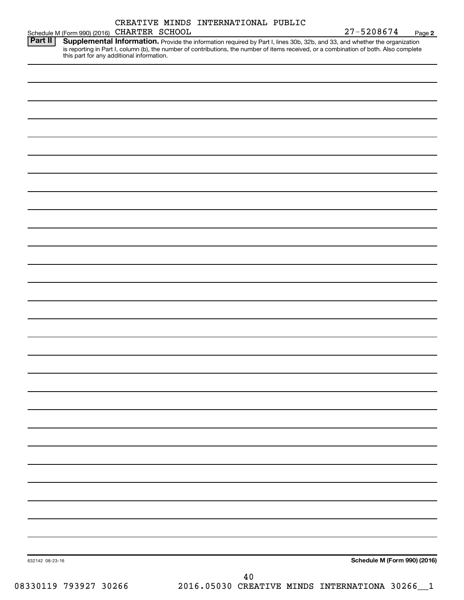|                                             |  | CREATIVE MINDS INTERNATIONAL PUBLIC |            |        |
|---------------------------------------------|--|-------------------------------------|------------|--------|
| Schedule M (Form 990) (2016) CHARTER SCHOOL |  |                                     | 27-5208674 | Page 2 |

| <b>Part II</b> | Supplemental Information. Provide the information required by Part I, lines 30b, 32b, and 33, and whether the organization             |
|----------------|----------------------------------------------------------------------------------------------------------------------------------------|
|                | is reporting in Part I, column (b), the number of contributions, the number of items received, or a combination of both. Also complete |
|                | this part for any additional information.                                                                                              |

| 632142 08-23-16 |            | Schedule M (Form 990) (2016) |
|-----------------|------------|------------------------------|
|                 | ${\bf 40}$ |                              |

08330119 793927 30266 2016.05030 CREATIVE MINDS INTERNATIONA 30266\_1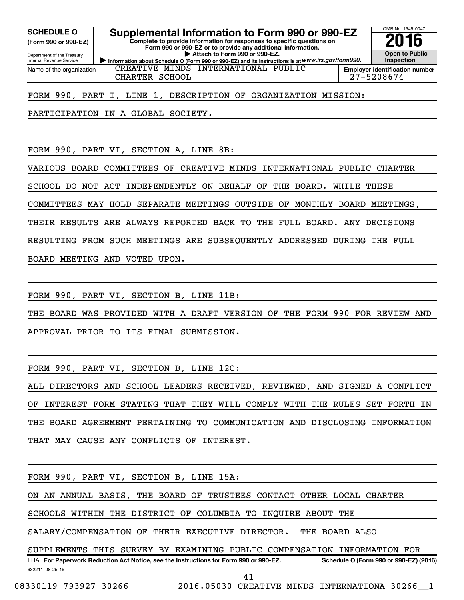**(Form 990 or 990-EZ)**

Department of the Treasury Internal Revenue Service Name of the organization

SCHEDULE O **Supplemental Information to Form 990 or 990-EZ 2016**<br>(Form 990 or 990-EZ) Complete to provide information for responses to specific questions on

**Information about Schedule O (Form 990 or 990-EZ) and its instructions is at WWW.irs.gov/form990. Complete to provide information for responses to specific questions on Form 990 or 990-EZ or to provide any additional information. | Attach to Form 990 or 990-EZ.**

**Open to Public Inspection Employer identification number**

OMB No. 1545-0047

CHARTER SCHOOL 27-5208674

FORM 990, PART I, LINE 1, DESCRIPTION OF ORGANIZATION MISSION:

CREATIVE MINDS INTERNATIONAL PUBLIC

PARTICIPATION IN A GLOBAL SOCIETY.

FORM 990, PART VI, SECTION A, LINE 8B:

VARIOUS BOARD COMMITTEES OF CREATIVE MINDS INTERNATIONAL PUBLIC CHARTER

SCHOOL DO NOT ACT INDEPENDENTLY ON BEHALF OF THE BOARD. WHILE THESE

COMMITTEES MAY HOLD SEPARATE MEETINGS OUTSIDE OF MONTHLY BOARD MEETINGS,

THEIR RESULTS ARE ALWAYS REPORTED BACK TO THE FULL BOARD. ANY DECISIONS

RESULTING FROM SUCH MEETINGS ARE SUBSEQUENTLY ADDRESSED DURING THE FULL

BOARD MEETING AND VOTED UPON.

FORM 990, PART VI, SECTION B, LINE 11B:

THE BOARD WAS PROVIDED WITH A DRAFT VERSION OF THE FORM 990 FOR REVIEW AND APPROVAL PRIOR TO ITS FINAL SUBMISSION.

FORM 990, PART VI, SECTION B, LINE 12C:

ALL DIRECTORS AND SCHOOL LEADERS RECEIVED, REVIEWED, AND SIGNED A CONFLICT OF INTEREST FORM STATING THAT THEY WILL COMPLY WITH THE RULES SET FORTH IN THE BOARD AGREEMENT PERTAINING TO COMMUNICATION AND DISCLOSING INFORMATION THAT MAY CAUSE ANY CONFLICTS OF INTEREST.

FORM 990, PART VI, SECTION B, LINE 15A:

ON AN ANNUAL BASIS, THE BOARD OF TRUSTEES CONTACT OTHER LOCAL CHARTER

SCHOOLS WITHIN THE DISTRICT OF COLUMBIA TO INQUIRE ABOUT THE

SALARY/COMPENSATION OF THEIR EXECUTIVE DIRECTOR. THE BOARD ALSO

SUPPLEMENTS THIS SURVEY BY EXAMINING PUBLIC COMPENSATION INFORMATION FOR

632211 08-25-16 LHA For Paperwork Reduction Act Notice, see the Instructions for Form 990 or 990-EZ. Schedule O (Form 990 or 990-EZ) (2016) 41